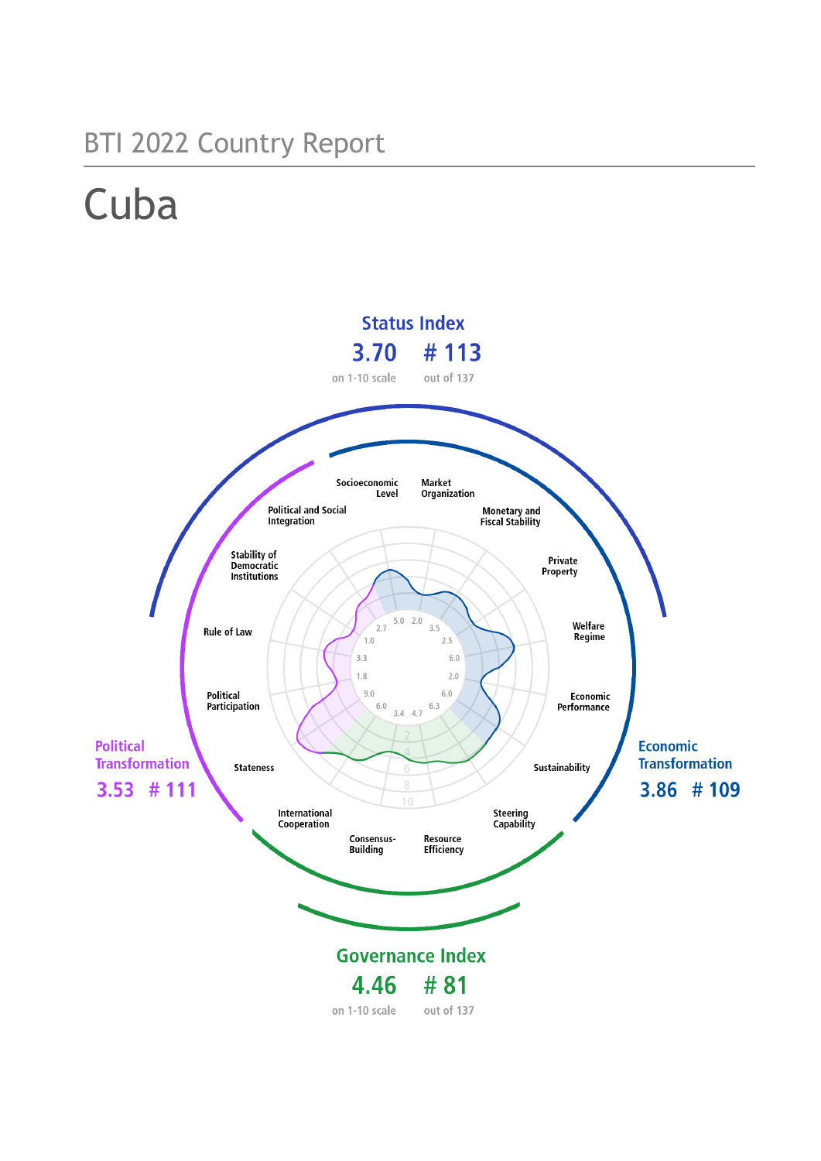# BTI 2022 Country Report

# **Cuba**

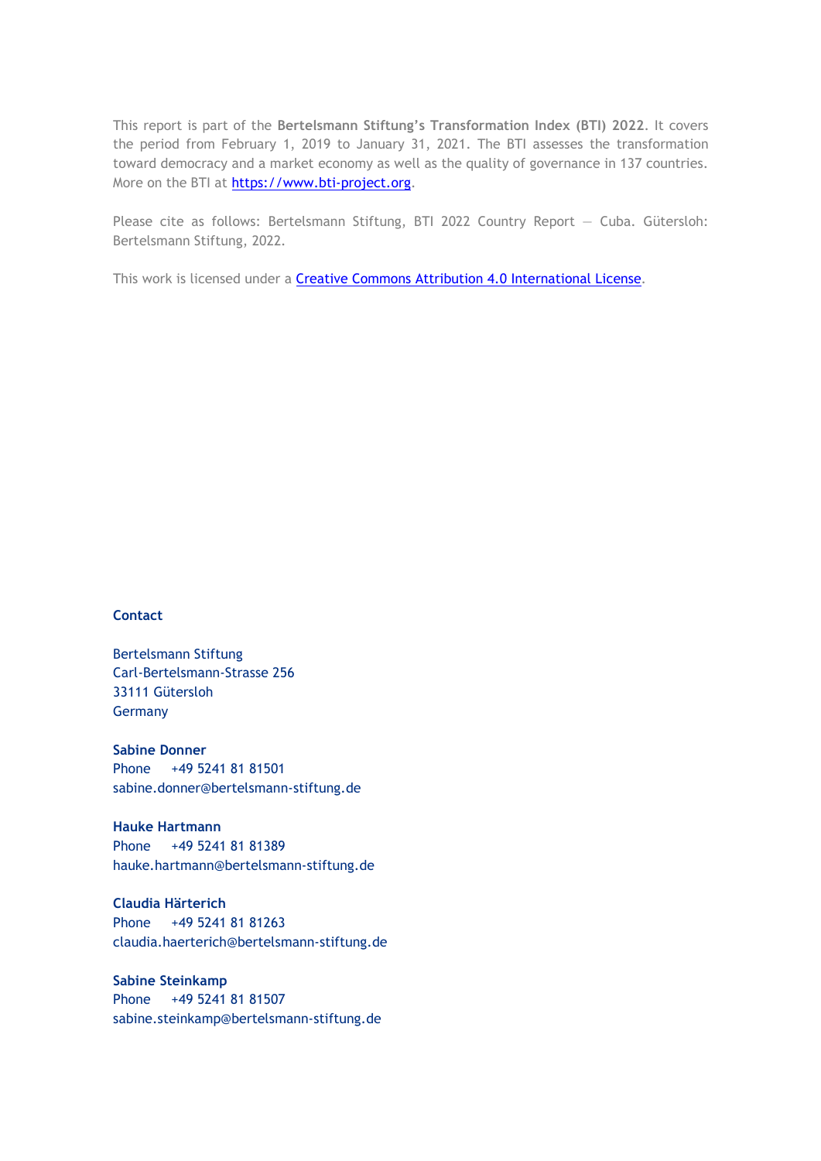This report is part of the **Bertelsmann Stiftung's Transformation Index (BTI) 2022**. It covers the period from February 1, 2019 to January 31, 2021. The BTI assesses the transformation toward democracy and a market economy as well as the quality of governance in 137 countries. More on the BTI at [https://www.bti-project.org.](https://www.bti-project.org/)

Please cite as follows: Bertelsmann Stiftung, BTI 2022 Country Report — Cuba. Gütersloh: Bertelsmann Stiftung, 2022.

This work is licensed under a **Creative Commons Attribution 4.0 International License**.

### **Contact**

Bertelsmann Stiftung Carl-Bertelsmann-Strasse 256 33111 Gütersloh Germany

**Sabine Donner** Phone +49 5241 81 81501 sabine.donner@bertelsmann-stiftung.de

**Hauke Hartmann** Phone +49 5241 81 81389 hauke.hartmann@bertelsmann-stiftung.de

**Claudia Härterich** Phone +49 5241 81 81263 claudia.haerterich@bertelsmann-stiftung.de

### **Sabine Steinkamp** Phone +49 5241 81 81507 sabine.steinkamp@bertelsmann-stiftung.de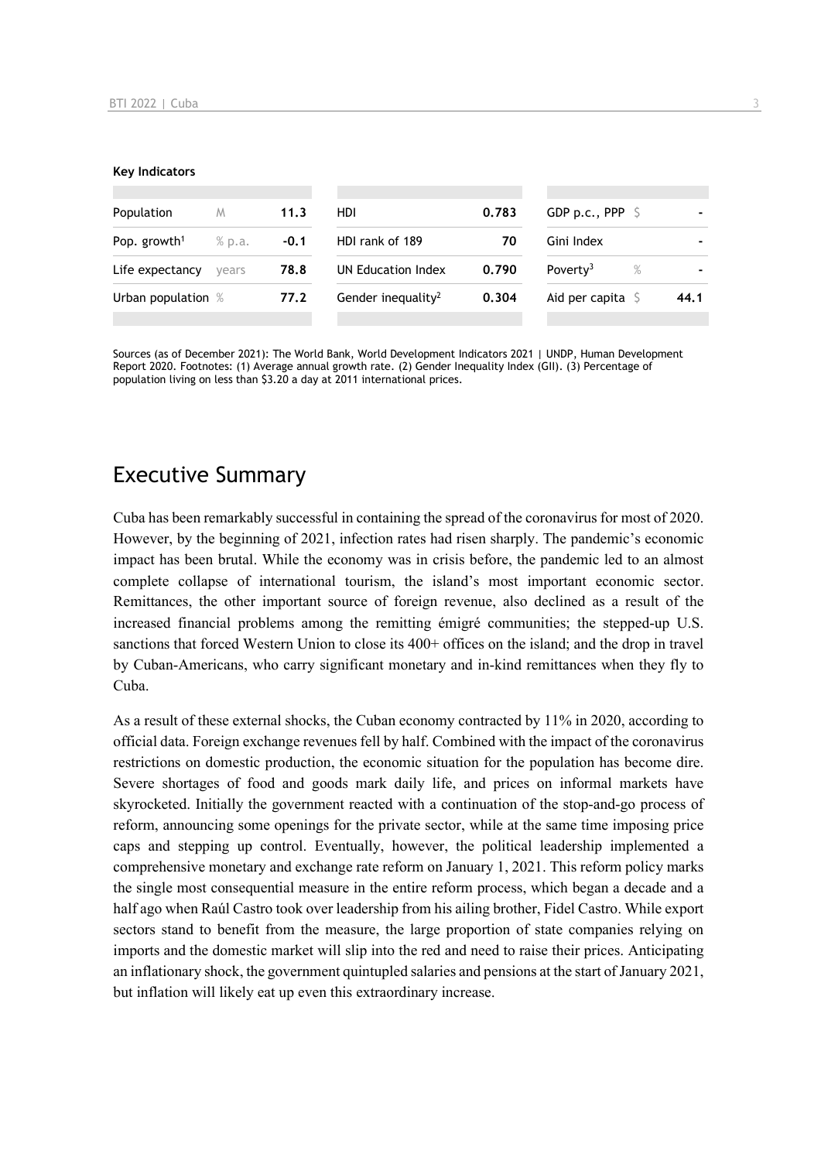#### **Key Indicators**

| Population               | M      | 11.3   | HDI.                           | 0.783 | GDP p.c., PPP $\mathsf{S}$   |      |
|--------------------------|--------|--------|--------------------------------|-------|------------------------------|------|
| Pop. growth <sup>1</sup> | % p.a. | $-0.1$ | HDI rank of 189                | 70    | Gini Index                   |      |
| Life expectancy          | vears  | 78.8   | UN Education Index             | 0.790 | Poverty <sup>3</sup><br>$\%$ |      |
| Urban population %       |        | 77.2   | Gender inequality <sup>2</sup> | 0.304 | Aid per capita $\sqrt{5}$    | 44.1 |
|                          |        |        |                                |       |                              |      |

Sources (as of December 2021): The World Bank, World Development Indicators 2021 | UNDP, Human Development Report 2020. Footnotes: (1) Average annual growth rate. (2) Gender Inequality Index (GII). (3) Percentage of population living on less than \$3.20 a day at 2011 international prices.

# Executive Summary

Cuba has been remarkably successful in containing the spread of the coronavirus for most of 2020. However, by the beginning of 2021, infection rates had risen sharply. The pandemic's economic impact has been brutal. While the economy was in crisis before, the pandemic led to an almost complete collapse of international tourism, the island's most important economic sector. Remittances, the other important source of foreign revenue, also declined as a result of the increased financial problems among the remitting émigré communities; the stepped-up U.S. sanctions that forced Western Union to close its 400+ offices on the island; and the drop in travel by Cuban-Americans, who carry significant monetary and in-kind remittances when they fly to Cuba.

As a result of these external shocks, the Cuban economy contracted by 11% in 2020, according to official data. Foreign exchange revenues fell by half. Combined with the impact of the coronavirus restrictions on domestic production, the economic situation for the population has become dire. Severe shortages of food and goods mark daily life, and prices on informal markets have skyrocketed. Initially the government reacted with a continuation of the stop-and-go process of reform, announcing some openings for the private sector, while at the same time imposing price caps and stepping up control. Eventually, however, the political leadership implemented a comprehensive monetary and exchange rate reform on January 1, 2021. This reform policy marks the single most consequential measure in the entire reform process, which began a decade and a half ago when Raúl Castro took over leadership from his ailing brother, Fidel Castro. While export sectors stand to benefit from the measure, the large proportion of state companies relying on imports and the domestic market will slip into the red and need to raise their prices. Anticipating an inflationary shock, the government quintupled salaries and pensions at the start of January 2021, but inflation will likely eat up even this extraordinary increase.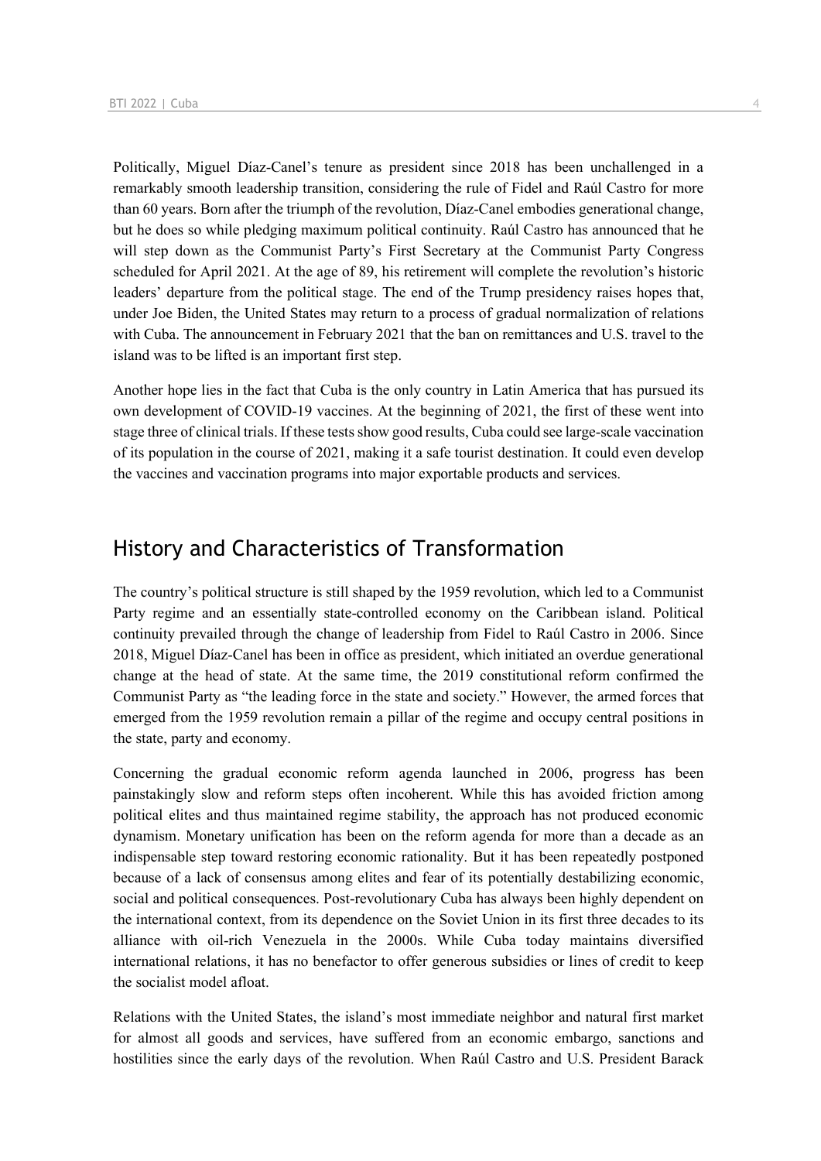Politically, Miguel Díaz-Canel's tenure as president since 2018 has been unchallenged in a remarkably smooth leadership transition, considering the rule of Fidel and Raúl Castro for more than 60 years. Born after the triumph of the revolution, Díaz-Canel embodies generational change, but he does so while pledging maximum political continuity. Raúl Castro has announced that he will step down as the Communist Party's First Secretary at the Communist Party Congress scheduled for April 2021. At the age of 89, his retirement will complete the revolution's historic leaders' departure from the political stage. The end of the Trump presidency raises hopes that, under Joe Biden, the United States may return to a process of gradual normalization of relations with Cuba. The announcement in February 2021 that the ban on remittances and U.S. travel to the island was to be lifted is an important first step.

Another hope lies in the fact that Cuba is the only country in Latin America that has pursued its own development of COVID-19 vaccines. At the beginning of 2021, the first of these went into stage three of clinical trials. If these tests show good results, Cuba could see large-scale vaccination of its population in the course of 2021, making it a safe tourist destination. It could even develop the vaccines and vaccination programs into major exportable products and services.

# History and Characteristics of Transformation

The country's political structure is still shaped by the 1959 revolution, which led to a Communist Party regime and an essentially state-controlled economy on the Caribbean island. Political continuity prevailed through the change of leadership from Fidel to Raúl Castro in 2006. Since 2018, Miguel Díaz-Canel has been in office as president, which initiated an overdue generational change at the head of state. At the same time, the 2019 constitutional reform confirmed the Communist Party as "the leading force in the state and society." However, the armed forces that emerged from the 1959 revolution remain a pillar of the regime and occupy central positions in the state, party and economy.

Concerning the gradual economic reform agenda launched in 2006, progress has been painstakingly slow and reform steps often incoherent. While this has avoided friction among political elites and thus maintained regime stability, the approach has not produced economic dynamism. Monetary unification has been on the reform agenda for more than a decade as an indispensable step toward restoring economic rationality. But it has been repeatedly postponed because of a lack of consensus among elites and fear of its potentially destabilizing economic, social and political consequences. Post-revolutionary Cuba has always been highly dependent on the international context, from its dependence on the Soviet Union in its first three decades to its alliance with oil-rich Venezuela in the 2000s. While Cuba today maintains diversified international relations, it has no benefactor to offer generous subsidies or lines of credit to keep the socialist model afloat.

Relations with the United States, the island's most immediate neighbor and natural first market for almost all goods and services, have suffered from an economic embargo, sanctions and hostilities since the early days of the revolution. When Raúl Castro and U.S. President Barack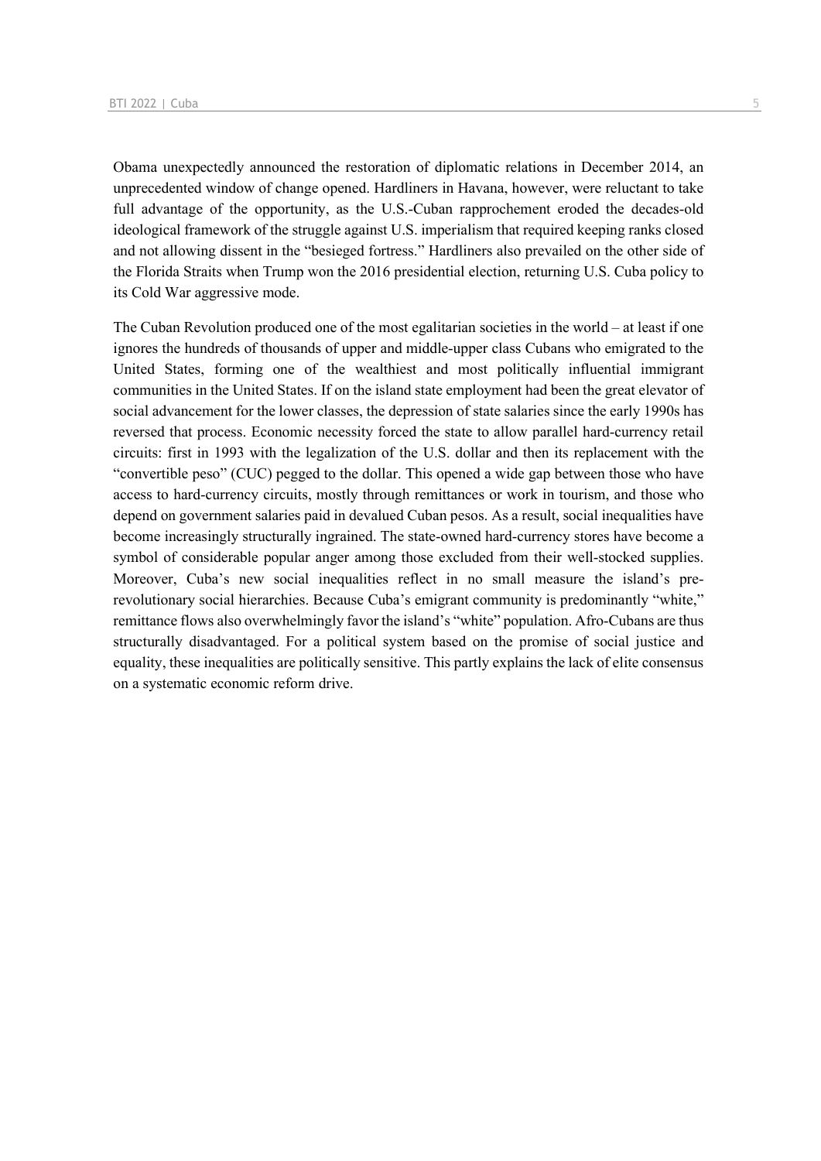Obama unexpectedly announced the restoration of diplomatic relations in December 2014, an unprecedented window of change opened. Hardliners in Havana, however, were reluctant to take full advantage of the opportunity, as the U.S.-Cuban rapprochement eroded the decades-old ideological framework of the struggle against U.S. imperialism that required keeping ranks closed and not allowing dissent in the "besieged fortress." Hardliners also prevailed on the other side of the Florida Straits when Trump won the 2016 presidential election, returning U.S. Cuba policy to its Cold War aggressive mode.

The Cuban Revolution produced one of the most egalitarian societies in the world – at least if one ignores the hundreds of thousands of upper and middle-upper class Cubans who emigrated to the United States, forming one of the wealthiest and most politically influential immigrant communities in the United States. If on the island state employment had been the great elevator of social advancement for the lower classes, the depression of state salaries since the early 1990s has reversed that process. Economic necessity forced the state to allow parallel hard-currency retail circuits: first in 1993 with the legalization of the U.S. dollar and then its replacement with the "convertible peso" (CUC) pegged to the dollar. This opened a wide gap between those who have access to hard-currency circuits, mostly through remittances or work in tourism, and those who depend on government salaries paid in devalued Cuban pesos. As a result, social inequalities have become increasingly structurally ingrained. The state-owned hard-currency stores have become a symbol of considerable popular anger among those excluded from their well-stocked supplies. Moreover, Cuba's new social inequalities reflect in no small measure the island's prerevolutionary social hierarchies. Because Cuba's emigrant community is predominantly "white," remittance flows also overwhelmingly favor the island's "white" population. Afro-Cubans are thus structurally disadvantaged. For a political system based on the promise of social justice and equality, these inequalities are politically sensitive. This partly explains the lack of elite consensus on a systematic economic reform drive.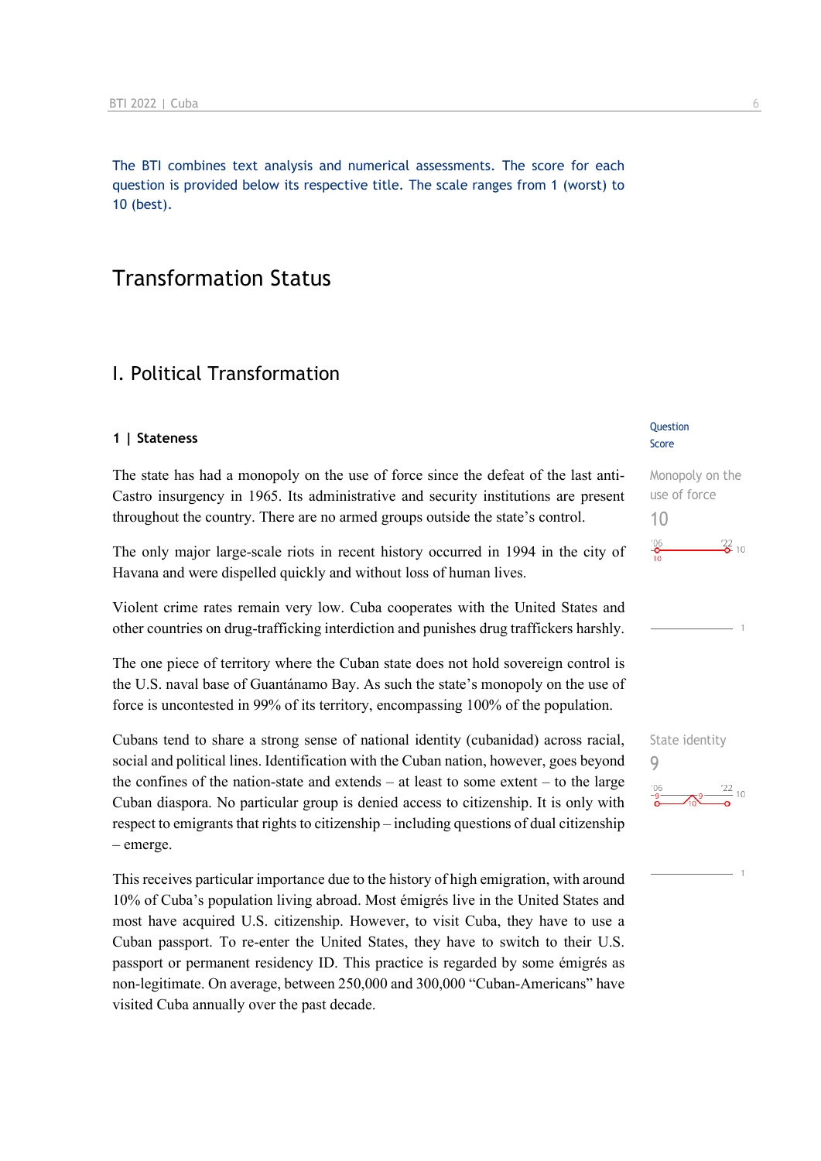The BTI combines text analysis and numerical assessments. The score for each question is provided below its respective title. The scale ranges from 1 (worst) to 10 (best).

# Transformation Status

### I. Political Transformation

### **1 | Stateness**

The state has had a monopoly on the use of force since the defeat of the last anti-Castro insurgency in 1965. Its administrative and security institutions are present throughout the country. There are no armed groups outside the state's control.

The only major large-scale riots in recent history occurred in 1994 in the city of Havana and were dispelled quickly and without loss of human lives.

Violent crime rates remain very low. Cuba cooperates with the United States and other countries on drug-trafficking interdiction and punishes drug traffickers harshly.

The one piece of territory where the Cuban state does not hold sovereign control is the U.S. naval base of Guantánamo Bay. As such the state's monopoly on the use of force is uncontested in 99% of its territory, encompassing 100% of the population.

Cubans tend to share a strong sense of national identity (cubanidad) across racial, social and political lines. Identification with the Cuban nation, however, goes beyond the confines of the nation-state and extends – at least to some extent – to the large Cuban diaspora. No particular group is denied access to citizenship. It is only with respect to emigrants that rights to citizenship – including questions of dual citizenship – emerge.

This receives particular importance due to the history of high emigration, with around 10% of Cuba's population living abroad. Most émigrés live in the United States and most have acquired U.S. citizenship. However, to visit Cuba, they have to use a Cuban passport. To re-enter the United States, they have to switch to their U.S. passport or permanent residency ID. This practice is regarded by some émigrés as non-legitimate. On average, between 250,000 and 300,000 "Cuban-Americans" have visited Cuba annually over the past decade.

#### **Question** Score

Monopoly on the use of force 10  $^{206}$  $\frac{22}{2}$  10

![](_page_5_Figure_13.jpeg)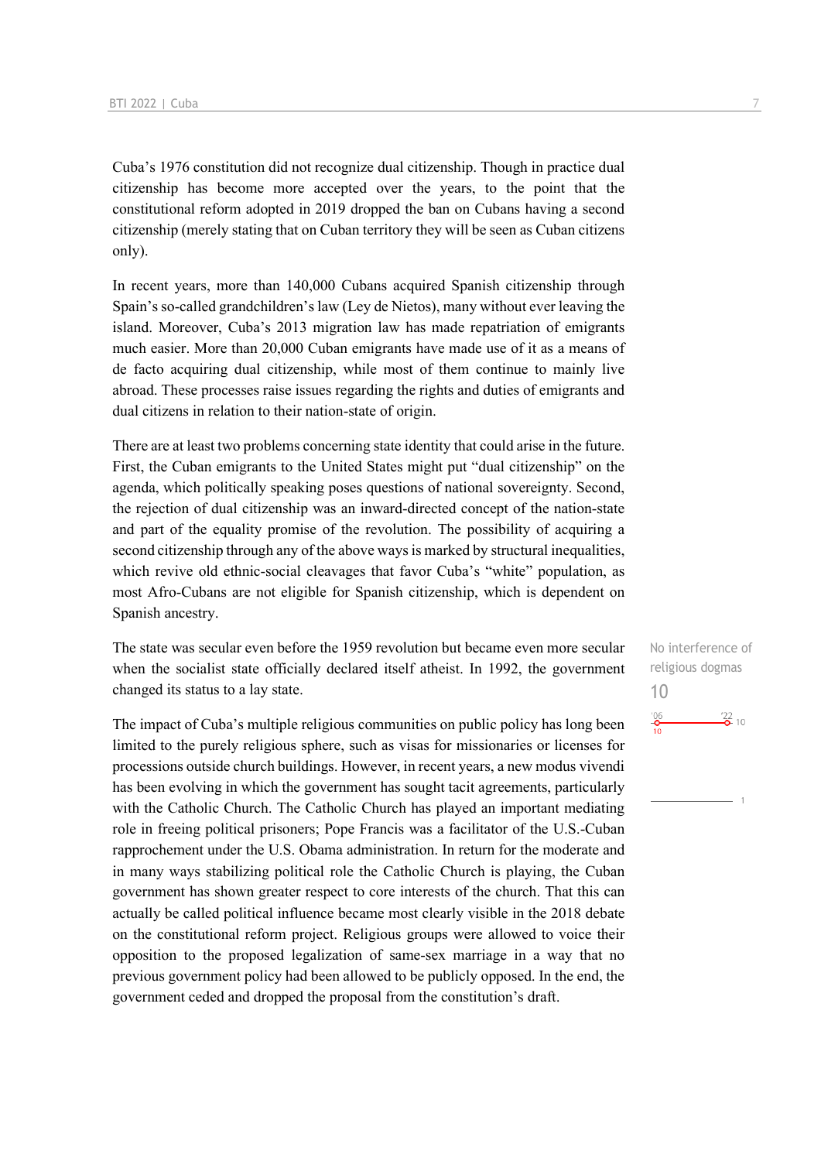Cuba's 1976 constitution did not recognize dual citizenship. Though in practice dual citizenship has become more accepted over the years, to the point that the constitutional reform adopted in 2019 dropped the ban on Cubans having a second citizenship (merely stating that on Cuban territory they will be seen as Cuban citizens only).

In recent years, more than 140,000 Cubans acquired Spanish citizenship through Spain's so-called grandchildren's law (Ley de Nietos), many without ever leaving the island. Moreover, Cuba's 2013 migration law has made repatriation of emigrants much easier. More than 20,000 Cuban emigrants have made use of it as a means of de facto acquiring dual citizenship, while most of them continue to mainly live abroad. These processes raise issues regarding the rights and duties of emigrants and dual citizens in relation to their nation-state of origin.

There are at least two problems concerning state identity that could arise in the future. First, the Cuban emigrants to the United States might put "dual citizenship" on the agenda, which politically speaking poses questions of national sovereignty. Second, the rejection of dual citizenship was an inward-directed concept of the nation-state and part of the equality promise of the revolution. The possibility of acquiring a second citizenship through any of the above ways is marked by structural inequalities, which revive old ethnic-social cleavages that favor Cuba's "white" population, as most Afro-Cubans are not eligible for Spanish citizenship, which is dependent on Spanish ancestry.

The state was secular even before the 1959 revolution but became even more secular when the socialist state officially declared itself atheist. In 1992, the government changed its status to a lay state.

The impact of Cuba's multiple religious communities on public policy has long been limited to the purely religious sphere, such as visas for missionaries or licenses for processions outside church buildings. However, in recent years, a new modus vivendi has been evolving in which the government has sought tacit agreements, particularly with the Catholic Church. The Catholic Church has played an important mediating role in freeing political prisoners; Pope Francis was a facilitator of the U.S.-Cuban rapprochement under the U.S. Obama administration. In return for the moderate and in many ways stabilizing political role the Catholic Church is playing, the Cuban government has shown greater respect to core interests of the church. That this can actually be called political influence became most clearly visible in the 2018 debate on the constitutional reform project. Religious groups were allowed to voice their opposition to the proposed legalization of same-sex marriage in a way that no previous government policy had been allowed to be publicly opposed. In the end, the government ceded and dropped the proposal from the constitution's draft.

No interference of religious dogmas 10 $\frac{22}{2}$  10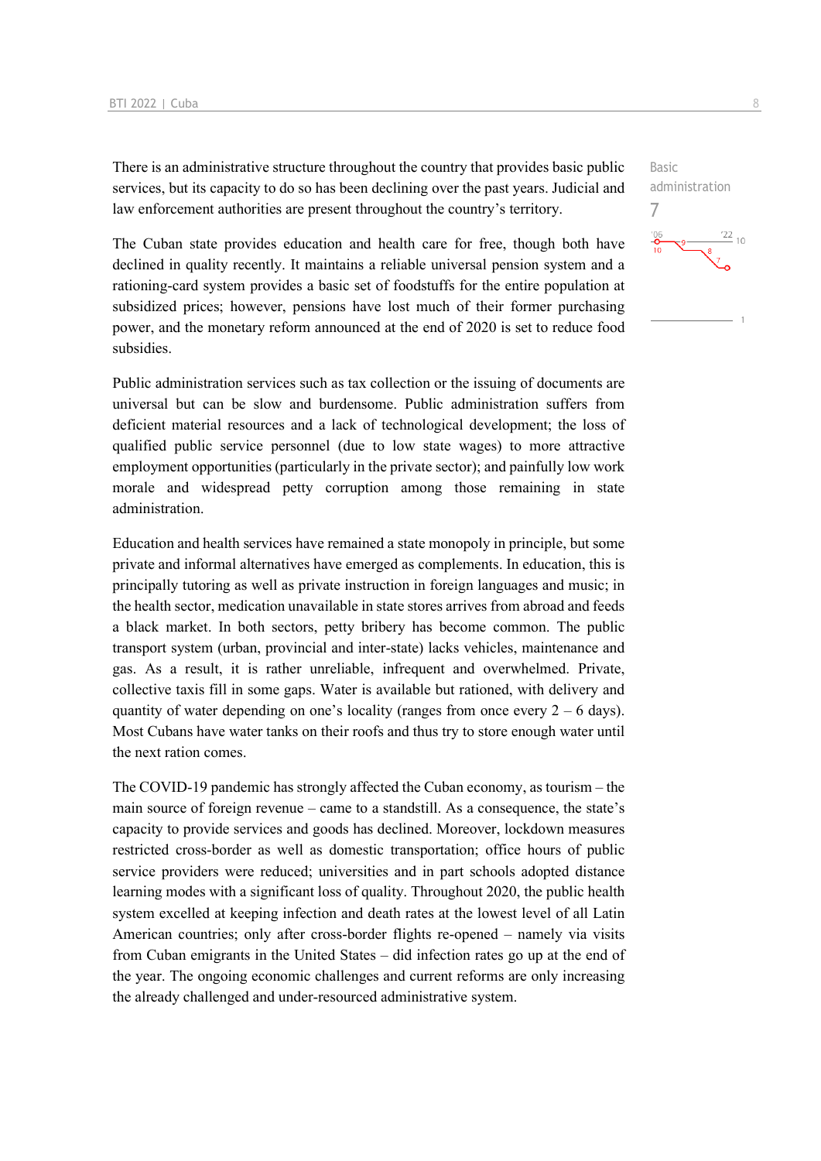There is an administrative structure throughout the country that provides basic public services, but its capacity to do so has been declining over the past years. Judicial and law enforcement authorities are present throughout the country's territory.

The Cuban state provides education and health care for free, though both have declined in quality recently. It maintains a reliable universal pension system and a rationing-card system provides a basic set of foodstuffs for the entire population at subsidized prices; however, pensions have lost much of their former purchasing power, and the monetary reform announced at the end of 2020 is set to reduce food subsidies.

Public administration services such as tax collection or the issuing of documents are universal but can be slow and burdensome. Public administration suffers from deficient material resources and a lack of technological development; the loss of qualified public service personnel (due to low state wages) to more attractive employment opportunities (particularly in the private sector); and painfully low work morale and widespread petty corruption among those remaining in state administration.

Education and health services have remained a state monopoly in principle, but some private and informal alternatives have emerged as complements. In education, this is principally tutoring as well as private instruction in foreign languages and music; in the health sector, medication unavailable in state stores arrives from abroad and feeds a black market. In both sectors, petty bribery has become common. The public transport system (urban, provincial and inter-state) lacks vehicles, maintenance and gas. As a result, it is rather unreliable, infrequent and overwhelmed. Private, collective taxis fill in some gaps. Water is available but rationed, with delivery and quantity of water depending on one's locality (ranges from once every  $2 - 6$  days). Most Cubans have water tanks on their roofs and thus try to store enough water until the next ration comes.

The COVID-19 pandemic has strongly affected the Cuban economy, as tourism – the main source of foreign revenue – came to a standstill. As a consequence, the state's capacity to provide services and goods has declined. Moreover, lockdown measures restricted cross-border as well as domestic transportation; office hours of public service providers were reduced; universities and in part schools adopted distance learning modes with a significant loss of quality. Throughout 2020, the public health system excelled at keeping infection and death rates at the lowest level of all Latin American countries; only after cross-border flights re-opened – namely via visits from Cuban emigrants in the United States – did infection rates go up at the end of the year. The ongoing economic challenges and current reforms are only increasing the already challenged and under-resourced administrative system.

![](_page_7_Figure_6.jpeg)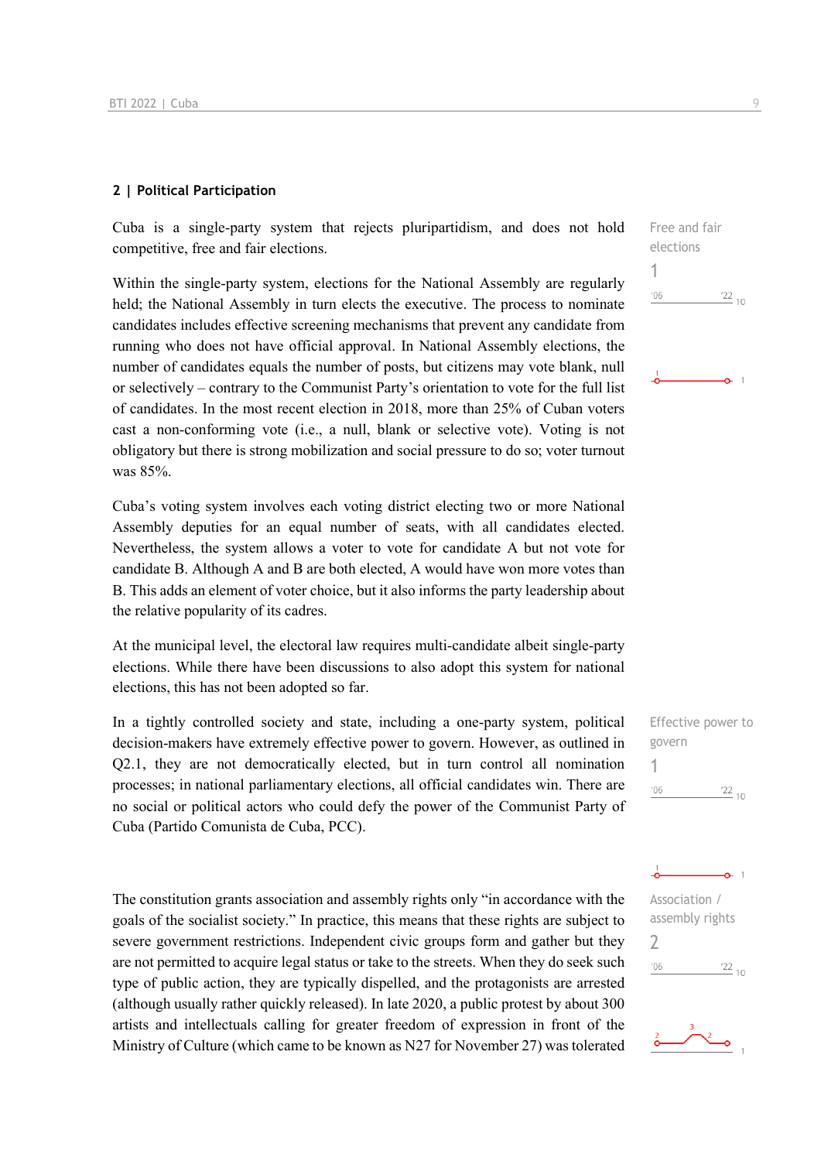### **2 | Political Participation**

Cuba is a single-party system that rejects pluripartidism, and does not hold competitive, free and fair elections.

Within the single-party system, elections for the National Assembly are regularly held; the National Assembly in turn elects the executive. The process to nominate candidates includes effective screening mechanisms that prevent any candidate from running who does not have official approval. In National Assembly elections, the number of candidates equals the number of posts, but citizens may vote blank, null or selectively – contrary to the Communist Party's orientation to vote for the full list of candidates. In the most recent election in 2018, more than 25% of Cuban voters cast a non-conforming vote (i.e., a null, blank or selective vote). Voting is not obligatory but there is strong mobilization and social pressure to do so; voter turnout was 85%.

Cuba's voting system involves each voting district electing two or more National Assembly deputies for an equal number of seats, with all candidates elected. Nevertheless, the system allows a voter to vote for candidate A but not vote for candidate B. Although A and B are both elected, A would have won more votes than B. This adds an element of voter choice, but it also informs the party leadership about the relative popularity of its cadres.

At the municipal level, the electoral law requires multi-candidate albeit single-party elections. While there have been discussions to also adopt this system for national elections, this has not been adopted so far.

In a tightly controlled society and state, including a one-party system, political decision-makers have extremely effective power to govern. However, as outlined in Q2.1, they are not democratically elected, but in turn control all nomination processes; in national parliamentary elections, all official candidates win. There are no social or political actors who could defy the power of the Communist Party of Cuba (Partido Comunista de Cuba, PCC).

The constitution grants association and assembly rights only "in accordance with the goals of the socialist society." In practice, this means that these rights are subject to severe government restrictions. Independent civic groups form and gather but they are not permitted to acquire legal status or take to the streets. When they do seek such type of public action, they are typically dispelled, and the protagonists are arrested (although usually rather quickly released). In late 2020, a public protest by about 300 artists and intellectuals calling for greater freedom of expression in front of the Ministry of Culture (which came to be known as N27 for November 27) was tolerated

![](_page_8_Figure_8.jpeg)

![](_page_8_Figure_9.jpeg)

![](_page_8_Picture_10.jpeg)

![](_page_8_Picture_11.jpeg)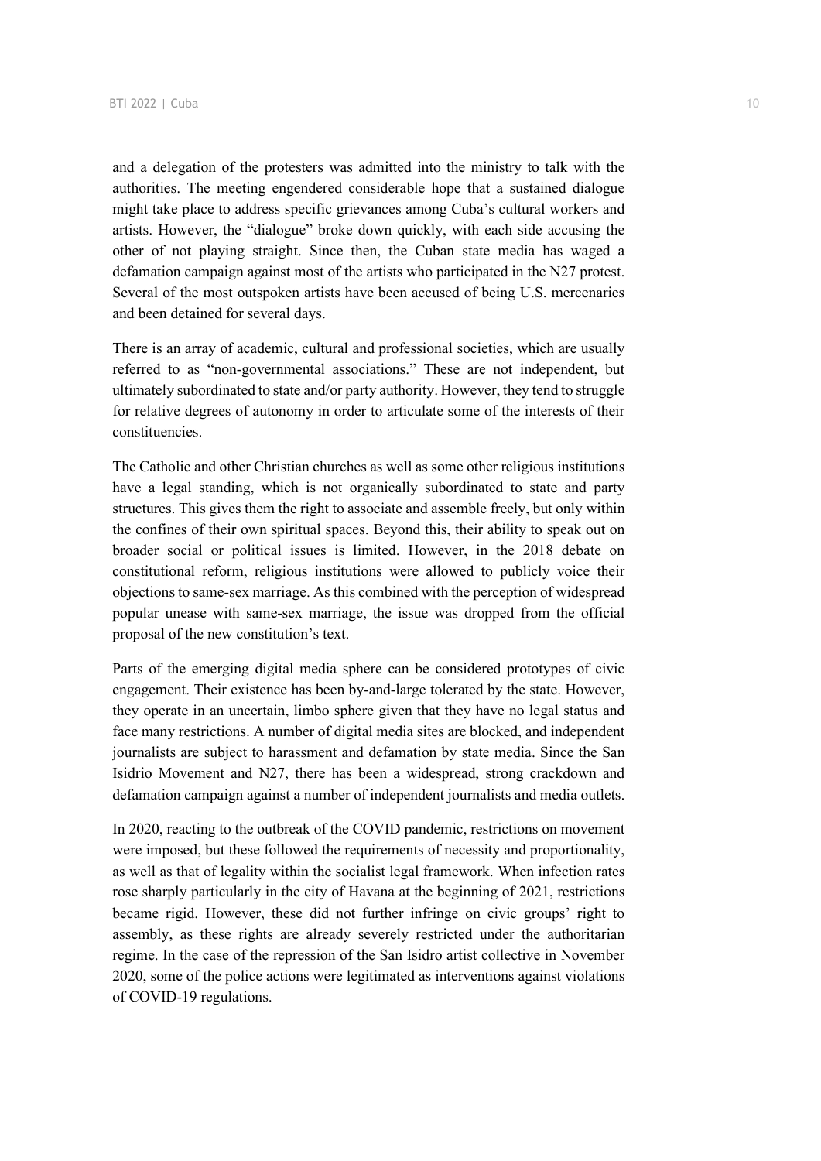and a delegation of the protesters was admitted into the ministry to talk with the authorities. The meeting engendered considerable hope that a sustained dialogue might take place to address specific grievances among Cuba's cultural workers and artists. However, the "dialogue" broke down quickly, with each side accusing the other of not playing straight. Since then, the Cuban state media has waged a defamation campaign against most of the artists who participated in the N27 protest. Several of the most outspoken artists have been accused of being U.S. mercenaries and been detained for several days.

There is an array of academic, cultural and professional societies, which are usually referred to as "non-governmental associations." These are not independent, but ultimately subordinated to state and/or party authority. However, they tend to struggle for relative degrees of autonomy in order to articulate some of the interests of their constituencies.

The Catholic and other Christian churches as well as some other religious institutions have a legal standing, which is not organically subordinated to state and party structures. This gives them the right to associate and assemble freely, but only within the confines of their own spiritual spaces. Beyond this, their ability to speak out on broader social or political issues is limited. However, in the 2018 debate on constitutional reform, religious institutions were allowed to publicly voice their objections to same-sex marriage. As this combined with the perception of widespread popular unease with same-sex marriage, the issue was dropped from the official proposal of the new constitution's text.

Parts of the emerging digital media sphere can be considered prototypes of civic engagement. Their existence has been by-and-large tolerated by the state. However, they operate in an uncertain, limbo sphere given that they have no legal status and face many restrictions. A number of digital media sites are blocked, and independent journalists are subject to harassment and defamation by state media. Since the San Isidrio Movement and N27, there has been a widespread, strong crackdown and defamation campaign against a number of independent journalists and media outlets.

In 2020, reacting to the outbreak of the COVID pandemic, restrictions on movement were imposed, but these followed the requirements of necessity and proportionality, as well as that of legality within the socialist legal framework. When infection rates rose sharply particularly in the city of Havana at the beginning of 2021, restrictions became rigid. However, these did not further infringe on civic groups' right to assembly, as these rights are already severely restricted under the authoritarian regime. In the case of the repression of the San Isidro artist collective in November 2020, some of the police actions were legitimated as interventions against violations of COVID-19 regulations.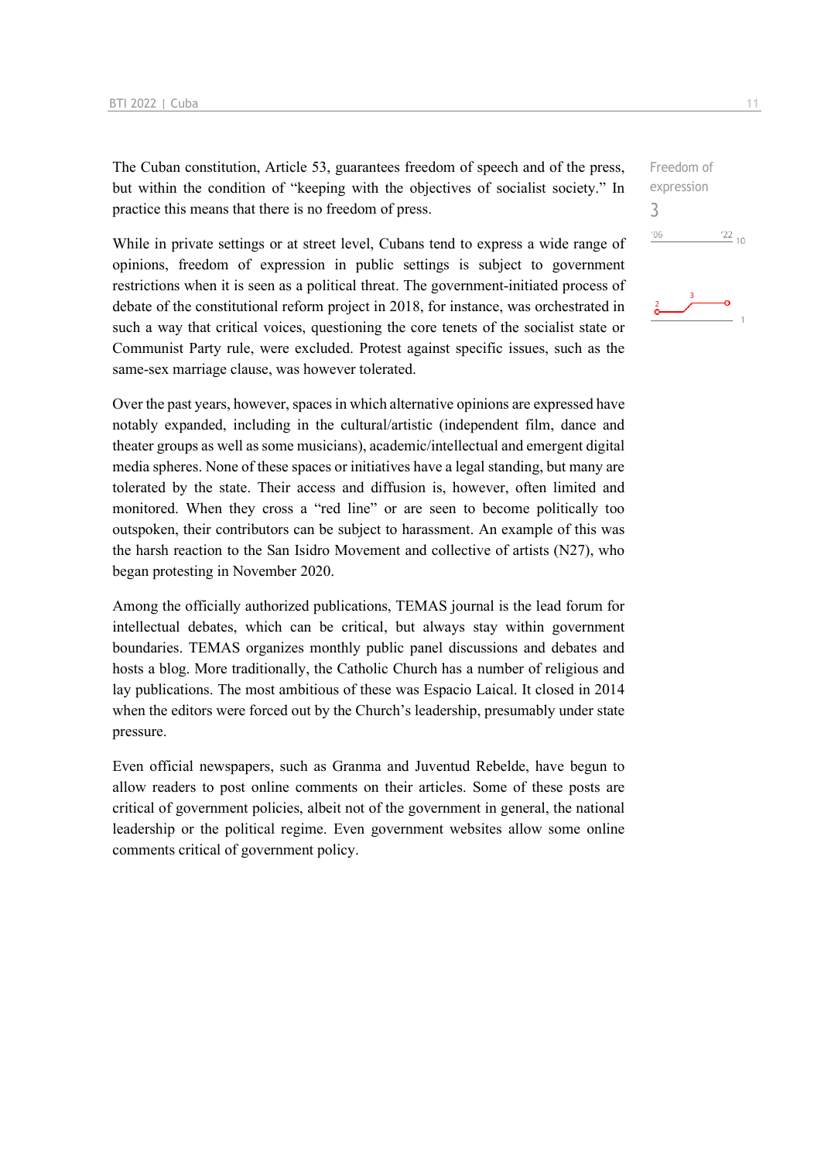The Cuban constitution, Article 53, guarantees freedom of speech and of the press, but within the condition of "keeping with the objectives of socialist society." In practice this means that there is no freedom of press.

While in private settings or at street level, Cubans tend to express a wide range of opinions, freedom of expression in public settings is subject to government restrictions when it is seen as a political threat. The government-initiated process of debate of the constitutional reform project in 2018, for instance, was orchestrated in such a way that critical voices, questioning the core tenets of the socialist state or Communist Party rule, were excluded. Protest against specific issues, such as the same-sex marriage clause, was however tolerated.

Over the past years, however, spaces in which alternative opinions are expressed have notably expanded, including in the cultural/artistic (independent film, dance and theater groups as well as some musicians), academic/intellectual and emergent digital media spheres. None of these spaces or initiatives have a legal standing, but many are tolerated by the state. Their access and diffusion is, however, often limited and monitored. When they cross a "red line" or are seen to become politically too outspoken, their contributors can be subject to harassment. An example of this was the harsh reaction to the San Isidro Movement and collective of artists (N27), who began protesting in November 2020.

Among the officially authorized publications, TEMAS journal is the lead forum for intellectual debates, which can be critical, but always stay within government boundaries. TEMAS organizes monthly public panel discussions and debates and hosts a blog. More traditionally, the Catholic Church has a number of religious and lay publications. The most ambitious of these was Espacio Laical. It closed in 2014 when the editors were forced out by the Church's leadership, presumably under state pressure.

Even official newspapers, such as Granma and Juventud Rebelde, have begun to allow readers to post online comments on their articles. Some of these posts are critical of government policies, albeit not of the government in general, the national leadership or the political regime. Even government websites allow some online comments critical of government policy.

Freedom of expression 3 $-06$  $\frac{22}{10}$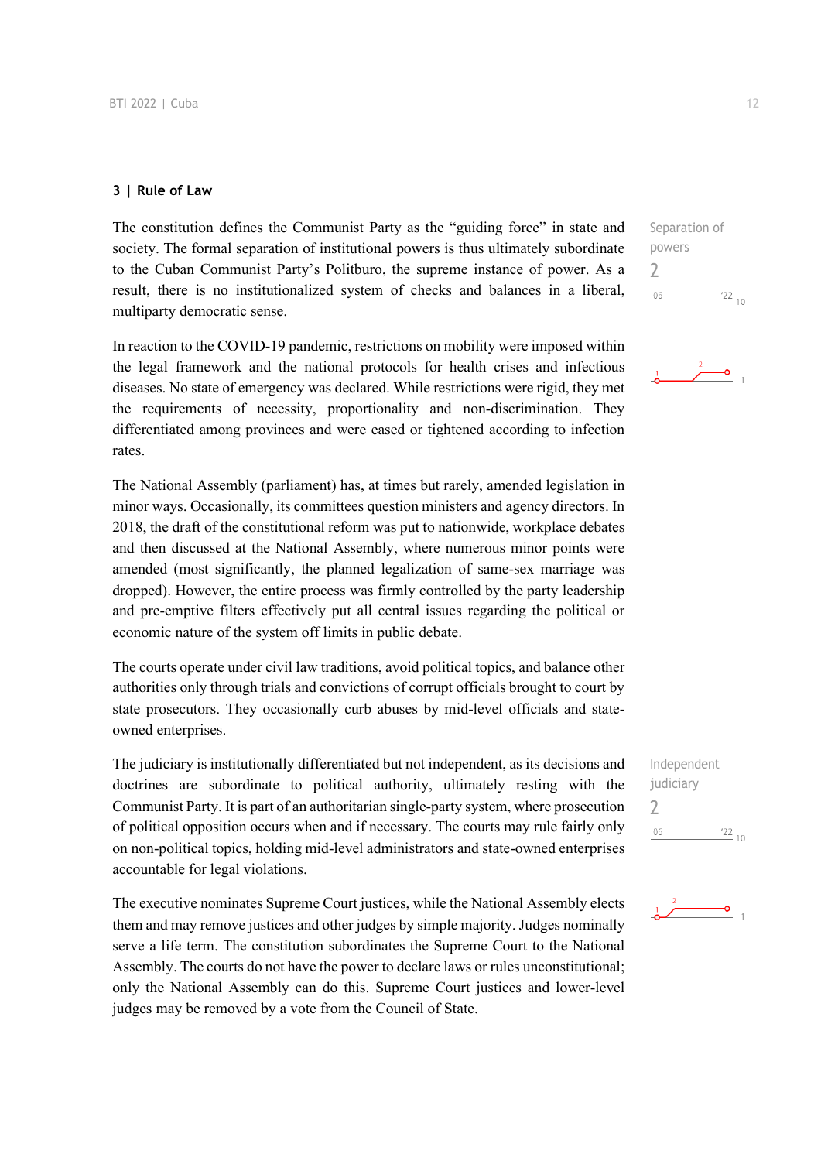### **3 | Rule of Law**

The constitution defines the Communist Party as the "guiding force" in state and society. The formal separation of institutional powers is thus ultimately subordinate to the Cuban Communist Party's Politburo, the supreme instance of power. As a result, there is no institutionalized system of checks and balances in a liberal, multiparty democratic sense.

In reaction to the COVID-19 pandemic, restrictions on mobility were imposed within the legal framework and the national protocols for health crises and infectious diseases. No state of emergency was declared. While restrictions were rigid, they met the requirements of necessity, proportionality and non-discrimination. They differentiated among provinces and were eased or tightened according to infection rates.

The National Assembly (parliament) has, at times but rarely, amended legislation in minor ways. Occasionally, its committees question ministers and agency directors. In 2018, the draft of the constitutional reform was put to nationwide, workplace debates and then discussed at the National Assembly, where numerous minor points were amended (most significantly, the planned legalization of same-sex marriage was dropped). However, the entire process was firmly controlled by the party leadership and pre-emptive filters effectively put all central issues regarding the political or economic nature of the system off limits in public debate.

The courts operate under civil law traditions, avoid political topics, and balance other authorities only through trials and convictions of corrupt officials brought to court by state prosecutors. They occasionally curb abuses by mid-level officials and stateowned enterprises.

The judiciary is institutionally differentiated but not independent, as its decisions and doctrines are subordinate to political authority, ultimately resting with the Communist Party. It is part of an authoritarian single-party system, where prosecution of political opposition occurs when and if necessary. The courts may rule fairly only on non-political topics, holding mid-level administrators and state-owned enterprises accountable for legal violations.

The executive nominates Supreme Court justices, while the National Assembly elects them and may remove justices and other judges by simple majority. Judges nominally serve a life term. The constitution subordinates the Supreme Court to the National Assembly. The courts do not have the power to declare laws or rules unconstitutional; only the National Assembly can do this. Supreme Court justices and lower-level judges may be removed by a vote from the Council of State.

Separation of powers 2  $^{\prime}06$  $\frac{22}{10}$ 

![](_page_11_Picture_9.jpeg)

Independent judiciary 2 $\frac{22}{10}$  $'06$ 

![](_page_11_Picture_11.jpeg)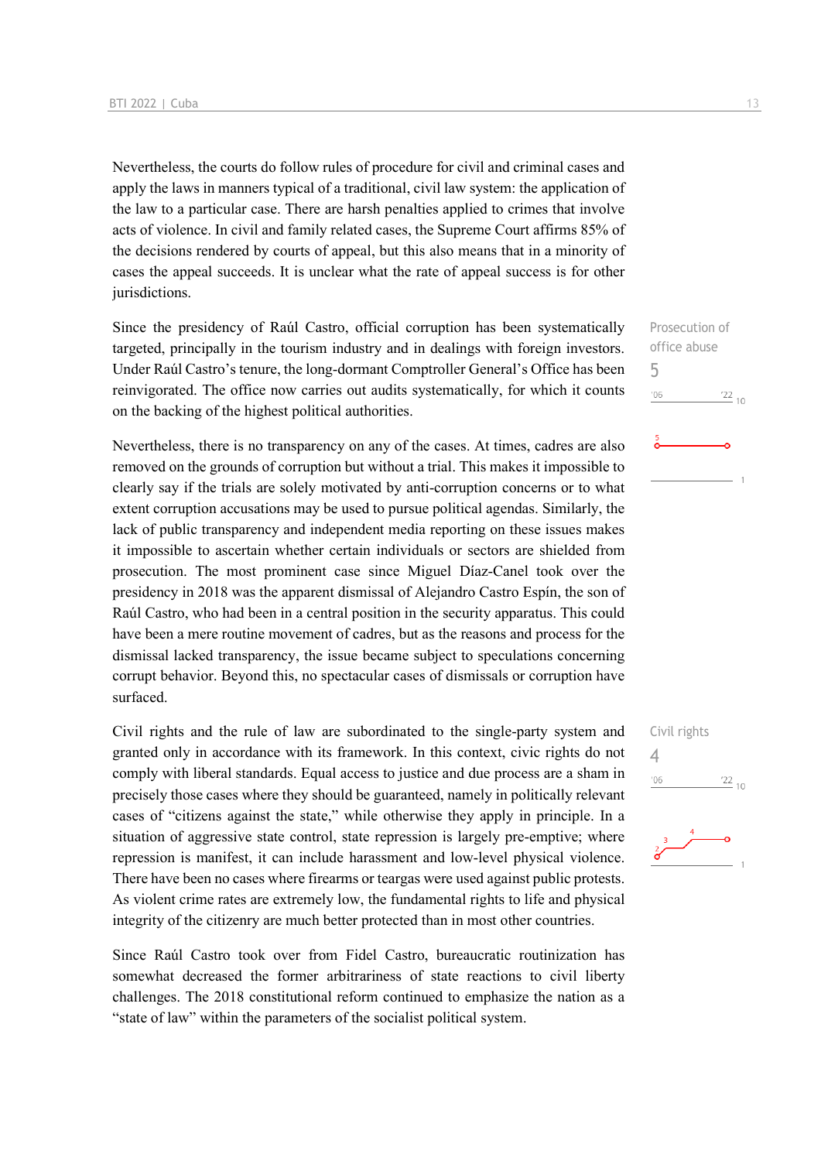Nevertheless, the courts do follow rules of procedure for civil and criminal cases and apply the laws in manners typical of a traditional, civil law system: the application of the law to a particular case. There are harsh penalties applied to crimes that involve acts of violence. In civil and family related cases, the Supreme Court affirms 85% of the decisions rendered by courts of appeal, but this also means that in a minority of cases the appeal succeeds. It is unclear what the rate of appeal success is for other jurisdictions.

Since the presidency of Raúl Castro, official corruption has been systematically targeted, principally in the tourism industry and in dealings with foreign investors. Under Raúl Castro's tenure, the long-dormant Comptroller General's Office has been reinvigorated. The office now carries out audits systematically, for which it counts on the backing of the highest political authorities.

Nevertheless, there is no transparency on any of the cases. At times, cadres are also removed on the grounds of corruption but without a trial. This makes it impossible to clearly say if the trials are solely motivated by anti-corruption concerns or to what extent corruption accusations may be used to pursue political agendas. Similarly, the lack of public transparency and independent media reporting on these issues makes it impossible to ascertain whether certain individuals or sectors are shielded from prosecution. The most prominent case since Miguel Díaz-Canel took over the presidency in 2018 was the apparent dismissal of Alejandro Castro Espín, the son of Raúl Castro, who had been in a central position in the security apparatus. This could have been a mere routine movement of cadres, but as the reasons and process for the dismissal lacked transparency, the issue became subject to speculations concerning corrupt behavior. Beyond this, no spectacular cases of dismissals or corruption have surfaced.

Civil rights and the rule of law are subordinated to the single-party system and granted only in accordance with its framework. In this context, civic rights do not comply with liberal standards. Equal access to justice and due process are a sham in precisely those cases where they should be guaranteed, namely in politically relevant cases of "citizens against the state," while otherwise they apply in principle. In a situation of aggressive state control, state repression is largely pre-emptive; where repression is manifest, it can include harassment and low-level physical violence. There have been no cases where firearms or teargas were used against public protests. As violent crime rates are extremely low, the fundamental rights to life and physical integrity of the citizenry are much better protected than in most other countries.

Since Raúl Castro took over from Fidel Castro, bureaucratic routinization has somewhat decreased the former arbitrariness of state reactions to civil liberty challenges. The 2018 constitutional reform continued to emphasize the nation as a "state of law" within the parameters of the socialist political system.

# Prosecution of office abuse 5  $\frac{22}{10}$  $-06$

![](_page_12_Figure_7.jpeg)

![](_page_12_Figure_8.jpeg)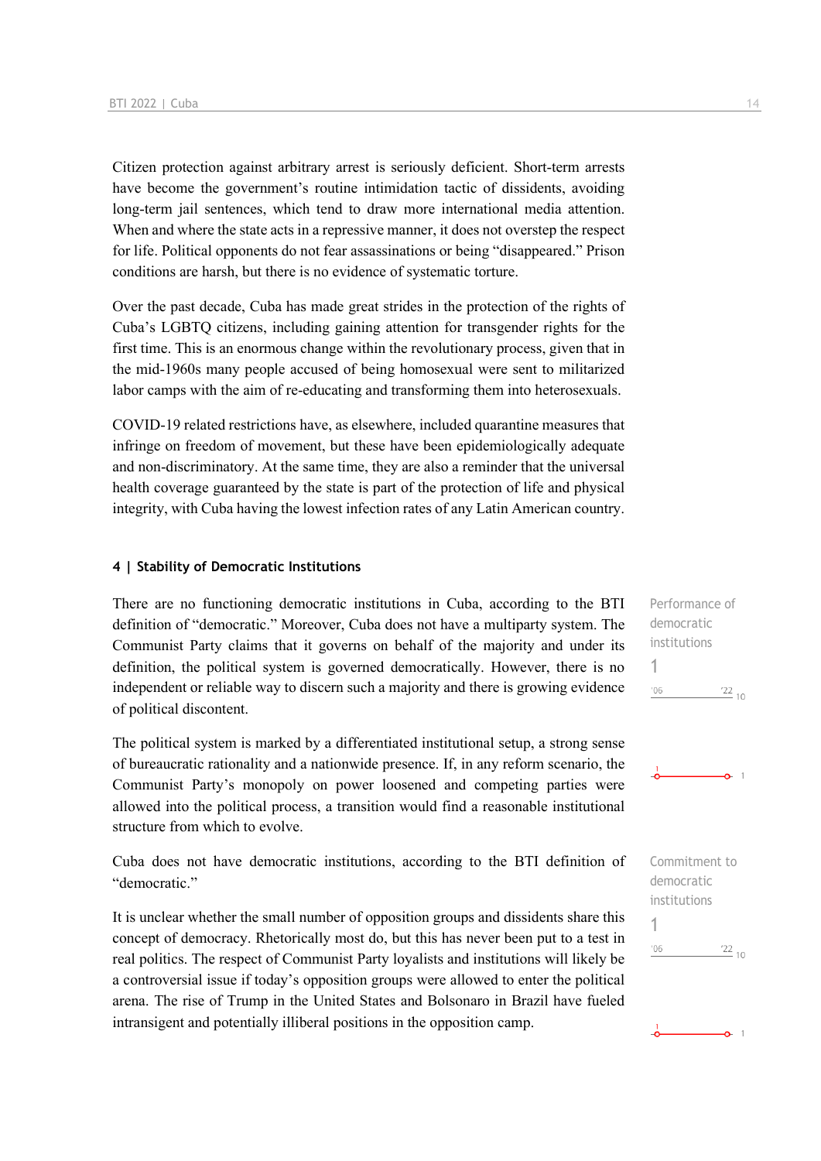Citizen protection against arbitrary arrest is seriously deficient. Short-term arrests have become the government's routine intimidation tactic of dissidents, avoiding long-term jail sentences, which tend to draw more international media attention. When and where the state acts in a repressive manner, it does not overstep the respect for life. Political opponents do not fear assassinations or being "disappeared." Prison conditions are harsh, but there is no evidence of systematic torture.

Over the past decade, Cuba has made great strides in the protection of the rights of Cuba's LGBTQ citizens, including gaining attention for transgender rights for the first time. This is an enormous change within the revolutionary process, given that in the mid-1960s many people accused of being homosexual were sent to militarized labor camps with the aim of re-educating and transforming them into heterosexuals.

COVID-19 related restrictions have, as elsewhere, included quarantine measures that infringe on freedom of movement, but these have been epidemiologically adequate and non-discriminatory. At the same time, they are also a reminder that the universal health coverage guaranteed by the state is part of the protection of life and physical integrity, with Cuba having the lowest infection rates of any Latin American country.

### **4 | Stability of Democratic Institutions**

There are no functioning democratic institutions in Cuba, according to the BTI definition of "democratic." Moreover, Cuba does not have a multiparty system. The Communist Party claims that it governs on behalf of the majority and under its definition, the political system is governed democratically. However, there is no independent or reliable way to discern such a majority and there is growing evidence of political discontent.

The political system is marked by a differentiated institutional setup, a strong sense of bureaucratic rationality and a nationwide presence. If, in any reform scenario, the Communist Party's monopoly on power loosened and competing parties were allowed into the political process, a transition would find a reasonable institutional structure from which to evolve.

Cuba does not have democratic institutions, according to the BTI definition of "democratic."

It is unclear whether the small number of opposition groups and dissidents share this concept of democracy. Rhetorically most do, but this has never been put to a test in real politics. The respect of Communist Party loyalists and institutions will likely be a controversial issue if today's opposition groups were allowed to enter the political arena. The rise of Trump in the United States and Bolsonaro in Brazil have fueled intransigent and potentially illiberal positions in the opposition camp.

Performance of democratic institutions

 $\frac{22}{10}$ 

 $\sim$  1

 $\frac{22}{10}$ 

 $-0 - 1$ 

Commitment to democratic institutions

1

 $'06$ 

1

 $106$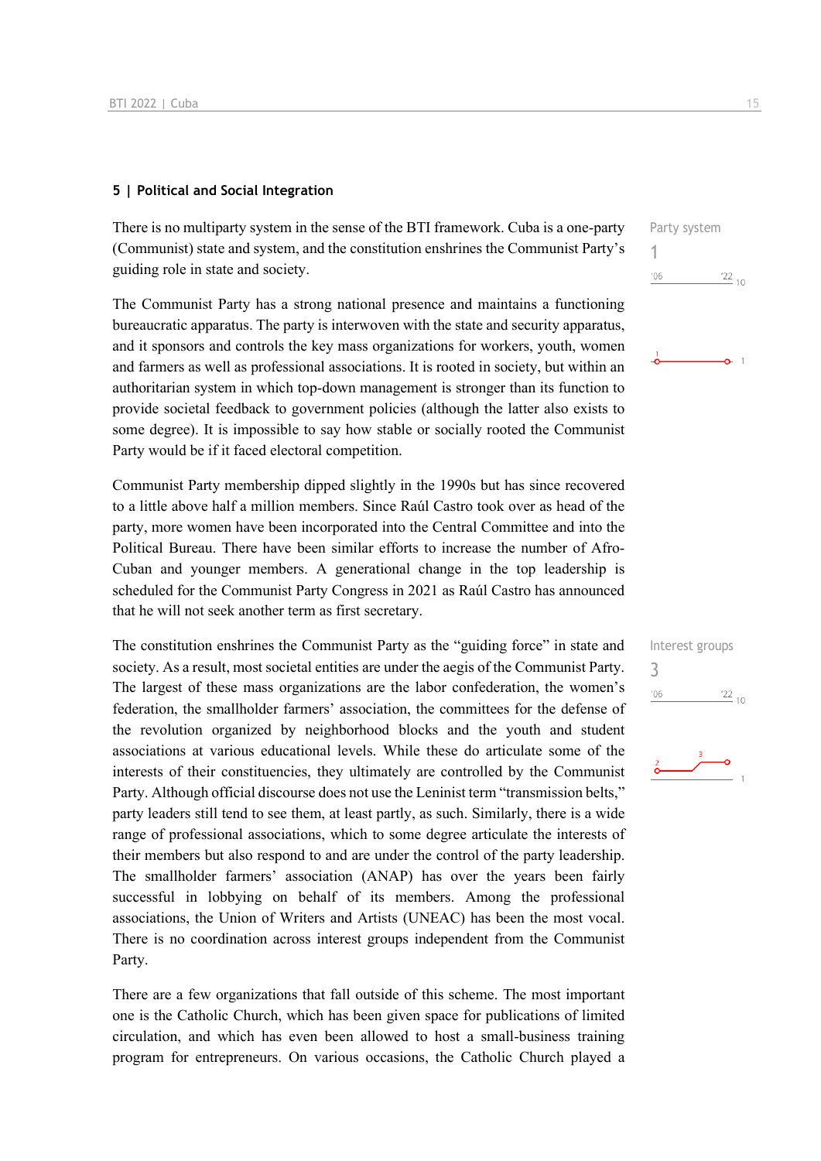### **5 | Political and Social Integration**

There is no multiparty system in the sense of the BTI framework. Cuba is a one-party (Communist) state and system, and the constitution enshrines the Communist Party's guiding role in state and society.

The Communist Party has a strong national presence and maintains a functioning bureaucratic apparatus. The party is interwoven with the state and security apparatus, and it sponsors and controls the key mass organizations for workers, youth, women and farmers as well as professional associations. It is rooted in society, but within an authoritarian system in which top-down management is stronger than its function to provide societal feedback to government policies (although the latter also exists to some degree). It is impossible to say how stable or socially rooted the Communist Party would be if it faced electoral competition.

Communist Party membership dipped slightly in the 1990s but has since recovered to a little above half a million members. Since Raúl Castro took over as head of the party, more women have been incorporated into the Central Committee and into the Political Bureau. There have been similar efforts to increase the number of Afro-Cuban and younger members. A generational change in the top leadership is scheduled for the Communist Party Congress in 2021 as Raúl Castro has announced that he will not seek another term as first secretary.

The constitution enshrines the Communist Party as the "guiding force" in state and society. As a result, most societal entities are under the aegis of the Communist Party. The largest of these mass organizations are the labor confederation, the women's federation, the smallholder farmers' association, the committees for the defense of the revolution organized by neighborhood blocks and the youth and student associations at various educational levels. While these do articulate some of the interests of their constituencies, they ultimately are controlled by the Communist Party. Although official discourse does not use the Leninist term "transmission belts," party leaders still tend to see them, at least partly, as such. Similarly, there is a wide range of professional associations, which to some degree articulate the interests of their members but also respond to and are under the control of the party leadership. The smallholder farmers' association (ANAP) has over the years been fairly successful in lobbying on behalf of its members. Among the professional associations, the Union of Writers and Artists (UNEAC) has been the most vocal. There is no coordination across interest groups independent from the Communist Party.

There are a few organizations that fall outside of this scheme. The most important one is the Catholic Church, which has been given space for publications of limited circulation, and which has even been allowed to host a small-business training program for entrepreneurs. On various occasions, the Catholic Church played a

![](_page_14_Figure_7.jpeg)

![](_page_14_Figure_8.jpeg)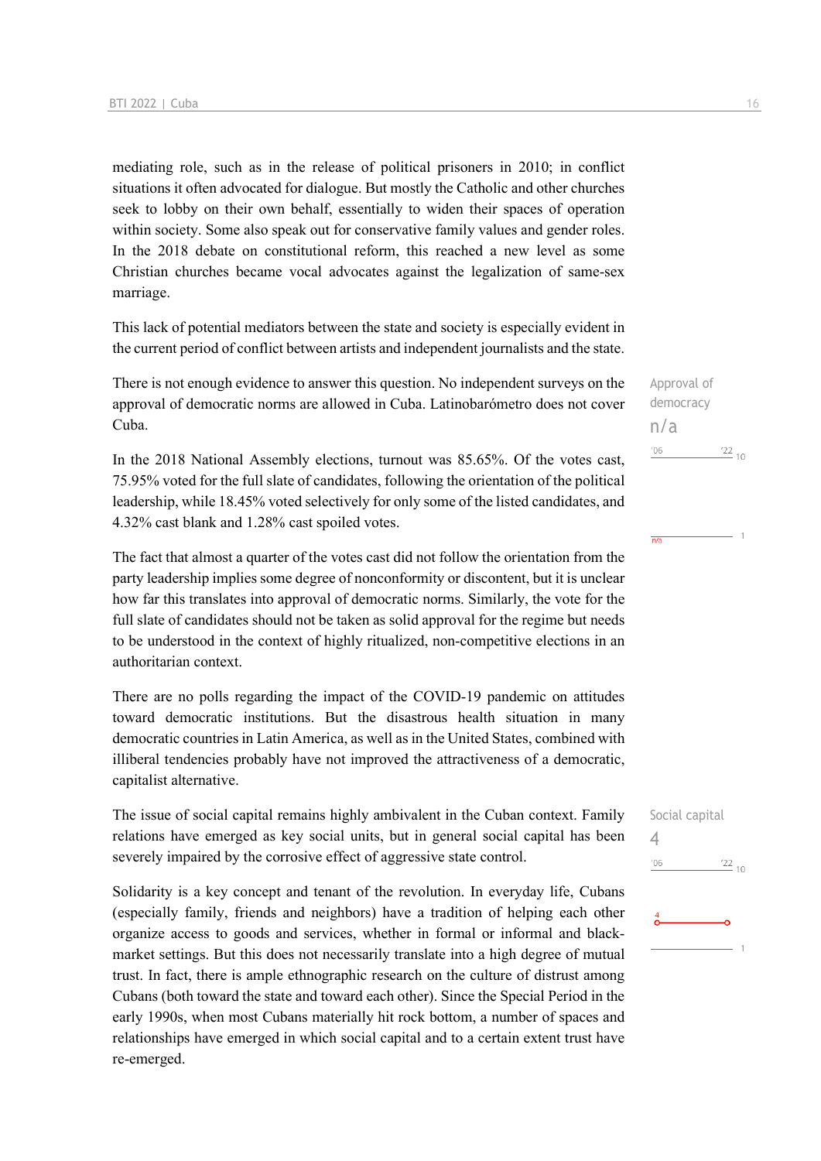mediating role, such as in the release of political prisoners in 2010; in conflict situations it often advocated for dialogue. But mostly the Catholic and other churches seek to lobby on their own behalf, essentially to widen their spaces of operation within society. Some also speak out for conservative family values and gender roles. In the 2018 debate on constitutional reform, this reached a new level as some Christian churches became vocal advocates against the legalization of same-sex marriage.

This lack of potential mediators between the state and society is especially evident in the current period of conflict between artists and independent journalists and the state.

There is not enough evidence to answer this question. No independent surveys on the approval of democratic norms are allowed in Cuba. Latinobarómetro does not cover Cuba.

In the 2018 National Assembly elections, turnout was 85.65%. Of the votes cast, 75.95% voted for the full slate of candidates, following the orientation of the political leadership, while 18.45% voted selectively for only some of the listed candidates, and 4.32% cast blank and 1.28% cast spoiled votes.

The fact that almost a quarter of the votes cast did not follow the orientation from the party leadership implies some degree of nonconformity or discontent, but it is unclear how far this translates into approval of democratic norms. Similarly, the vote for the full slate of candidates should not be taken as solid approval for the regime but needs to be understood in the context of highly ritualized, non-competitive elections in an authoritarian context.

There are no polls regarding the impact of the COVID-19 pandemic on attitudes toward democratic institutions. But the disastrous health situation in many democratic countries in Latin America, as well as in the United States, combined with illiberal tendencies probably have not improved the attractiveness of a democratic, capitalist alternative.

The issue of social capital remains highly ambivalent in the Cuban context. Family relations have emerged as key social units, but in general social capital has been severely impaired by the corrosive effect of aggressive state control.

Solidarity is a key concept and tenant of the revolution. In everyday life, Cubans (especially family, friends and neighbors) have a tradition of helping each other organize access to goods and services, whether in formal or informal and blackmarket settings. But this does not necessarily translate into a high degree of mutual trust. In fact, there is ample ethnographic research on the culture of distrust among Cubans (both toward the state and toward each other). Since the Special Period in the early 1990s, when most Cubans materially hit rock bottom, a number of spaces and relationships have emerged in which social capital and to a certain extent trust have re-emerged.

Approval of democracy n/a  $06'$  $\frac{22}{10}$ 

 $\overline{n/a}$ 

![](_page_15_Picture_10.jpeg)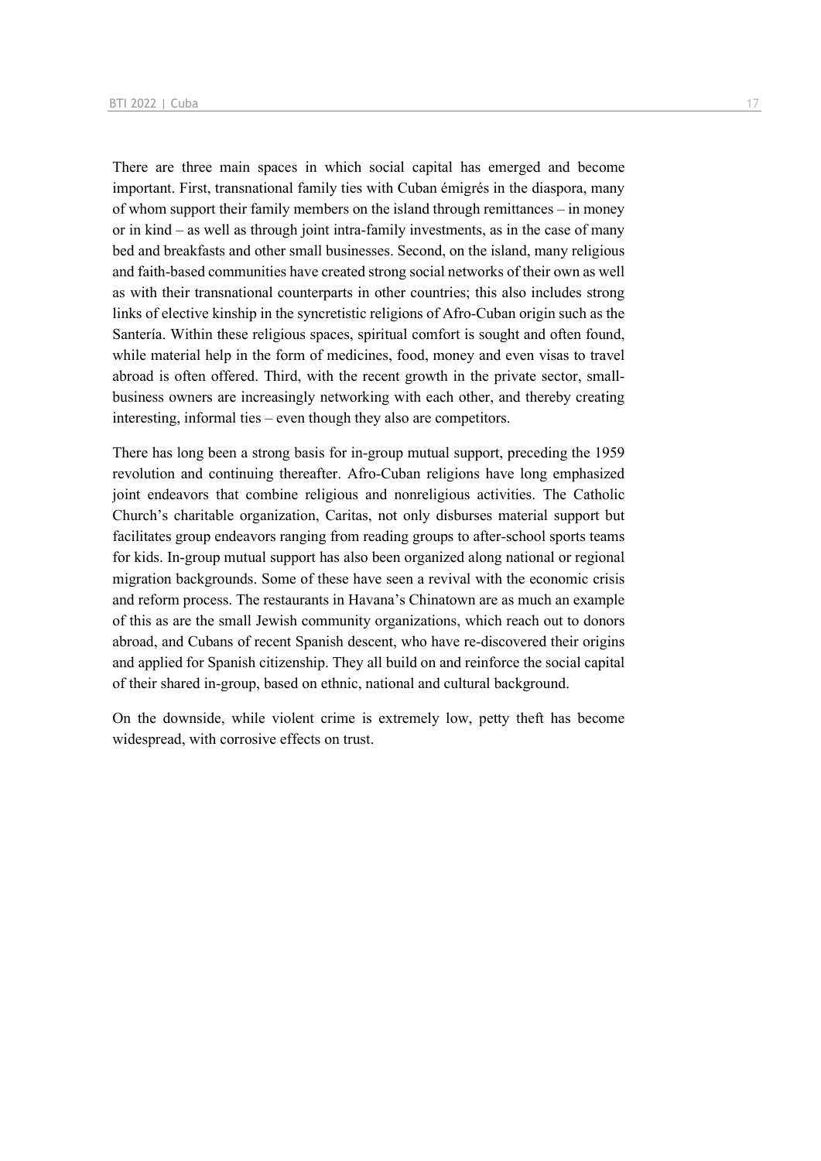There are three main spaces in which social capital has emerged and become important. First, transnational family ties with Cuban émigrés in the diaspora, many of whom support their family members on the island through remittances – in money or in kind – as well as through joint intra-family investments, as in the case of many bed and breakfasts and other small businesses. Second, on the island, many religious and faith-based communities have created strong social networks of their own as well as with their transnational counterparts in other countries; this also includes strong links of elective kinship in the syncretistic religions of Afro-Cuban origin such as the Santería. Within these religious spaces, spiritual comfort is sought and often found, while material help in the form of medicines, food, money and even visas to travel abroad is often offered. Third, with the recent growth in the private sector, smallbusiness owners are increasingly networking with each other, and thereby creating interesting, informal ties – even though they also are competitors.

There has long been a strong basis for in-group mutual support, preceding the 1959 revolution and continuing thereafter. Afro-Cuban religions have long emphasized joint endeavors that combine religious and nonreligious activities. The Catholic Church's charitable organization, Caritas, not only disburses material support but facilitates group endeavors ranging from reading groups to after-school sports teams for kids. In-group mutual support has also been organized along national or regional migration backgrounds. Some of these have seen a revival with the economic crisis and reform process. The restaurants in Havana's Chinatown are as much an example of this as are the small Jewish community organizations, which reach out to donors abroad, and Cubans of recent Spanish descent, who have re-discovered their origins and applied for Spanish citizenship. They all build on and reinforce the social capital of their shared in-group, based on ethnic, national and cultural background.

On the downside, while violent crime is extremely low, petty theft has become widespread, with corrosive effects on trust.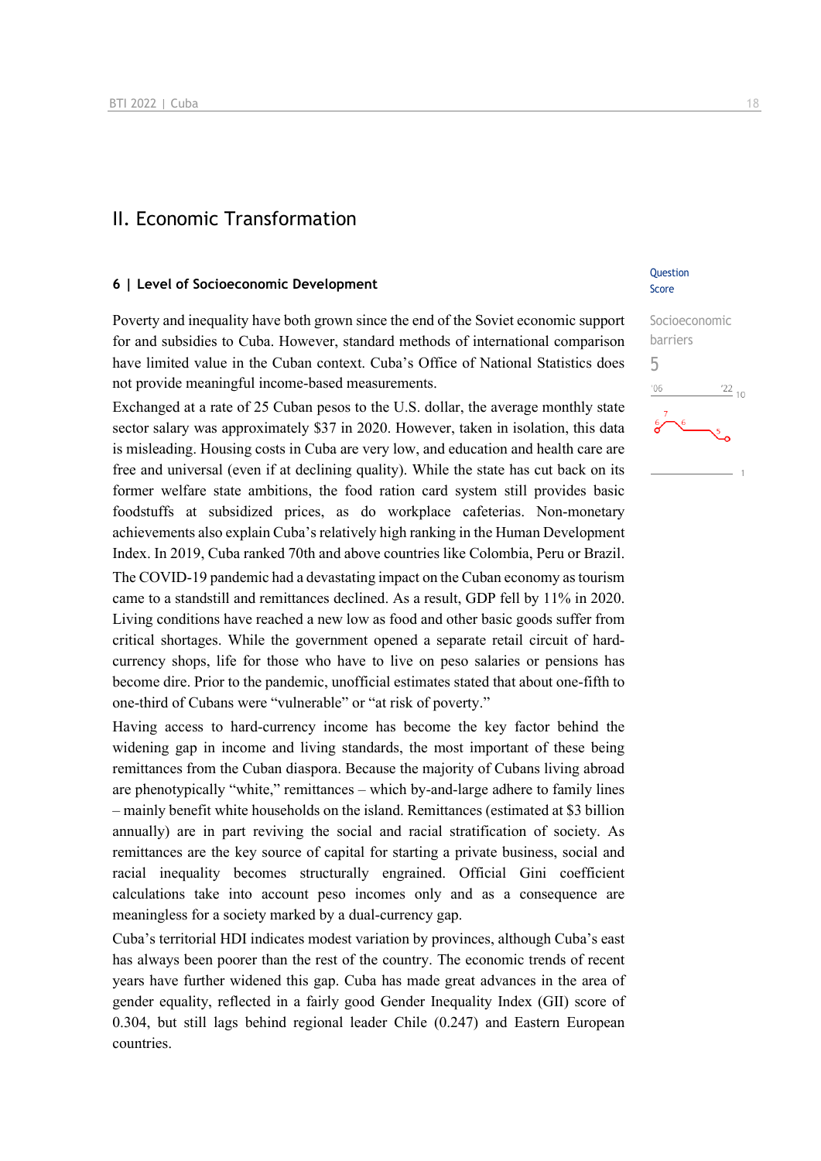### II. Economic Transformation

### **6 | Level of Socioeconomic Development**

Poverty and inequality have both grown since the end of the Soviet economic support for and subsidies to Cuba. However, standard methods of international comparison have limited value in the Cuban context. Cuba's Office of National Statistics does not provide meaningful income-based measurements.

Exchanged at a rate of 25 Cuban pesos to the U.S. dollar, the average monthly state sector salary was approximately \$37 in 2020. However, taken in isolation, this data is misleading. Housing costs in Cuba are very low, and education and health care are free and universal (even if at declining quality). While the state has cut back on its former welfare state ambitions, the food ration card system still provides basic foodstuffs at subsidized prices, as do workplace cafeterias. Non-monetary achievements also explain Cuba's relatively high ranking in the Human Development Index. In 2019, Cuba ranked 70th and above countries like Colombia, Peru or Brazil. The COVID-19 pandemic had a devastating impact on the Cuban economy as tourism came to a standstill and remittances declined. As a result, GDP fell by 11% in 2020. Living conditions have reached a new low as food and other basic goods suffer from critical shortages. While the government opened a separate retail circuit of hardcurrency shops, life for those who have to live on peso salaries or pensions has become dire. Prior to the pandemic, unofficial estimates stated that about one-fifth to one-third of Cubans were "vulnerable" or "at risk of poverty."

Having access to hard-currency income has become the key factor behind the widening gap in income and living standards, the most important of these being remittances from the Cuban diaspora. Because the majority of Cubans living abroad are phenotypically "white," remittances – which by-and-large adhere to family lines – mainly benefit white households on the island. Remittances (estimated at \$3 billion annually) are in part reviving the social and racial stratification of society. As remittances are the key source of capital for starting a private business, social and racial inequality becomes structurally engrained. Official Gini coefficient calculations take into account peso incomes only and as a consequence are meaningless for a society marked by a dual-currency gap.

Cuba's territorial HDI indicates modest variation by provinces, although Cuba's east has always been poorer than the rest of the country. The economic trends of recent years have further widened this gap. Cuba has made great advances in the area of gender equality, reflected in a fairly good Gender Inequality Index (GII) score of 0.304, but still lags behind regional leader Chile (0.247) and Eastern European countries.

### **Ouestion** Score

# Socioeconomic barriers 5 $\frac{22}{10}$  $-06$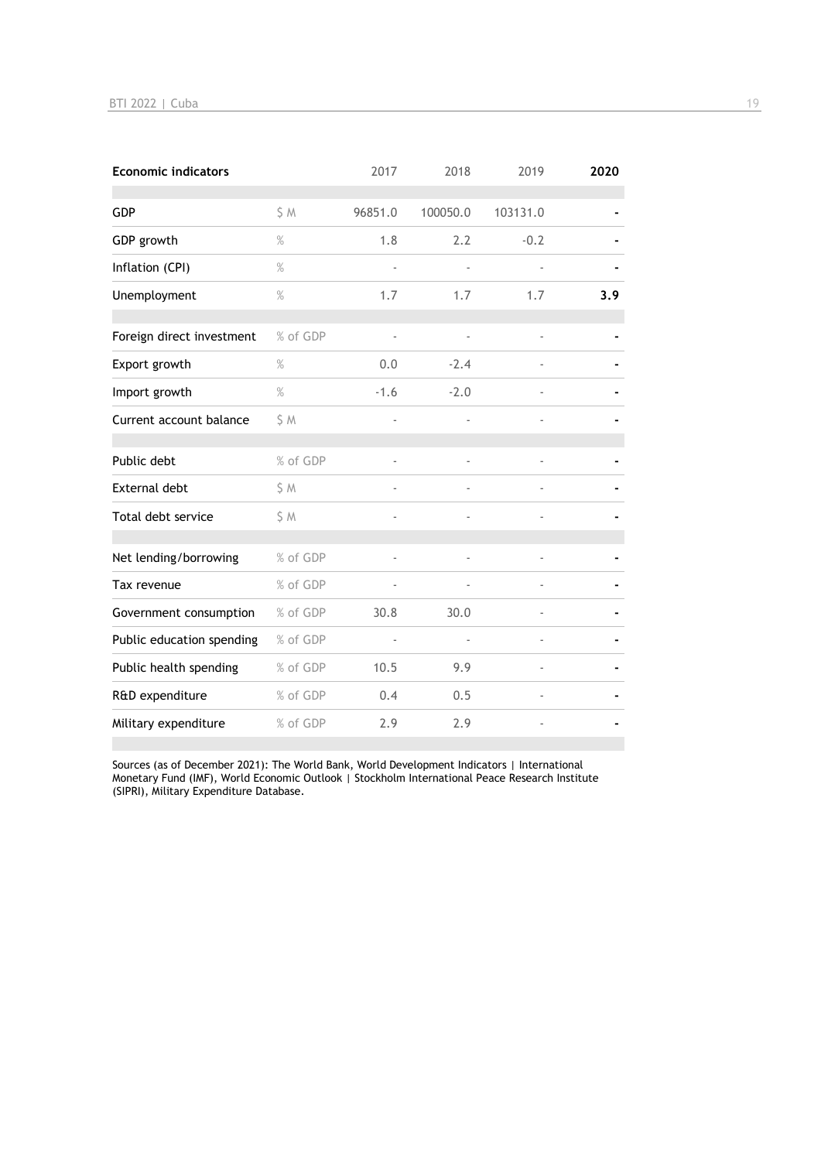| <b>Economic indicators</b> |          | 2017           | 2018                     | 2019           | 2020 |
|----------------------------|----------|----------------|--------------------------|----------------|------|
| <b>GDP</b>                 | S M      | 96851.0        | 100050.0                 | 103131.0       |      |
| GDP growth                 | $\%$     | 1.8            | 2.2                      | $-0.2$         |      |
| Inflation (CPI)            | $\%$     |                |                          |                |      |
| Unemployment               | $\%$     | 1.7            | 1.7                      | 1.7            | 3.9  |
|                            |          |                |                          |                |      |
| Foreign direct investment  | % of GDP | $\blacksquare$ | $\overline{\phantom{a}}$ |                |      |
| Export growth              | $\%$     | 0.0            | $-2.4$                   |                |      |
| Import growth              | $\%$     | $-1.6$         | $-2.0$                   |                |      |
| Current account balance    | \$M      |                |                          |                |      |
| Public debt                | % of GDP |                |                          |                |      |
| External debt              | \$ M     |                |                          |                |      |
| Total debt service         | \$M      | ä,             |                          |                |      |
| Net lending/borrowing      | % of GDP |                |                          |                |      |
| Tax revenue                | % of GDP |                |                          |                |      |
| Government consumption     | % of GDP | 30.8           | 30.0                     |                |      |
| Public education spending  | % of GDP | $\blacksquare$ | $\blacksquare$           | $\overline{a}$ |      |
| Public health spending     | % of GDP | 10.5           | 9.9                      |                |      |
| R&D expenditure            | % of GDP | 0.4            | 0.5                      |                |      |
| Military expenditure       | % of GDP | 2.9            | 2.9                      |                |      |

Sources (as of December 2021): The World Bank, World Development Indicators | International Monetary Fund (IMF), World Economic Outlook | Stockholm International Peace Research Institute (SIPRI), Military Expenditure Database.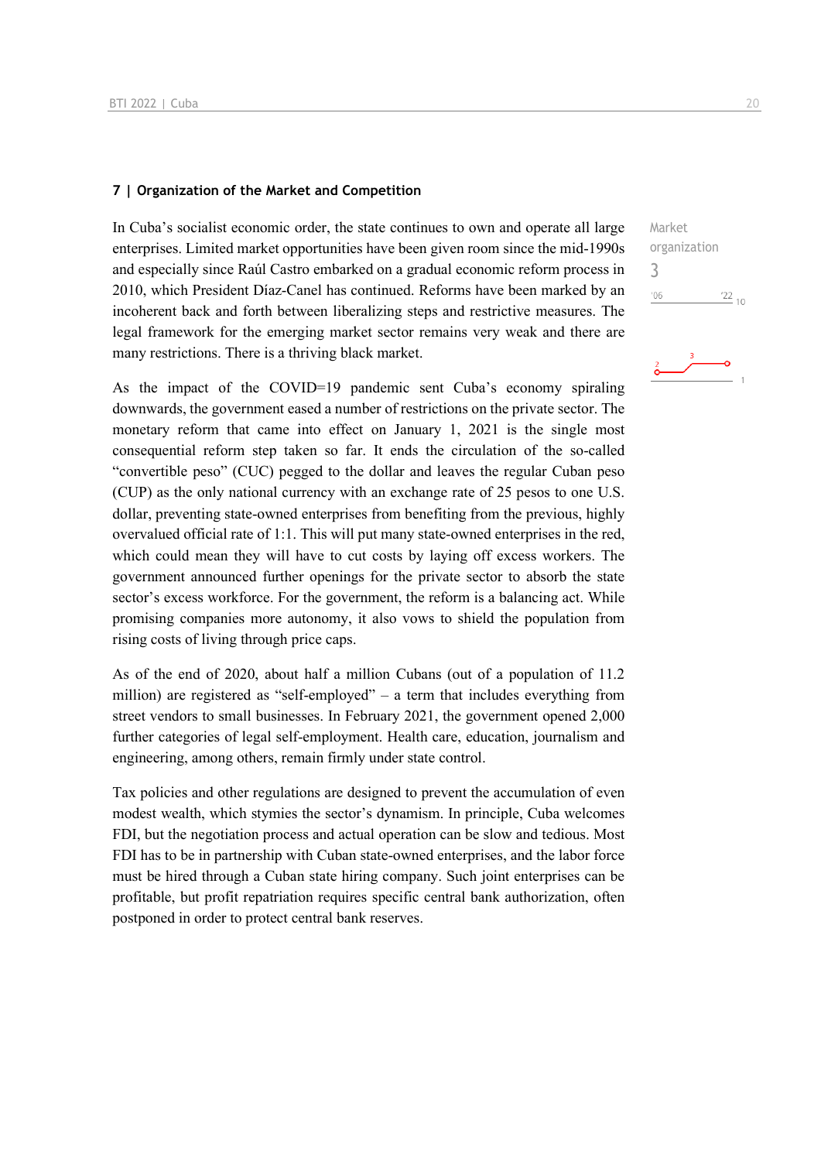### **7 | Organization of the Market and Competition**

In Cuba's socialist economic order, the state continues to own and operate all large enterprises. Limited market opportunities have been given room since the mid-1990s and especially since Raúl Castro embarked on a gradual economic reform process in 2010, which President Díaz-Canel has continued. Reforms have been marked by an incoherent back and forth between liberalizing steps and restrictive measures. The legal framework for the emerging market sector remains very weak and there are many restrictions. There is a thriving black market.

As the impact of the COVID=19 pandemic sent Cuba's economy spiraling downwards, the government eased a number of restrictions on the private sector. The monetary reform that came into effect on January 1, 2021 is the single most consequential reform step taken so far. It ends the circulation of the so-called "convertible peso" (CUC) pegged to the dollar and leaves the regular Cuban peso (CUP) as the only national currency with an exchange rate of 25 pesos to one U.S. dollar, preventing state-owned enterprises from benefiting from the previous, highly overvalued official rate of 1:1. This will put many state-owned enterprises in the red, which could mean they will have to cut costs by laying off excess workers. The government announced further openings for the private sector to absorb the state sector's excess workforce. For the government, the reform is a balancing act. While promising companies more autonomy, it also vows to shield the population from rising costs of living through price caps.

As of the end of 2020, about half a million Cubans (out of a population of 11.2 million) are registered as "self-employed" – a term that includes everything from street vendors to small businesses. In February 2021, the government opened 2,000 further categories of legal self-employment. Health care, education, journalism and engineering, among others, remain firmly under state control.

Tax policies and other regulations are designed to prevent the accumulation of even modest wealth, which stymies the sector's dynamism. In principle, Cuba welcomes FDI, but the negotiation process and actual operation can be slow and tedious. Most FDI has to be in partnership with Cuban state-owned enterprises, and the labor force must be hired through a Cuban state hiring company. Such joint enterprises can be profitable, but profit repatriation requires specific central bank authorization, often postponed in order to protect central bank reserves.

Market organization 3 $06'$  $\frac{22}{10}$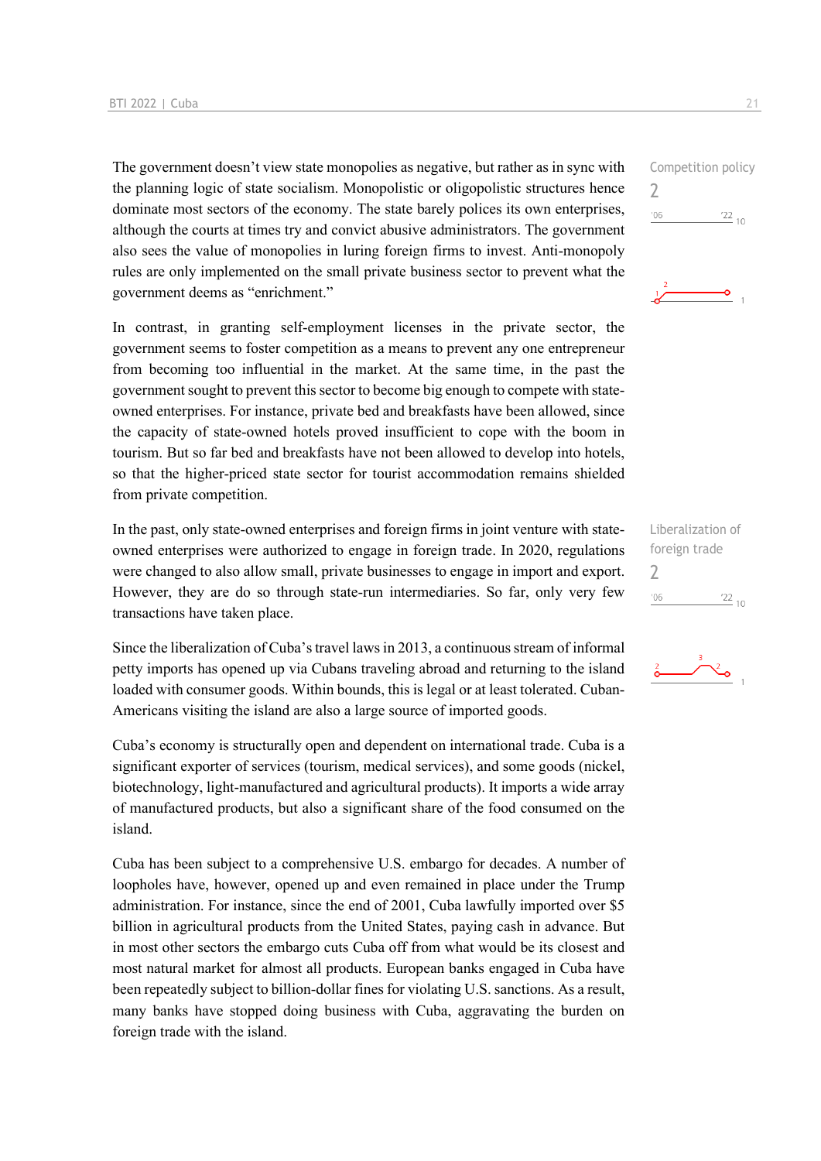The government doesn't view state monopolies as negative, but rather as in sync with the planning logic of state socialism. Monopolistic or oligopolistic structures hence dominate most sectors of the economy. The state barely polices its own enterprises, although the courts at times try and convict abusive administrators. The government also sees the value of monopolies in luring foreign firms to invest. Anti-monopoly rules are only implemented on the small private business sector to prevent what the government deems as "enrichment."

In contrast, in granting self-employment licenses in the private sector, the government seems to foster competition as a means to prevent any one entrepreneur from becoming too influential in the market. At the same time, in the past the government sought to prevent this sector to become big enough to compete with stateowned enterprises. For instance, private bed and breakfasts have been allowed, since the capacity of state-owned hotels proved insufficient to cope with the boom in tourism. But so far bed and breakfasts have not been allowed to develop into hotels, so that the higher-priced state sector for tourist accommodation remains shielded from private competition.

In the past, only state-owned enterprises and foreign firms in joint venture with stateowned enterprises were authorized to engage in foreign trade. In 2020, regulations were changed to also allow small, private businesses to engage in import and export. However, they are do so through state-run intermediaries. So far, only very few transactions have taken place.

Since the liberalization of Cuba's travel laws in 2013, a continuous stream of informal petty imports has opened up via Cubans traveling abroad and returning to the island loaded with consumer goods. Within bounds, this is legal or at least tolerated. Cuban-Americans visiting the island are also a large source of imported goods.

Cuba's economy is structurally open and dependent on international trade. Cuba is a significant exporter of services (tourism, medical services), and some goods (nickel, biotechnology, light-manufactured and agricultural products). It imports a wide array of manufactured products, but also a significant share of the food consumed on the island.

Cuba has been subject to a comprehensive U.S. embargo for decades. A number of loopholes have, however, opened up and even remained in place under the Trump administration. For instance, since the end of 2001, Cuba lawfully imported over \$5 billion in agricultural products from the United States, paying cash in advance. But in most other sectors the embargo cuts Cuba off from what would be its closest and most natural market for almost all products. European banks engaged in Cuba have been repeatedly subject to billion-dollar fines for violating U.S. sanctions. As a result, many banks have stopped doing business with Cuba, aggravating the burden on foreign trade with the island.

Competition policy  $\overline{\phantom{0}}$  $^{\prime}06$  $^{22}$  10 ö

Liberalization of foreign trade 2 $'06$  $\frac{22}{10}$ 

![](_page_20_Picture_9.jpeg)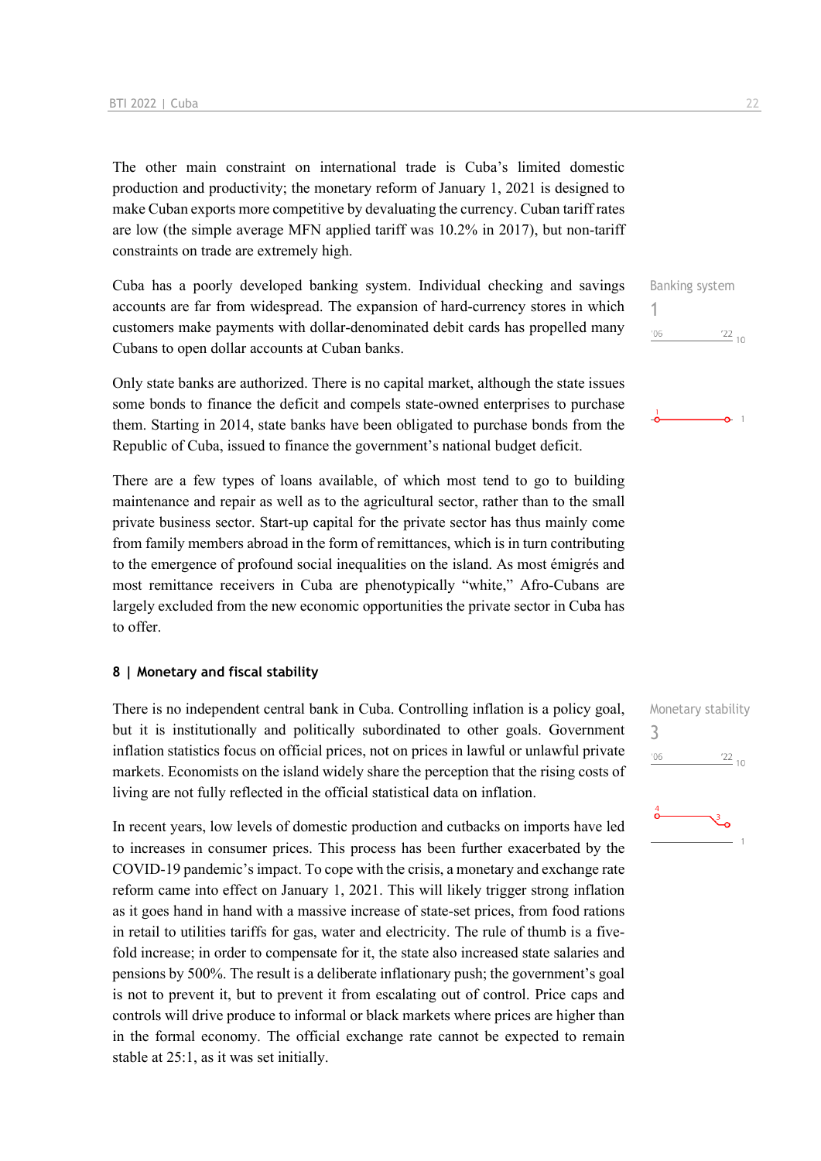The other main constraint on international trade is Cuba's limited domestic production and productivity; the monetary reform of January 1, 2021 is designed to make Cuban exports more competitive by devaluating the currency. Cuban tariff rates are low (the simple average MFN applied tariff was 10.2% in 2017), but non-tariff constraints on trade are extremely high.

Cuba has a poorly developed banking system. Individual checking and savings accounts are far from widespread. The expansion of hard-currency stores in which customers make payments with dollar-denominated debit cards has propelled many Cubans to open dollar accounts at Cuban banks.

Only state banks are authorized. There is no capital market, although the state issues some bonds to finance the deficit and compels state-owned enterprises to purchase them. Starting in 2014, state banks have been obligated to purchase bonds from the Republic of Cuba, issued to finance the government's national budget deficit.

There are a few types of loans available, of which most tend to go to building maintenance and repair as well as to the agricultural sector, rather than to the small private business sector. Start-up capital for the private sector has thus mainly come from family members abroad in the form of remittances, which is in turn contributing to the emergence of profound social inequalities on the island. As most émigrés and most remittance receivers in Cuba are phenotypically "white," Afro-Cubans are largely excluded from the new economic opportunities the private sector in Cuba has to offer.

### **8 | Monetary and fiscal stability**

There is no independent central bank in Cuba. Controlling inflation is a policy goal, but it is institutionally and politically subordinated to other goals. Government inflation statistics focus on official prices, not on prices in lawful or unlawful private markets. Economists on the island widely share the perception that the rising costs of living are not fully reflected in the official statistical data on inflation.

In recent years, low levels of domestic production and cutbacks on imports have led to increases in consumer prices. This process has been further exacerbated by the COVID-19 pandemic's impact. To cope with the crisis, a monetary and exchange rate reform came into effect on January 1, 2021. This will likely trigger strong inflation as it goes hand in hand with a massive increase of state-set prices, from food rations in retail to utilities tariffs for gas, water and electricity. The rule of thumb is a fivefold increase; in order to compensate for it, the state also increased state salaries and pensions by 500%. The result is a deliberate inflationary push; the government's goal is not to prevent it, but to prevent it from escalating out of control. Price caps and controls will drive produce to informal or black markets where prices are higher than in the formal economy. The official exchange rate cannot be expected to remain stable at 25:1, as it was set initially.

 $0<sup>-1</sup>$ 

![](_page_21_Figure_9.jpeg)

![](_page_21_Picture_10.jpeg)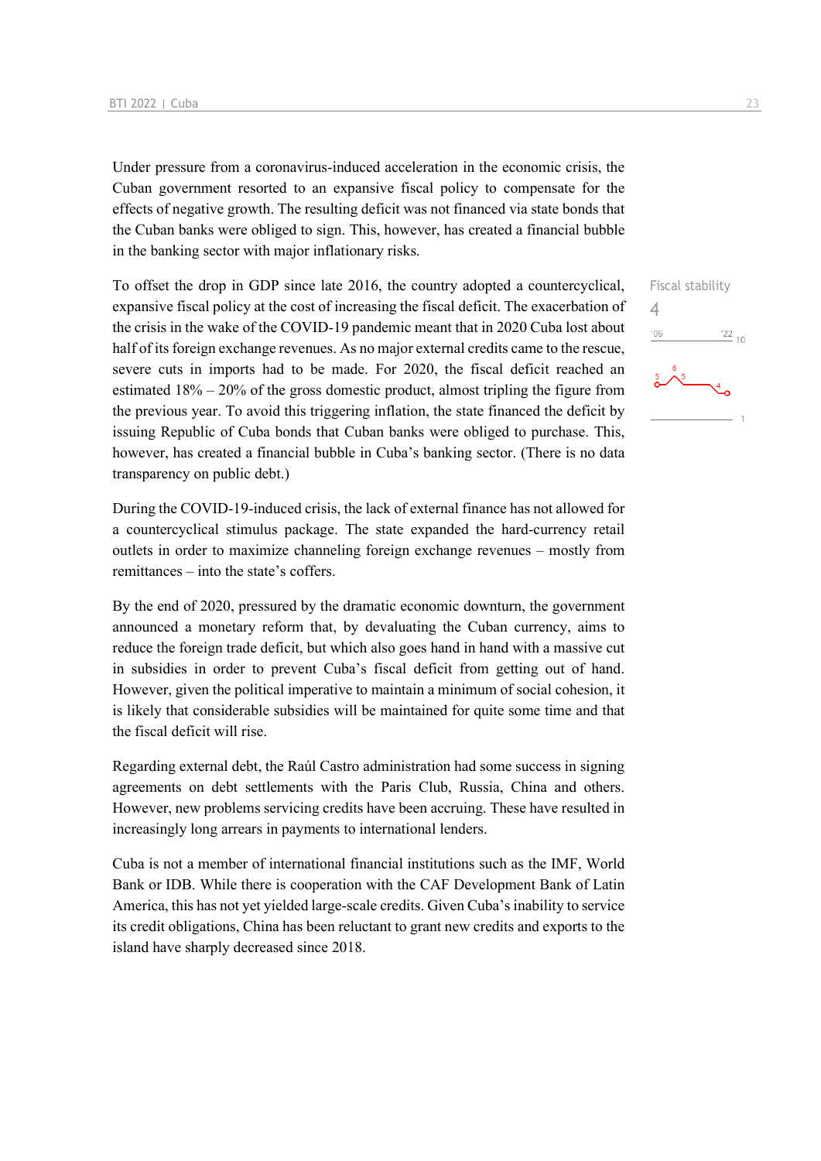Under pressure from a coronavirus-induced acceleration in the economic crisis, the Cuban government resorted to an expansive fiscal policy to compensate for the effects of negative growth. The resulting deficit was not financed via state bonds that the Cuban banks were obliged to sign. This, however, has created a financial bubble in the banking sector with major inflationary risks.

To offset the drop in GDP since late 2016, the country adopted a countercyclical, expansive fiscal policy at the cost of increasing the fiscal deficit. The exacerbation of the crisis in the wake of the COVID-19 pandemic meant that in 2020 Cuba lost about half of its foreign exchange revenues. As no major external credits came to the rescue, severe cuts in imports had to be made. For 2020, the fiscal deficit reached an estimated  $18\% - 20\%$  of the gross domestic product, almost tripling the figure from the previous year. To avoid this triggering inflation, the state financed the deficit by issuing Republic of Cuba bonds that Cuban banks were obliged to purchase. This, however, has created a financial bubble in Cuba's banking sector. (There is no data transparency on public debt.)

During the COVID-19-induced crisis, the lack of external finance has not allowed for a countercyclical stimulus package. The state expanded the hard-currency retail outlets in order to maximize channeling foreign exchange revenues – mostly from remittances – into the state's coffers.

By the end of 2020, pressured by the dramatic economic downturn, the government announced a monetary reform that, by devaluating the Cuban currency, aims to reduce the foreign trade deficit, but which also goes hand in hand with a massive cut in subsidies in order to prevent Cuba's fiscal deficit from getting out of hand. However, given the political imperative to maintain a minimum of social cohesion, it is likely that considerable subsidies will be maintained for quite some time and that the fiscal deficit will rise.

Regarding external debt, the Raúl Castro administration had some success in signing agreements on debt settlements with the Paris Club, Russia, China and others. However, new problems servicing credits have been accruing. These have resulted in increasingly long arrears in payments to international lenders.

Cuba is not a member of international financial institutions such as the IMF, World Bank or IDB. While there is cooperation with the CAF Development Bank of Latin America, this has not yet yielded large-scale credits. Given Cuba's inability to service its credit obligations, China has been reluctant to grant new credits and exports to the island have sharply decreased since 2018.

![](_page_22_Figure_7.jpeg)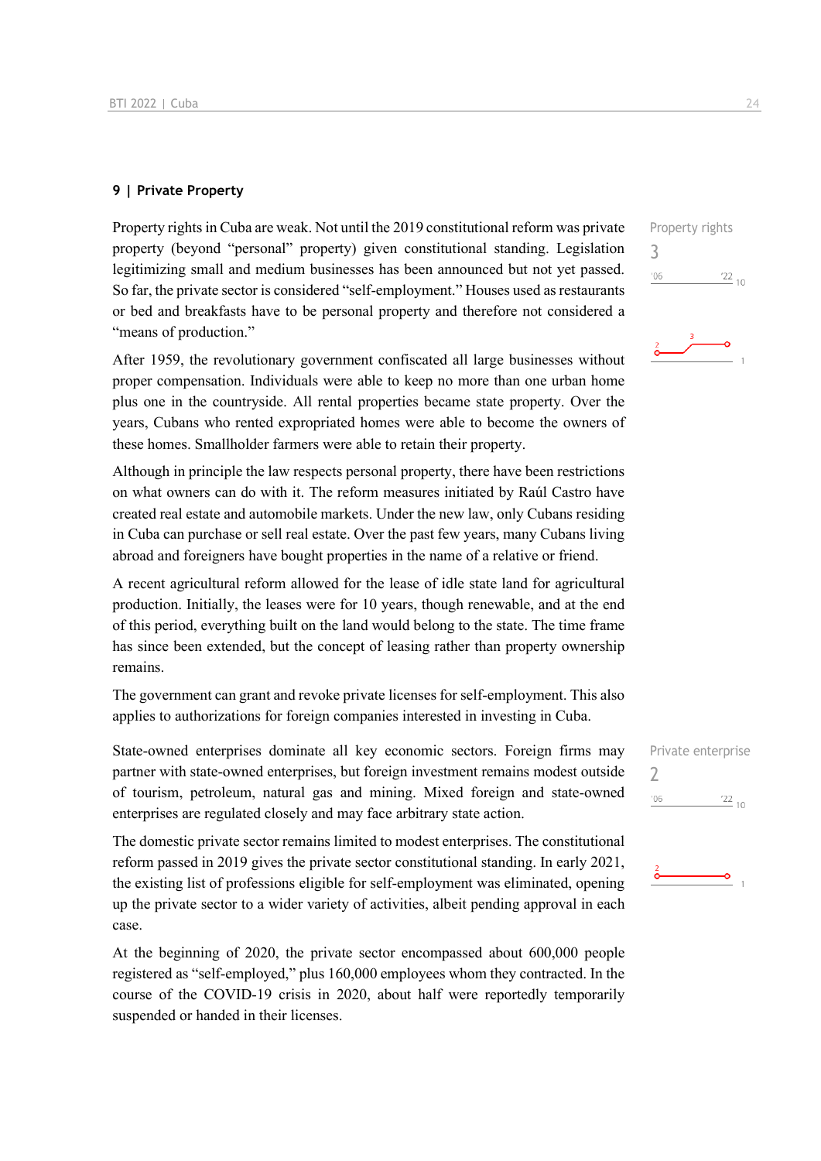### **9 | Private Property**

Property rights in Cuba are weak. Not until the 2019 constitutional reform was private property (beyond "personal" property) given constitutional standing. Legislation legitimizing small and medium businesses has been announced but not yet passed. So far, the private sector is considered "self-employment." Houses used as restaurants or bed and breakfasts have to be personal property and therefore not considered a "means of production."

After 1959, the revolutionary government confiscated all large businesses without proper compensation. Individuals were able to keep no more than one urban home plus one in the countryside. All rental properties became state property. Over the years, Cubans who rented expropriated homes were able to become the owners of these homes. Smallholder farmers were able to retain their property.

Although in principle the law respects personal property, there have been restrictions on what owners can do with it. The reform measures initiated by Raúl Castro have created real estate and automobile markets. Under the new law, only Cubans residing in Cuba can purchase or sell real estate. Over the past few years, many Cubans living abroad and foreigners have bought properties in the name of a relative or friend.

A recent agricultural reform allowed for the lease of idle state land for agricultural production. Initially, the leases were for 10 years, though renewable, and at the end of this period, everything built on the land would belong to the state. The time frame has since been extended, but the concept of leasing rather than property ownership remains.

The government can grant and revoke private licenses for self-employment. This also applies to authorizations for foreign companies interested in investing in Cuba.

State-owned enterprises dominate all key economic sectors. Foreign firms may partner with state-owned enterprises, but foreign investment remains modest outside of tourism, petroleum, natural gas and mining. Mixed foreign and state-owned enterprises are regulated closely and may face arbitrary state action.

The domestic private sector remains limited to modest enterprises. The constitutional reform passed in 2019 gives the private sector constitutional standing. In early 2021, the existing list of professions eligible for self-employment was eliminated, opening up the private sector to a wider variety of activities, albeit pending approval in each case.

At the beginning of 2020, the private sector encompassed about 600,000 people registered as "self-employed," plus 160,000 employees whom they contracted. In the course of the COVID-19 crisis in 2020, about half were reportedly temporarily suspended or handed in their licenses.

Property rights 3  $\frac{22}{10}$  $'06$ 

![](_page_23_Figure_12.jpeg)

![](_page_23_Picture_13.jpeg)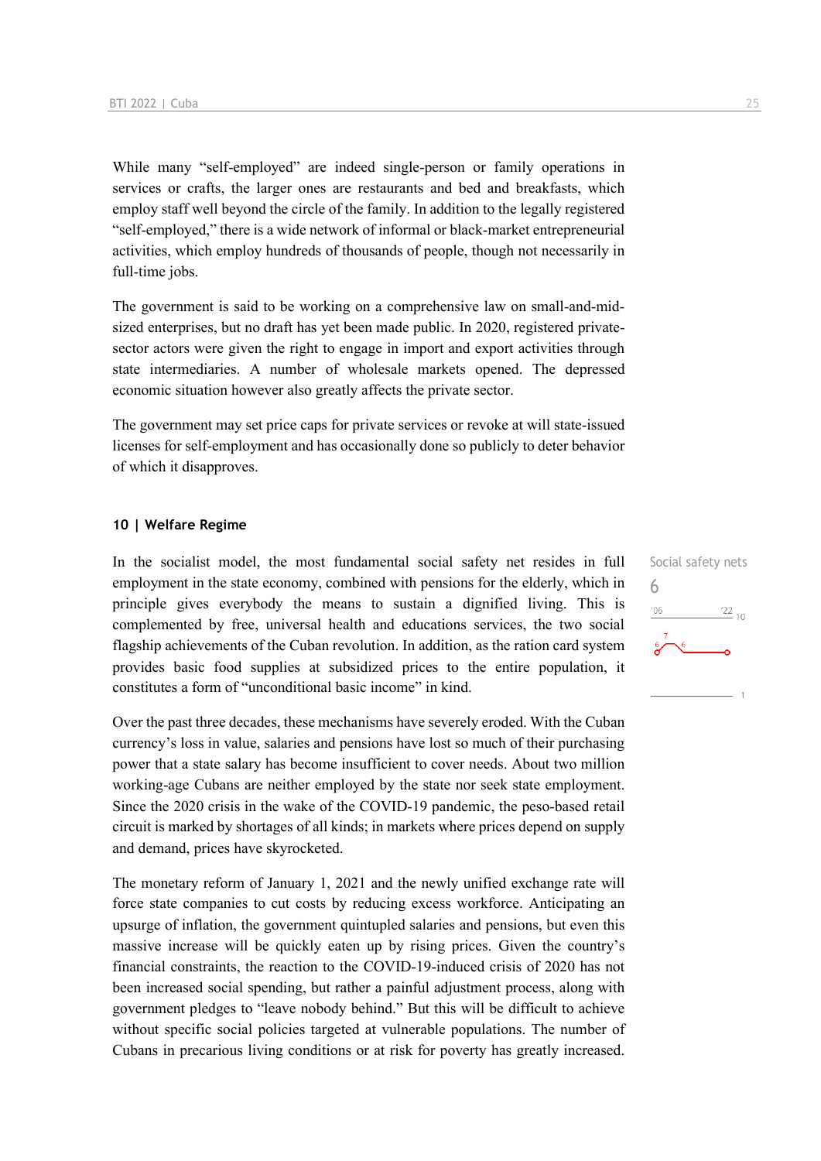While many "self-employed" are indeed single-person or family operations in services or crafts, the larger ones are restaurants and bed and breakfasts, which employ staff well beyond the circle of the family. In addition to the legally registered "self-employed," there is a wide network of informal or black-market entrepreneurial activities, which employ hundreds of thousands of people, though not necessarily in full-time jobs.

The government is said to be working on a comprehensive law on small-and-midsized enterprises, but no draft has yet been made public. In 2020, registered privatesector actors were given the right to engage in import and export activities through state intermediaries. A number of wholesale markets opened. The depressed economic situation however also greatly affects the private sector.

The government may set price caps for private services or revoke at will state-issued licenses for self-employment and has occasionally done so publicly to deter behavior of which it disapproves.

### **10 | Welfare Regime**

In the socialist model, the most fundamental social safety net resides in full employment in the state economy, combined with pensions for the elderly, which in principle gives everybody the means to sustain a dignified living. This is complemented by free, universal health and educations services, the two social flagship achievements of the Cuban revolution. In addition, as the ration card system provides basic food supplies at subsidized prices to the entire population, it constitutes a form of "unconditional basic income" in kind.

Over the past three decades, these mechanisms have severely eroded. With the Cuban currency's loss in value, salaries and pensions have lost so much of their purchasing power that a state salary has become insufficient to cover needs. About two million working-age Cubans are neither employed by the state nor seek state employment. Since the 2020 crisis in the wake of the COVID-19 pandemic, the peso-based retail circuit is marked by shortages of all kinds; in markets where prices depend on supply and demand, prices have skyrocketed.

The monetary reform of January 1, 2021 and the newly unified exchange rate will force state companies to cut costs by reducing excess workforce. Anticipating an upsurge of inflation, the government quintupled salaries and pensions, but even this massive increase will be quickly eaten up by rising prices. Given the country's financial constraints, the reaction to the COVID-19-induced crisis of 2020 has not been increased social spending, but rather a painful adjustment process, along with government pledges to "leave nobody behind." But this will be difficult to achieve without specific social policies targeted at vulnerable populations. The number of Cubans in precarious living conditions or at risk for poverty has greatly increased.

Social safety nets 6 $\frac{22}{10}$  $'06$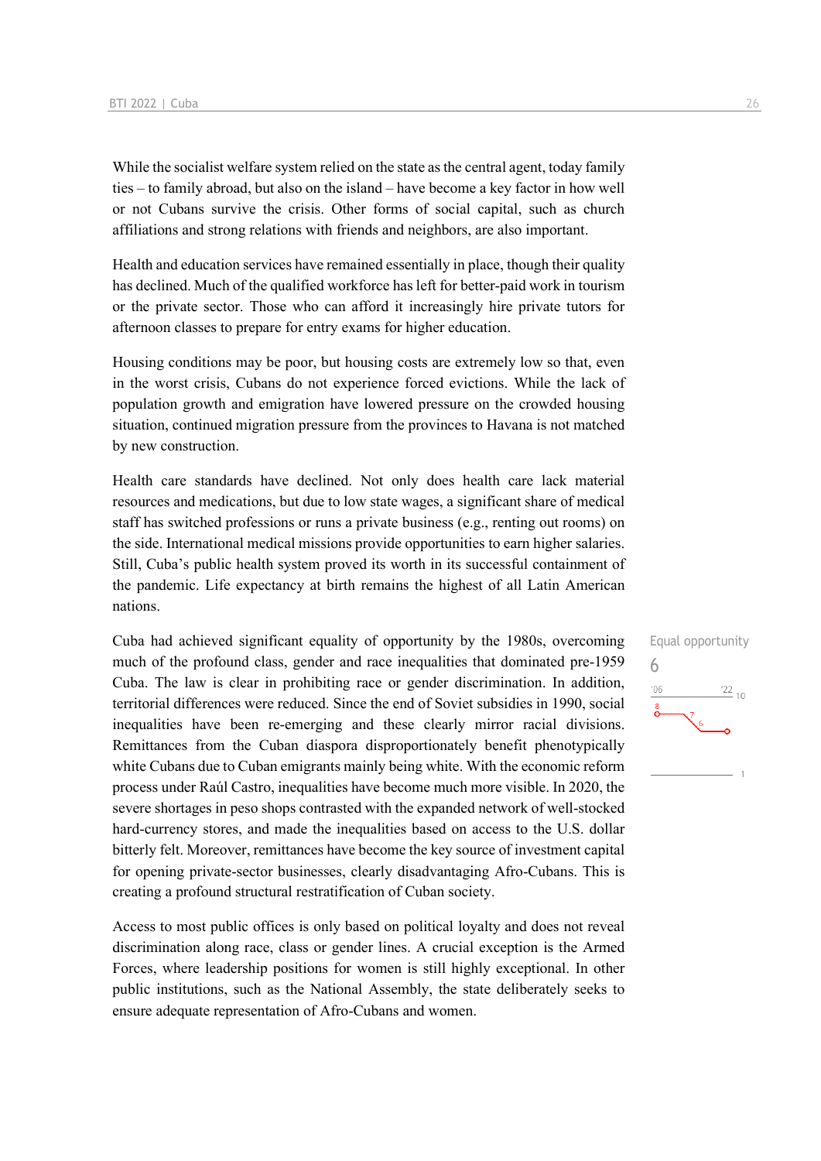While the socialist welfare system relied on the state as the central agent, today family ties – to family abroad, but also on the island – have become a key factor in how well or not Cubans survive the crisis. Other forms of social capital, such as church affiliations and strong relations with friends and neighbors, are also important.

Health and education services have remained essentially in place, though their quality has declined. Much of the qualified workforce has left for better-paid work in tourism or the private sector. Those who can afford it increasingly hire private tutors for afternoon classes to prepare for entry exams for higher education.

Housing conditions may be poor, but housing costs are extremely low so that, even in the worst crisis, Cubans do not experience forced evictions. While the lack of population growth and emigration have lowered pressure on the crowded housing situation, continued migration pressure from the provinces to Havana is not matched by new construction.

Health care standards have declined. Not only does health care lack material resources and medications, but due to low state wages, a significant share of medical staff has switched professions or runs a private business (e.g., renting out rooms) on the side. International medical missions provide opportunities to earn higher salaries. Still, Cuba's public health system proved its worth in its successful containment of the pandemic. Life expectancy at birth remains the highest of all Latin American nations.

Cuba had achieved significant equality of opportunity by the 1980s, overcoming much of the profound class, gender and race inequalities that dominated pre-1959 Cuba. The law is clear in prohibiting race or gender discrimination. In addition, territorial differences were reduced. Since the end of Soviet subsidies in 1990, social inequalities have been re-emerging and these clearly mirror racial divisions. Remittances from the Cuban diaspora disproportionately benefit phenotypically white Cubans due to Cuban emigrants mainly being white. With the economic reform process under Raúl Castro, inequalities have become much more visible. In 2020, the severe shortages in peso shops contrasted with the expanded network of well-stocked hard-currency stores, and made the inequalities based on access to the U.S. dollar bitterly felt. Moreover, remittances have become the key source of investment capital for opening private-sector businesses, clearly disadvantaging Afro-Cubans. This is creating a profound structural restratification of Cuban society.

Access to most public offices is only based on political loyalty and does not reveal discrimination along race, class or gender lines. A crucial exception is the Armed Forces, where leadership positions for women is still highly exceptional. In other public institutions, such as the National Assembly, the state deliberately seeks to ensure adequate representation of Afro-Cubans and women.

![](_page_25_Figure_7.jpeg)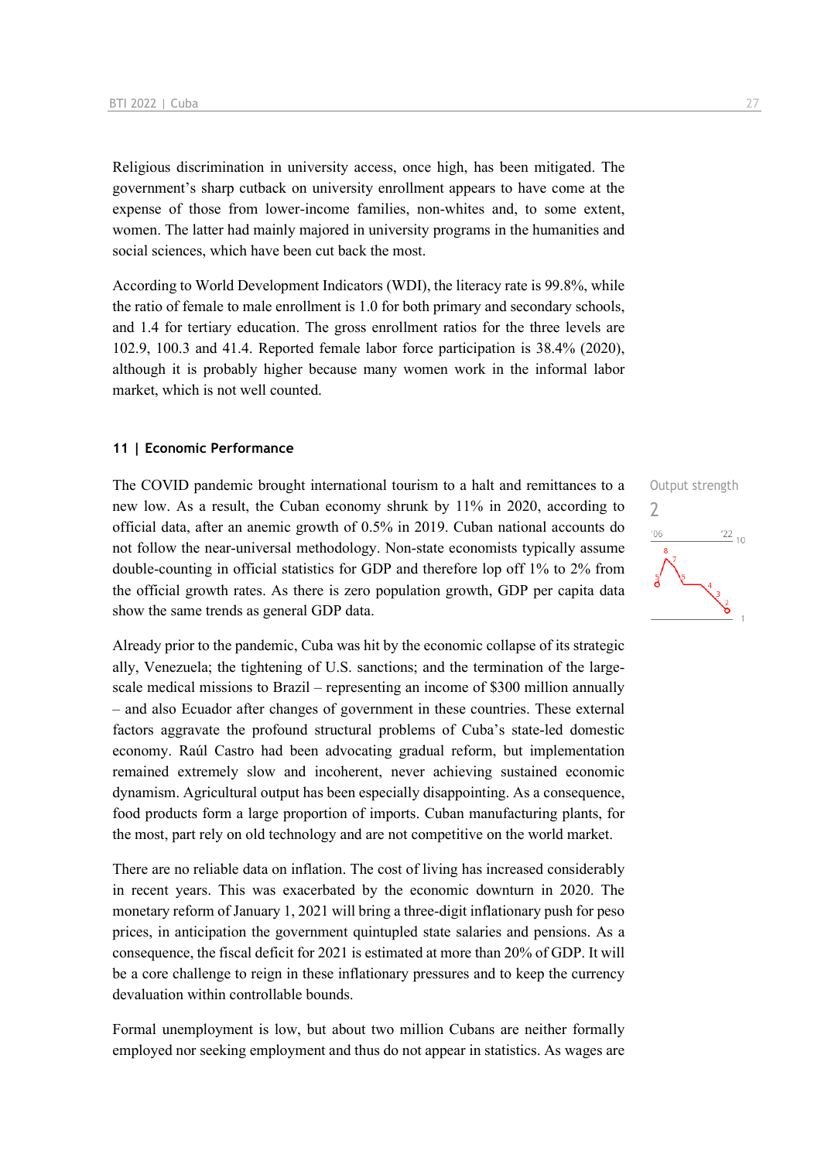Religious discrimination in university access, once high, has been mitigated. The government's sharp cutback on university enrollment appears to have come at the expense of those from lower-income families, non-whites and, to some extent, women. The latter had mainly majored in university programs in the humanities and social sciences, which have been cut back the most.

According to World Development Indicators (WDI), the literacy rate is 99.8%, while the ratio of female to male enrollment is 1.0 for both primary and secondary schools, and 1.4 for tertiary education. The gross enrollment ratios for the three levels are 102.9, 100.3 and 41.4. Reported female labor force participation is 38.4% (2020), although it is probably higher because many women work in the informal labor market, which is not well counted.

### **11 | Economic Performance**

The COVID pandemic brought international tourism to a halt and remittances to a new low. As a result, the Cuban economy shrunk by 11% in 2020, according to official data, after an anemic growth of 0.5% in 2019. Cuban national accounts do not follow the near-universal methodology. Non-state economists typically assume double-counting in official statistics for GDP and therefore lop off 1% to 2% from the official growth rates. As there is zero population growth, GDP per capita data show the same trends as general GDP data.

Already prior to the pandemic, Cuba was hit by the economic collapse of its strategic ally, Venezuela; the tightening of U.S. sanctions; and the termination of the largescale medical missions to Brazil – representing an income of \$300 million annually – and also Ecuador after changes of government in these countries. These external factors aggravate the profound structural problems of Cuba's state-led domestic economy. Raúl Castro had been advocating gradual reform, but implementation remained extremely slow and incoherent, never achieving sustained economic dynamism. Agricultural output has been especially disappointing. As a consequence, food products form a large proportion of imports. Cuban manufacturing plants, for the most, part rely on old technology and are not competitive on the world market.

There are no reliable data on inflation. The cost of living has increased considerably in recent years. This was exacerbated by the economic downturn in 2020. The monetary reform of January 1, 2021 will bring a three-digit inflationary push for peso prices, in anticipation the government quintupled state salaries and pensions. As a consequence, the fiscal deficit for 2021 is estimated at more than 20% of GDP. It will be a core challenge to reign in these inflationary pressures and to keep the currency devaluation within controllable bounds.

Formal unemployment is low, but about two million Cubans are neither formally employed nor seeking employment and thus do not appear in statistics. As wages are

![](_page_26_Figure_8.jpeg)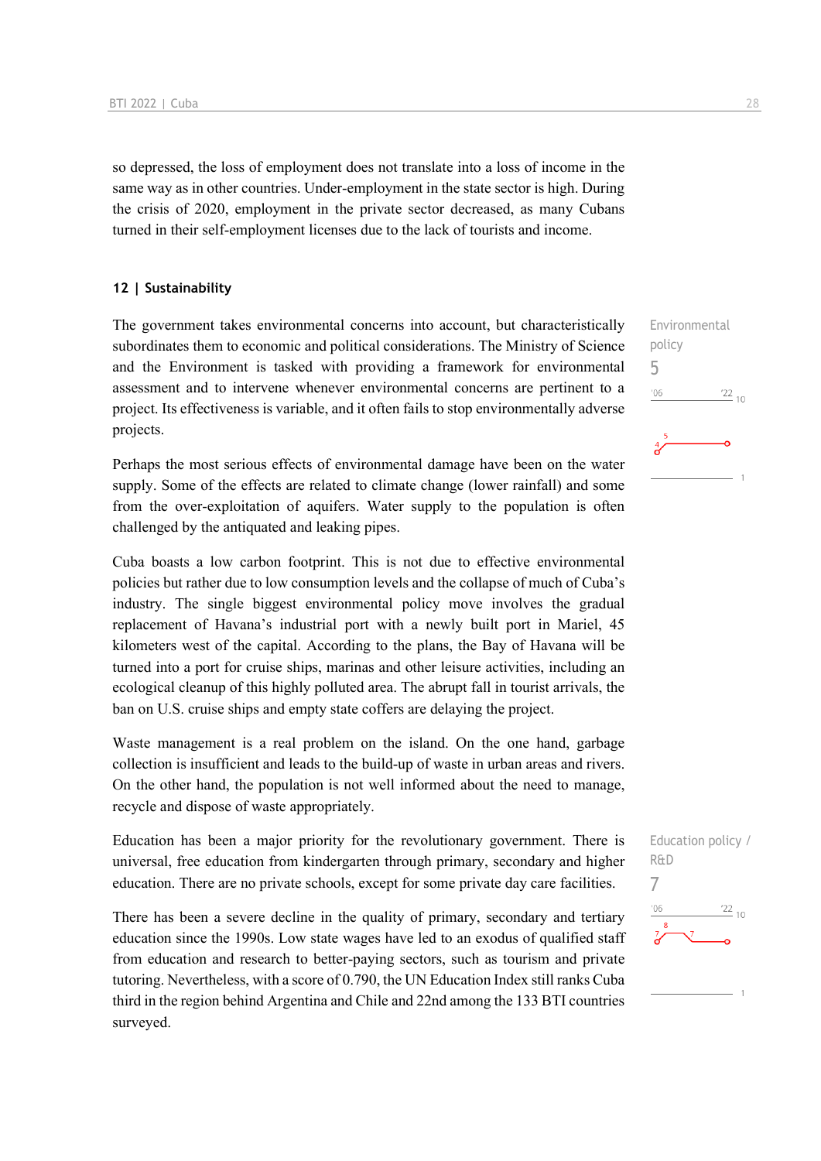so depressed, the loss of employment does not translate into a loss of income in the same way as in other countries. Under-employment in the state sector is high. During the crisis of 2020, employment in the private sector decreased, as many Cubans turned in their self-employment licenses due to the lack of tourists and income.

### **12 | Sustainability**

The government takes environmental concerns into account, but characteristically subordinates them to economic and political considerations. The Ministry of Science and the Environment is tasked with providing a framework for environmental assessment and to intervene whenever environmental concerns are pertinent to a project. Its effectiveness is variable, and it often fails to stop environmentally adverse projects.

Perhaps the most serious effects of environmental damage have been on the water supply. Some of the effects are related to climate change (lower rainfall) and some from the over-exploitation of aquifers. Water supply to the population is often challenged by the antiquated and leaking pipes.

Cuba boasts a low carbon footprint. This is not due to effective environmental policies but rather due to low consumption levels and the collapse of much of Cuba's industry. The single biggest environmental policy move involves the gradual replacement of Havana's industrial port with a newly built port in Mariel, 45 kilometers west of the capital. According to the plans, the Bay of Havana will be turned into a port for cruise ships, marinas and other leisure activities, including an ecological cleanup of this highly polluted area. The abrupt fall in tourist arrivals, the ban on U.S. cruise ships and empty state coffers are delaying the project.

Waste management is a real problem on the island. On the one hand, garbage collection is insufficient and leads to the build-up of waste in urban areas and rivers. On the other hand, the population is not well informed about the need to manage, recycle and dispose of waste appropriately.

Education has been a major priority for the revolutionary government. There is universal, free education from kindergarten through primary, secondary and higher education. There are no private schools, except for some private day care facilities.

There has been a severe decline in the quality of primary, secondary and tertiary education since the 1990s. Low state wages have led to an exodus of qualified staff from education and research to better-paying sectors, such as tourism and private tutoring. Nevertheless, with a score of 0.790, the UN Education Index still ranks Cuba third in the region behind Argentina and Chile and 22nd among the 133 BTI countries surveyed.

Environmental policy 5  $n<sub>0</sub>$  $\frac{22}{10}$ 

![](_page_27_Figure_10.jpeg)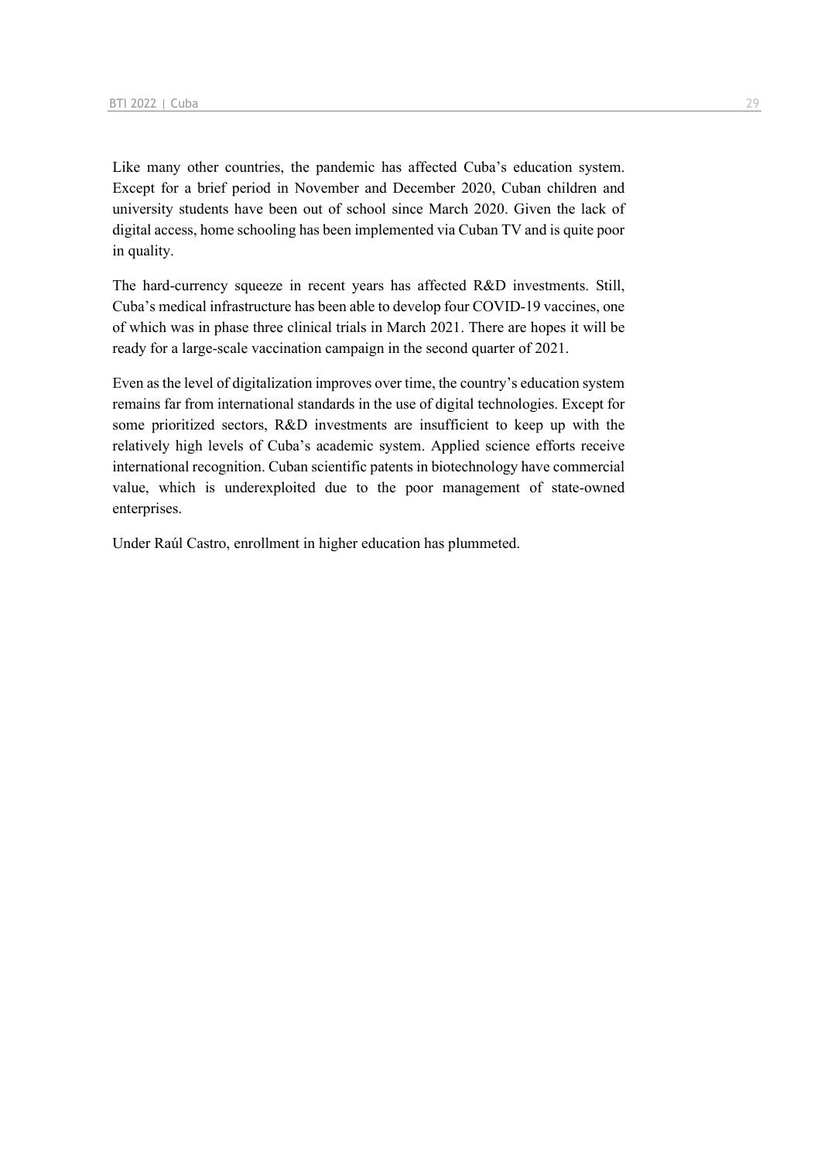Like many other countries, the pandemic has affected Cuba's education system. Except for a brief period in November and December 2020, Cuban children and university students have been out of school since March 2020. Given the lack of digital access, home schooling has been implemented via Cuban TV and is quite poor in quality.

The hard-currency squeeze in recent years has affected R&D investments. Still, Cuba's medical infrastructure has been able to develop four COVID-19 vaccines, one of which was in phase three clinical trials in March 2021. There are hopes it will be ready for a large-scale vaccination campaign in the second quarter of 2021.

Even as the level of digitalization improves over time, the country's education system remains far from international standards in the use of digital technologies. Except for some prioritized sectors, R&D investments are insufficient to keep up with the relatively high levels of Cuba's academic system. Applied science efforts receive international recognition. Cuban scientific patents in biotechnology have commercial value, which is underexploited due to the poor management of state-owned enterprises.

Under Raúl Castro, enrollment in higher education has plummeted.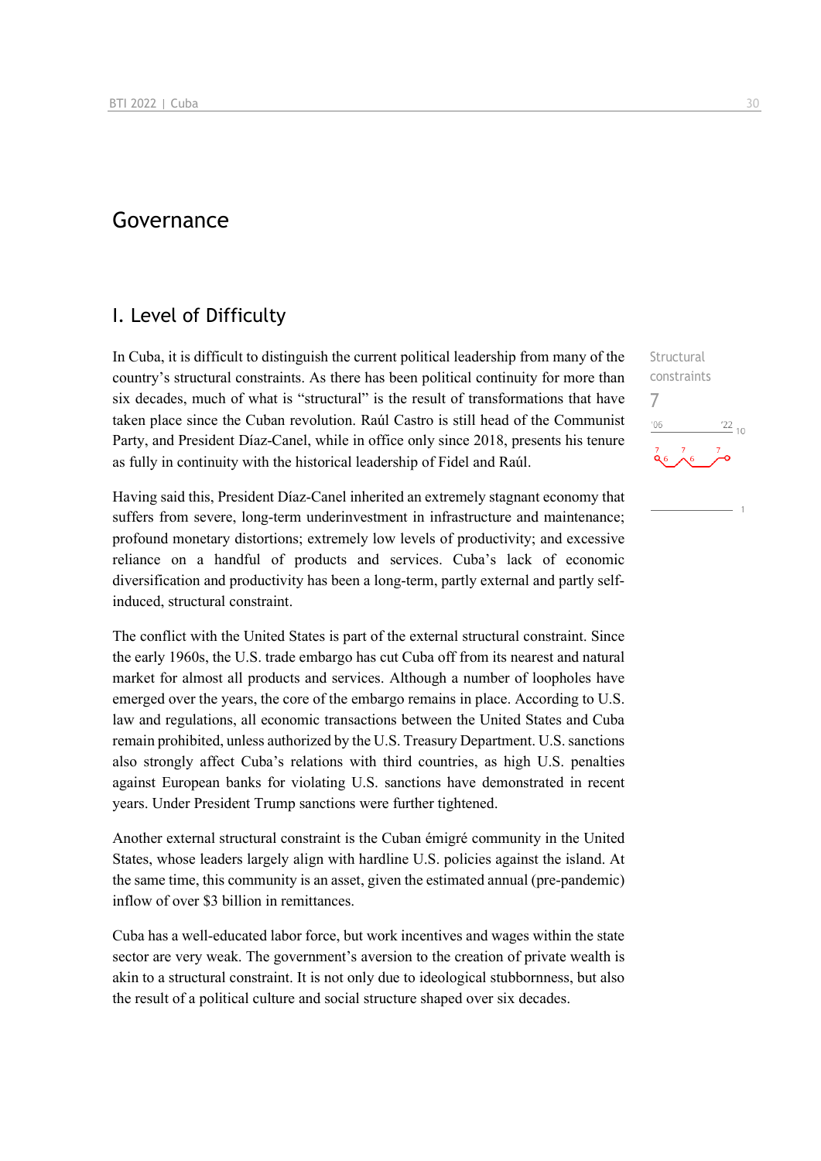## Governance

### I. Level of Difficulty

In Cuba, it is difficult to distinguish the current political leadership from many of the country's structural constraints. As there has been political continuity for more than six decades, much of what is "structural" is the result of transformations that have taken place since the Cuban revolution. Raúl Castro is still head of the Communist Party, and President Díaz-Canel, while in office only since 2018, presents his tenure as fully in continuity with the historical leadership of Fidel and Raúl.

Having said this, President Díaz-Canel inherited an extremely stagnant economy that suffers from severe, long-term underinvestment in infrastructure and maintenance; profound monetary distortions; extremely low levels of productivity; and excessive reliance on a handful of products and services. Cuba's lack of economic diversification and productivity has been a long-term, partly external and partly selfinduced, structural constraint.

The conflict with the United States is part of the external structural constraint. Since the early 1960s, the U.S. trade embargo has cut Cuba off from its nearest and natural market for almost all products and services. Although a number of loopholes have emerged over the years, the core of the embargo remains in place. According to U.S. law and regulations, all economic transactions between the United States and Cuba remain prohibited, unless authorized by the U.S. Treasury Department. U.S. sanctions also strongly affect Cuba's relations with third countries, as high U.S. penalties against European banks for violating U.S. sanctions have demonstrated in recent years. Under President Trump sanctions were further tightened.

Another external structural constraint is the Cuban émigré community in the United States, whose leaders largely align with hardline U.S. policies against the island. At the same time, this community is an asset, given the estimated annual (pre-pandemic) inflow of over \$3 billion in remittances.

Cuba has a well-educated labor force, but work incentives and wages within the state sector are very weak. The government's aversion to the creation of private wealth is akin to a structural constraint. It is not only due to ideological stubbornness, but also the result of a political culture and social structure shaped over six decades.

**Structural** constraints  $-06$  $^{22}$  10

7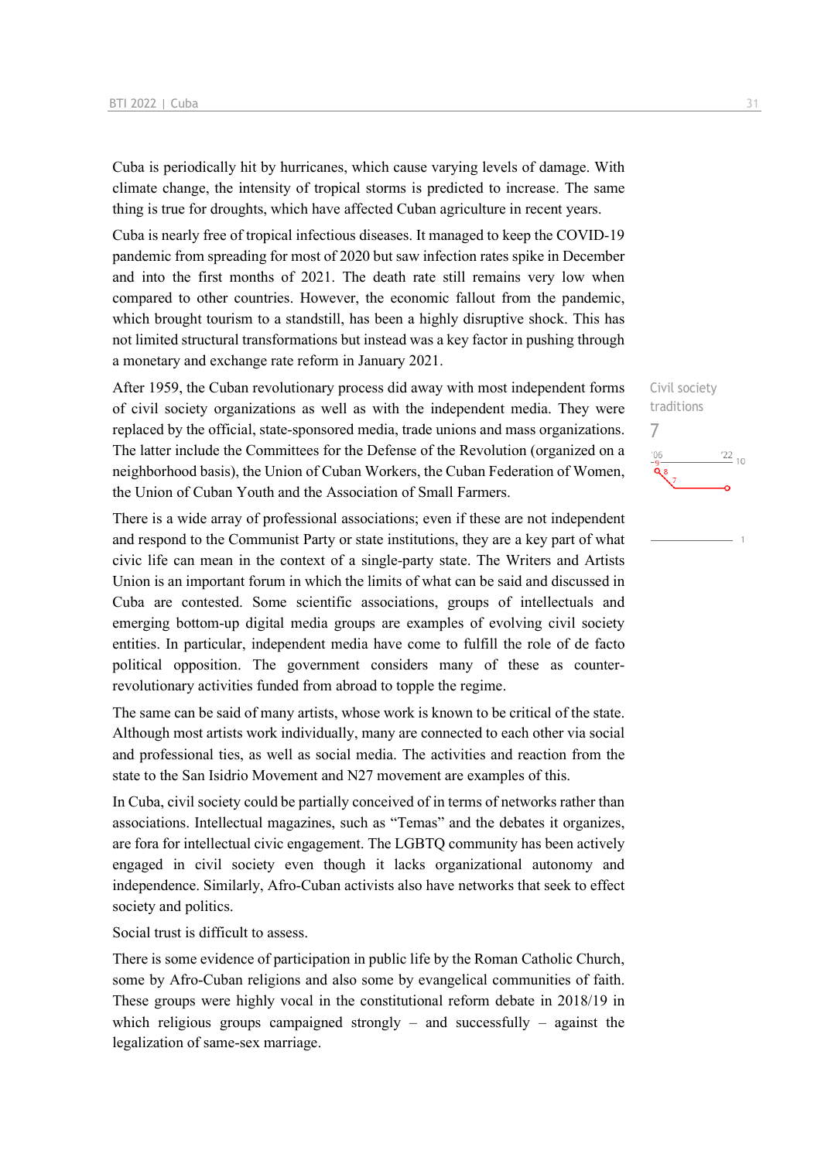Cuba is periodically hit by hurricanes, which cause varying levels of damage. With climate change, the intensity of tropical storms is predicted to increase. The same thing is true for droughts, which have affected Cuban agriculture in recent years.

Cuba is nearly free of tropical infectious diseases. It managed to keep the COVID-19 pandemic from spreading for most of 2020 but saw infection rates spike in December and into the first months of 2021. The death rate still remains very low when compared to other countries. However, the economic fallout from the pandemic, which brought tourism to a standstill, has been a highly disruptive shock. This has not limited structural transformations but instead was a key factor in pushing through a monetary and exchange rate reform in January 2021.

After 1959, the Cuban revolutionary process did away with most independent forms of civil society organizations as well as with the independent media. They were replaced by the official, state-sponsored media, trade unions and mass organizations. The latter include the Committees for the Defense of the Revolution (organized on a neighborhood basis), the Union of Cuban Workers, the Cuban Federation of Women, the Union of Cuban Youth and the Association of Small Farmers.

There is a wide array of professional associations; even if these are not independent and respond to the Communist Party or state institutions, they are a key part of what civic life can mean in the context of a single-party state. The Writers and Artists Union is an important forum in which the limits of what can be said and discussed in Cuba are contested. Some scientific associations, groups of intellectuals and emerging bottom-up digital media groups are examples of evolving civil society entities. In particular, independent media have come to fulfill the role of de facto political opposition. The government considers many of these as counterrevolutionary activities funded from abroad to topple the regime.

The same can be said of many artists, whose work is known to be critical of the state. Although most artists work individually, many are connected to each other via social and professional ties, as well as social media. The activities and reaction from the state to the San Isidrio Movement and N27 movement are examples of this.

In Cuba, civil society could be partially conceived of in terms of networks rather than associations. Intellectual magazines, such as "Temas" and the debates it organizes, are fora for intellectual civic engagement. The LGBTQ community has been actively engaged in civil society even though it lacks organizational autonomy and independence. Similarly, Afro-Cuban activists also have networks that seek to effect society and politics.

Social trust is difficult to assess.

There is some evidence of participation in public life by the Roman Catholic Church, some by Afro-Cuban religions and also some by evangelical communities of faith. These groups were highly vocal in the constitutional reform debate in 2018/19 in which religious groups campaigned strongly – and successfully – against the legalization of same-sex marriage.

Civil society traditions 7 $\frac{22}{10}$  $106$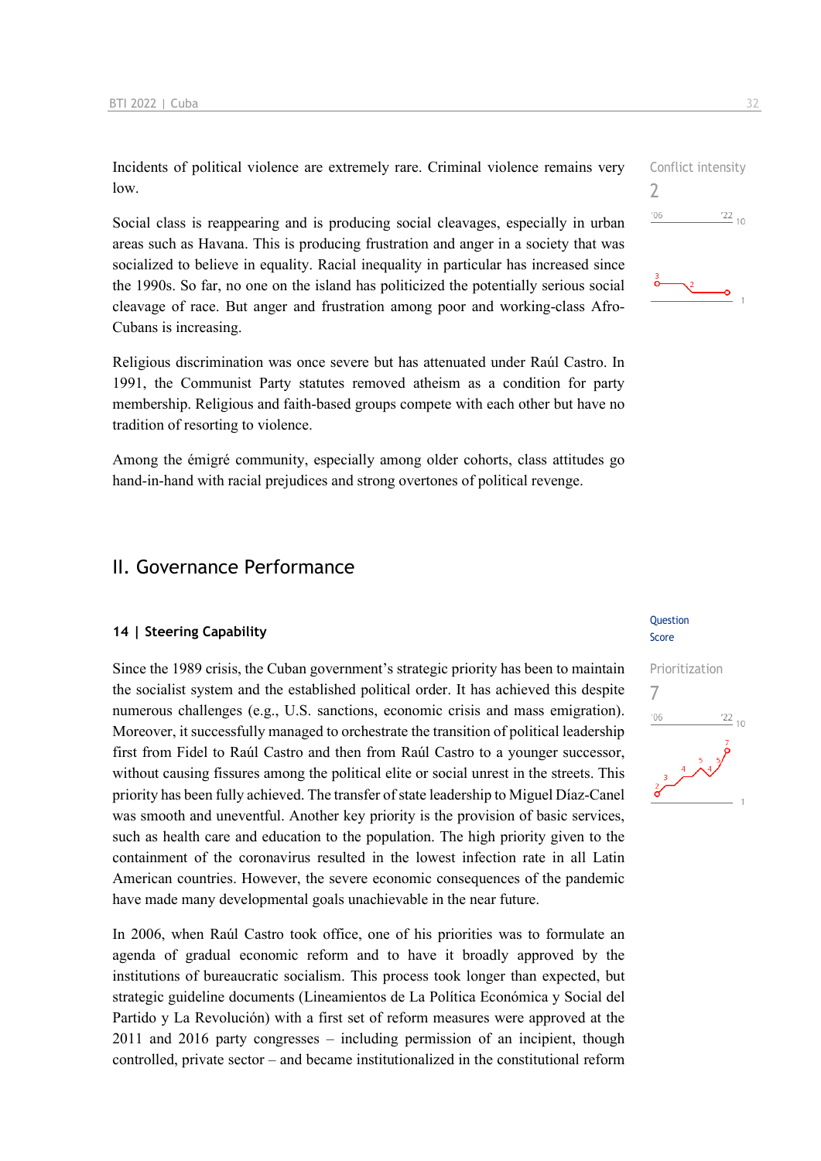Incidents of political violence are extremely rare. Criminal violence remains very low.

Social class is reappearing and is producing social cleavages, especially in urban areas such as Havana. This is producing frustration and anger in a society that was socialized to believe in equality. Racial inequality in particular has increased since the 1990s. So far, no one on the island has politicized the potentially serious social cleavage of race. But anger and frustration among poor and working-class Afro-Cubans is increasing.

Religious discrimination was once severe but has attenuated under Raúl Castro. In 1991, the Communist Party statutes removed atheism as a condition for party membership. Religious and faith-based groups compete with each other but have no tradition of resorting to violence.

Among the émigré community, especially among older cohorts, class attitudes go hand-in-hand with racial prejudices and strong overtones of political revenge.

### II. Governance Performance

### **14 | Steering Capability**

Since the 1989 crisis, the Cuban government's strategic priority has been to maintain the socialist system and the established political order. It has achieved this despite numerous challenges (e.g., U.S. sanctions, economic crisis and mass emigration). Moreover, it successfully managed to orchestrate the transition of political leadership first from Fidel to Raúl Castro and then from Raúl Castro to a younger successor, without causing fissures among the political elite or social unrest in the streets. This priority has been fully achieved. The transfer of state leadership to Miguel Díaz-Canel was smooth and uneventful. Another key priority is the provision of basic services, such as health care and education to the population. The high priority given to the containment of the coronavirus resulted in the lowest infection rate in all Latin American countries. However, the severe economic consequences of the pandemic have made many developmental goals unachievable in the near future.

In 2006, when Raúl Castro took office, one of his priorities was to formulate an agenda of gradual economic reform and to have it broadly approved by the institutions of bureaucratic socialism. This process took longer than expected, but strategic guideline documents (Lineamientos de La Política Económica y Social del Partido y La Revolución) with a first set of reform measures were approved at the 2011 and 2016 party congresses – including permission of an incipient, though controlled, private sector – and became institutionalized in the constitutional reform

Conflict intensity 2

#### Question Score

![](_page_31_Figure_11.jpeg)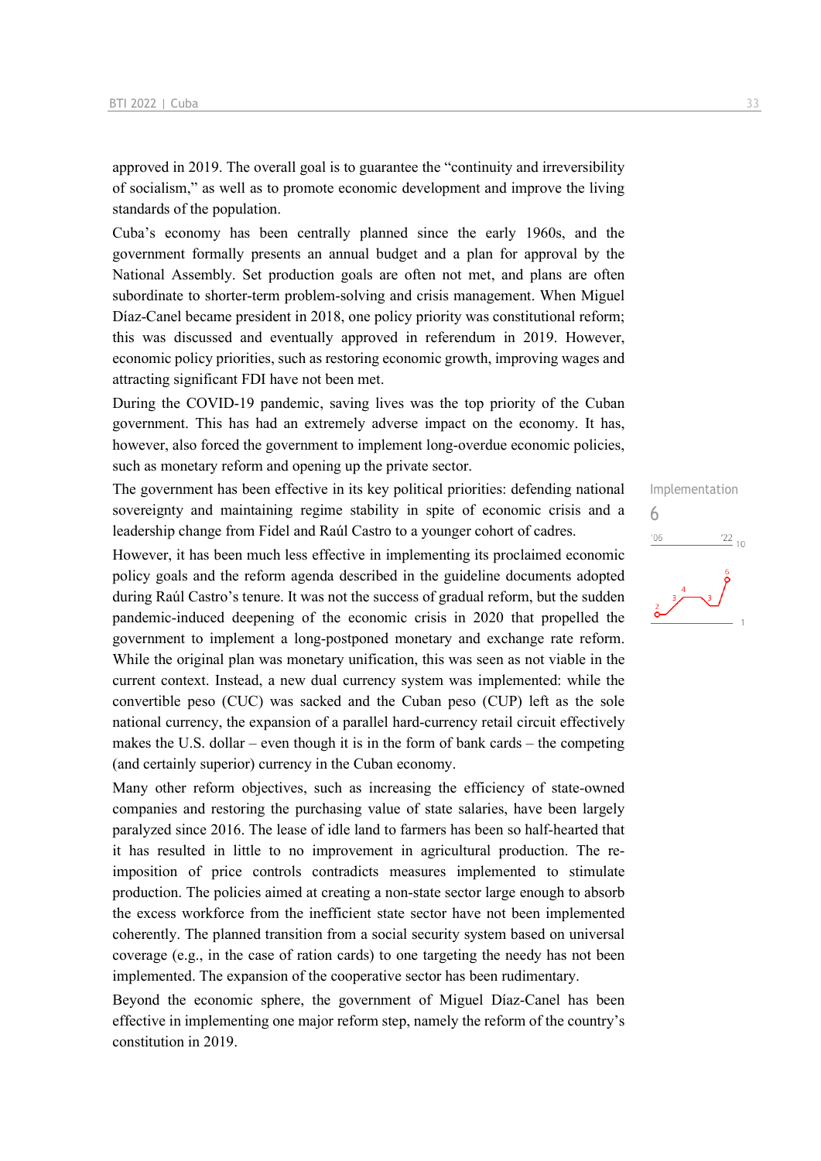approved in 2019. The overall goal is to guarantee the "continuity and irreversibility of socialism," as well as to promote economic development and improve the living standards of the population.

Cuba's economy has been centrally planned since the early 1960s, and the government formally presents an annual budget and a plan for approval by the National Assembly. Set production goals are often not met, and plans are often subordinate to shorter-term problem-solving and crisis management. When Miguel Díaz-Canel became president in 2018, one policy priority was constitutional reform; this was discussed and eventually approved in referendum in 2019. However, economic policy priorities, such as restoring economic growth, improving wages and attracting significant FDI have not been met.

During the COVID-19 pandemic, saving lives was the top priority of the Cuban government. This has had an extremely adverse impact on the economy. It has, however, also forced the government to implement long-overdue economic policies, such as monetary reform and opening up the private sector.

The government has been effective in its key political priorities: defending national sovereignty and maintaining regime stability in spite of economic crisis and a leadership change from Fidel and Raúl Castro to a younger cohort of cadres.

However, it has been much less effective in implementing its proclaimed economic policy goals and the reform agenda described in the guideline documents adopted during Raúl Castro's tenure. It was not the success of gradual reform, but the sudden pandemic-induced deepening of the economic crisis in 2020 that propelled the government to implement a long-postponed monetary and exchange rate reform. While the original plan was monetary unification, this was seen as not viable in the current context. Instead, a new dual currency system was implemented: while the convertible peso (CUC) was sacked and the Cuban peso (CUP) left as the sole national currency, the expansion of a parallel hard-currency retail circuit effectively makes the U.S. dollar – even though it is in the form of bank cards – the competing (and certainly superior) currency in the Cuban economy.

Many other reform objectives, such as increasing the efficiency of state-owned companies and restoring the purchasing value of state salaries, have been largely paralyzed since 2016. The lease of idle land to farmers has been so half-hearted that it has resulted in little to no improvement in agricultural production. The reimposition of price controls contradicts measures implemented to stimulate production. The policies aimed at creating a non-state sector large enough to absorb the excess workforce from the inefficient state sector have not been implemented coherently. The planned transition from a social security system based on universal coverage (e.g., in the case of ration cards) to one targeting the needy has not been implemented. The expansion of the cooperative sector has been rudimentary.

Beyond the economic sphere, the government of Miguel Díaz-Canel has been effective in implementing one major reform step, namely the reform of the country's constitution in 2019.

Implementation 6 $'06$  $\frac{22}{10}$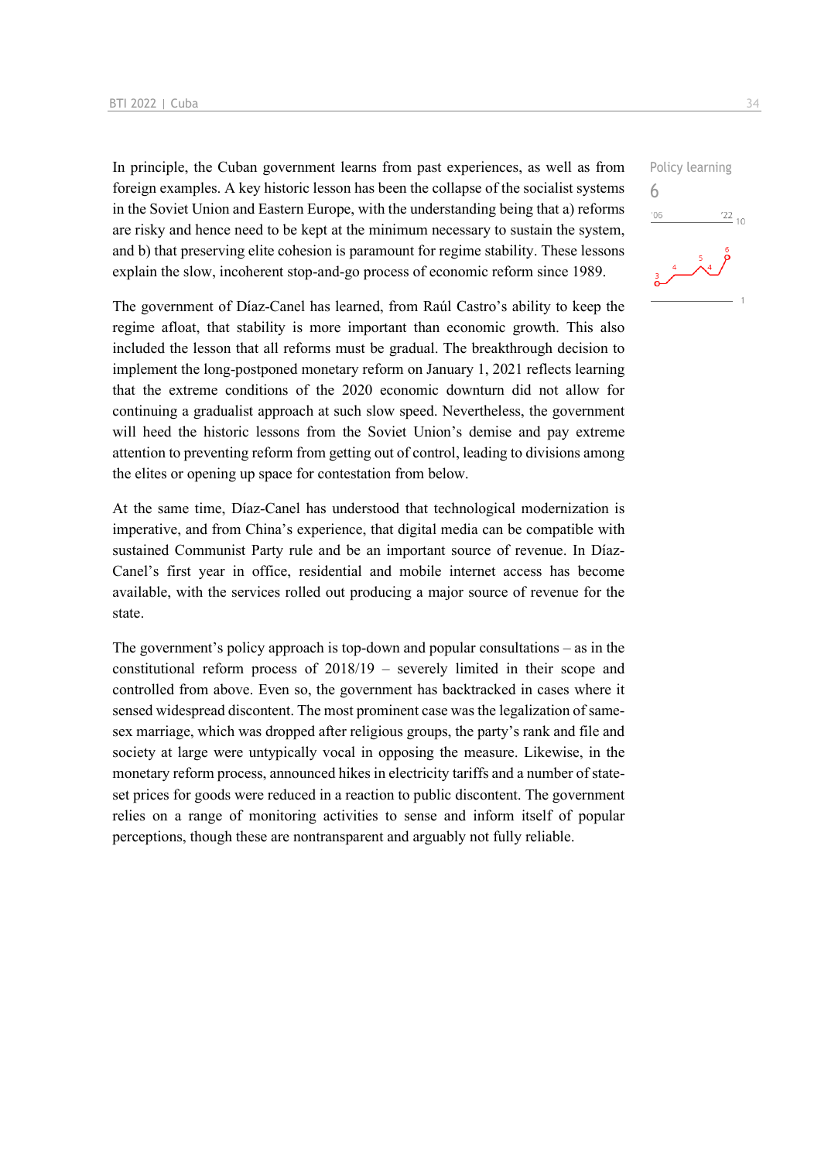In principle, the Cuban government learns from past experiences, as well as from foreign examples. A key historic lesson has been the collapse of the socialist systems in the Soviet Union and Eastern Europe, with the understanding being that a) reforms are risky and hence need to be kept at the minimum necessary to sustain the system, and b) that preserving elite cohesion is paramount for regime stability. These lessons explain the slow, incoherent stop-and-go process of economic reform since 1989.

The government of Díaz-Canel has learned, from Raúl Castro's ability to keep the regime afloat, that stability is more important than economic growth. This also included the lesson that all reforms must be gradual. The breakthrough decision to implement the long-postponed monetary reform on January 1, 2021 reflects learning that the extreme conditions of the 2020 economic downturn did not allow for continuing a gradualist approach at such slow speed. Nevertheless, the government will heed the historic lessons from the Soviet Union's demise and pay extreme attention to preventing reform from getting out of control, leading to divisions among the elites or opening up space for contestation from below.

At the same time, Díaz-Canel has understood that technological modernization is imperative, and from China's experience, that digital media can be compatible with sustained Communist Party rule and be an important source of revenue. In Díaz-Canel's first year in office, residential and mobile internet access has become available, with the services rolled out producing a major source of revenue for the state.

The government's policy approach is top-down and popular consultations  $-$  as in the constitutional reform process of 2018/19 – severely limited in their scope and controlled from above. Even so, the government has backtracked in cases where it sensed widespread discontent. The most prominent case was the legalization of samesex marriage, which was dropped after religious groups, the party's rank and file and society at large were untypically vocal in opposing the measure. Likewise, in the monetary reform process, announced hikes in electricity tariffs and a number of stateset prices for goods were reduced in a reaction to public discontent. The government relies on a range of monitoring activities to sense and inform itself of popular perceptions, though these are nontransparent and arguably not fully reliable.

Policy learning 6 $106$  $\frac{22}{10}$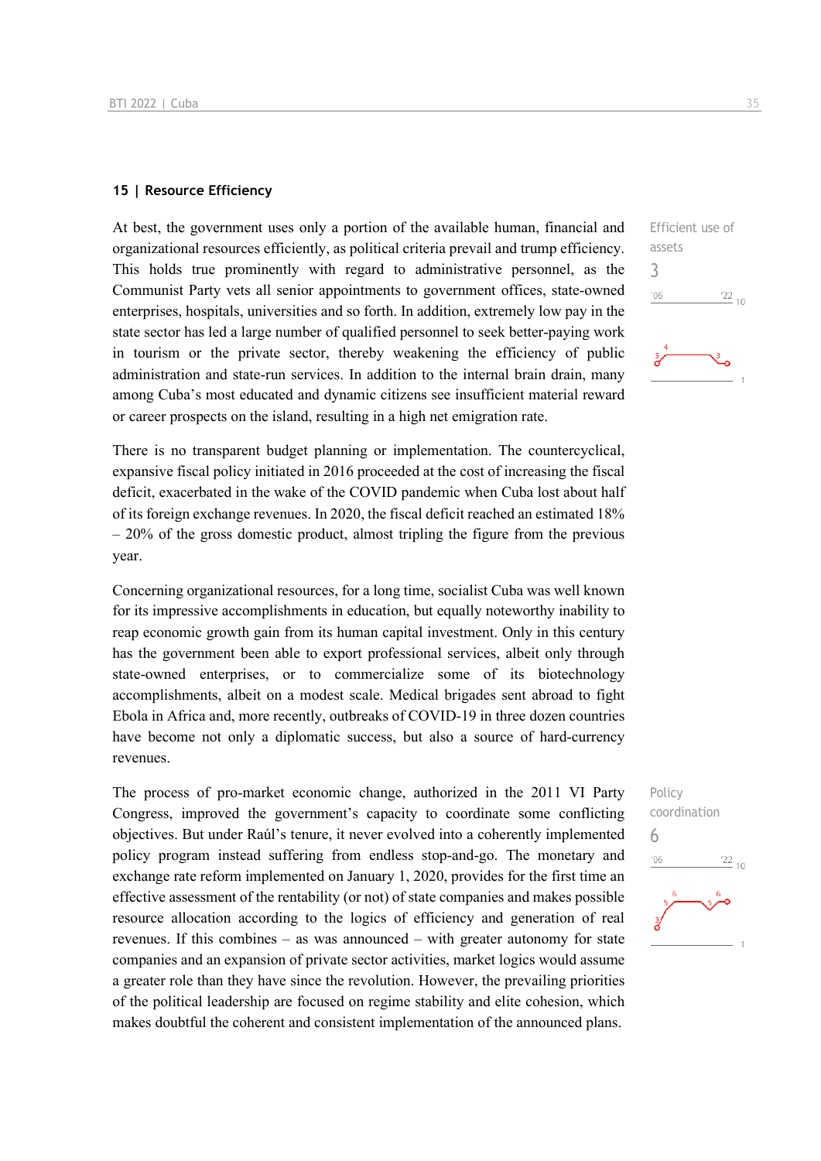### **15 | Resource Efficiency**

At best, the government uses only a portion of the available human, financial and organizational resources efficiently, as political criteria prevail and trump efficiency. This holds true prominently with regard to administrative personnel, as the Communist Party vets all senior appointments to government offices, state-owned enterprises, hospitals, universities and so forth. In addition, extremely low pay in the state sector has led a large number of qualified personnel to seek better-paying work in tourism or the private sector, thereby weakening the efficiency of public administration and state-run services. In addition to the internal brain drain, many among Cuba's most educated and dynamic citizens see insufficient material reward or career prospects on the island, resulting in a high net emigration rate.

There is no transparent budget planning or implementation. The countercyclical, expansive fiscal policy initiated in 2016 proceeded at the cost of increasing the fiscal deficit, exacerbated in the wake of the COVID pandemic when Cuba lost about half of its foreign exchange revenues. In 2020, the fiscal deficit reached an estimated 18% – 20% of the gross domestic product, almost tripling the figure from the previous year.

Concerning organizational resources, for a long time, socialist Cuba was well known for its impressive accomplishments in education, but equally noteworthy inability to reap economic growth gain from its human capital investment. Only in this century has the government been able to export professional services, albeit only through state-owned enterprises, or to commercialize some of its biotechnology accomplishments, albeit on a modest scale. Medical brigades sent abroad to fight Ebola in Africa and, more recently, outbreaks of COVID-19 in three dozen countries have become not only a diplomatic success, but also a source of hard-currency revenues.

The process of pro-market economic change, authorized in the 2011 VI Party Congress, improved the government's capacity to coordinate some conflicting objectives. But under Raúl's tenure, it never evolved into a coherently implemented policy program instead suffering from endless stop-and-go. The monetary and exchange rate reform implemented on January 1, 2020, provides for the first time an effective assessment of the rentability (or not) of state companies and makes possible resource allocation according to the logics of efficiency and generation of real revenues. If this combines – as was announced – with greater autonomy for state companies and an expansion of private sector activities, market logics would assume a greater role than they have since the revolution. However, the prevailing priorities of the political leadership are focused on regime stability and elite cohesion, which makes doubtful the coherent and consistent implementation of the announced plans.

![](_page_34_Figure_6.jpeg)

![](_page_34_Figure_7.jpeg)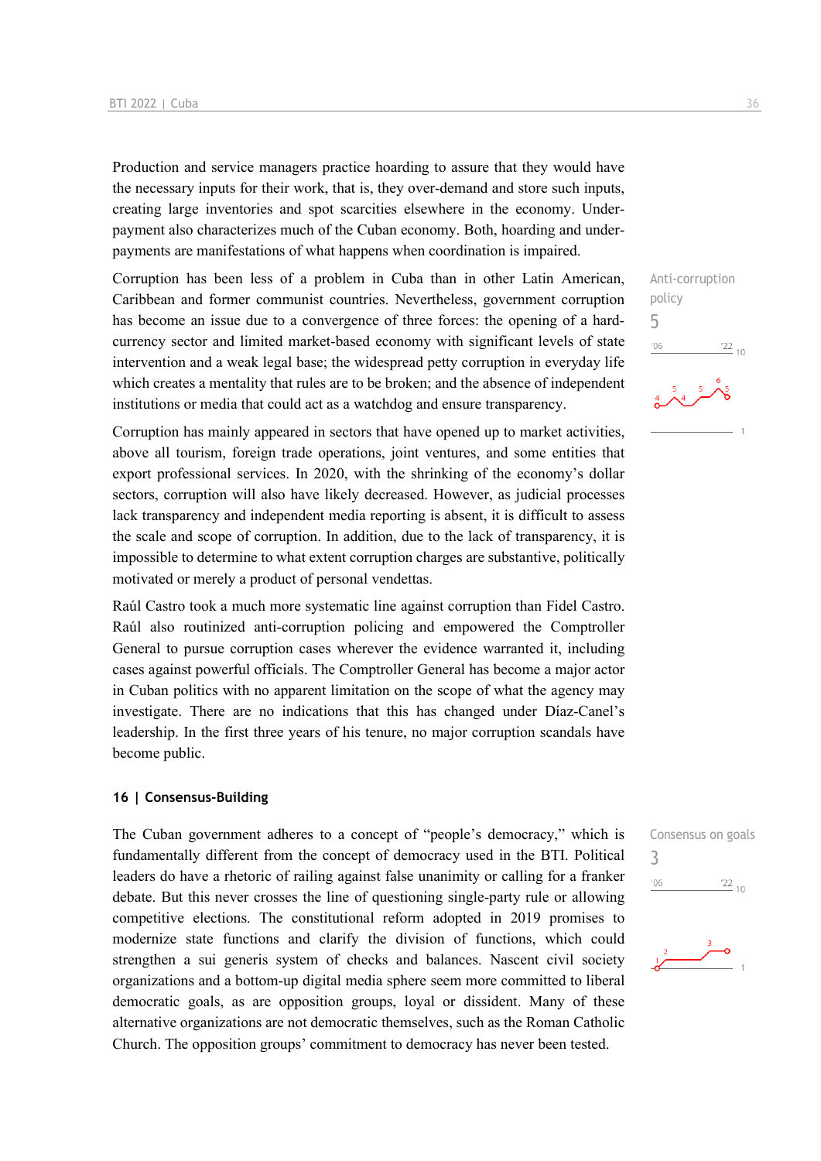Production and service managers practice hoarding to assure that they would have the necessary inputs for their work, that is, they over-demand and store such inputs, creating large inventories and spot scarcities elsewhere in the economy. Underpayment also characterizes much of the Cuban economy. Both, hoarding and underpayments are manifestations of what happens when coordination is impaired.

Corruption has been less of a problem in Cuba than in other Latin American, Caribbean and former communist countries. Nevertheless, government corruption has become an issue due to a convergence of three forces: the opening of a hardcurrency sector and limited market-based economy with significant levels of state intervention and a weak legal base; the widespread petty corruption in everyday life which creates a mentality that rules are to be broken; and the absence of independent institutions or media that could act as a watchdog and ensure transparency.

Corruption has mainly appeared in sectors that have opened up to market activities, above all tourism, foreign trade operations, joint ventures, and some entities that export professional services. In 2020, with the shrinking of the economy's dollar sectors, corruption will also have likely decreased. However, as judicial processes lack transparency and independent media reporting is absent, it is difficult to assess the scale and scope of corruption. In addition, due to the lack of transparency, it is impossible to determine to what extent corruption charges are substantive, politically motivated or merely a product of personal vendettas.

Raúl Castro took a much more systematic line against corruption than Fidel Castro. Raúl also routinized anti-corruption policing and empowered the Comptroller General to pursue corruption cases wherever the evidence warranted it, including cases against powerful officials. The Comptroller General has become a major actor in Cuban politics with no apparent limitation on the scope of what the agency may investigate. There are no indications that this has changed under Díaz-Canel's leadership. In the first three years of his tenure, no major corruption scandals have become public.

### **16 | Consensus-Building**

The Cuban government adheres to a concept of "people's democracy," which is fundamentally different from the concept of democracy used in the BTI. Political leaders do have a rhetoric of railing against false unanimity or calling for a franker debate. But this never crosses the line of questioning single-party rule or allowing competitive elections. The constitutional reform adopted in 2019 promises to modernize state functions and clarify the division of functions, which could strengthen a sui generis system of checks and balances. Nascent civil society organizations and a bottom-up digital media sphere seem more committed to liberal democratic goals, as are opposition groups, loyal or dissident. Many of these alternative organizations are not democratic themselves, such as the Roman Catholic Church. The opposition groups' commitment to democracy has never been tested.

Anti-corruption policy 5  $106$  $\frac{22}{10}$ 

![](_page_35_Figure_8.jpeg)

![](_page_35_Figure_9.jpeg)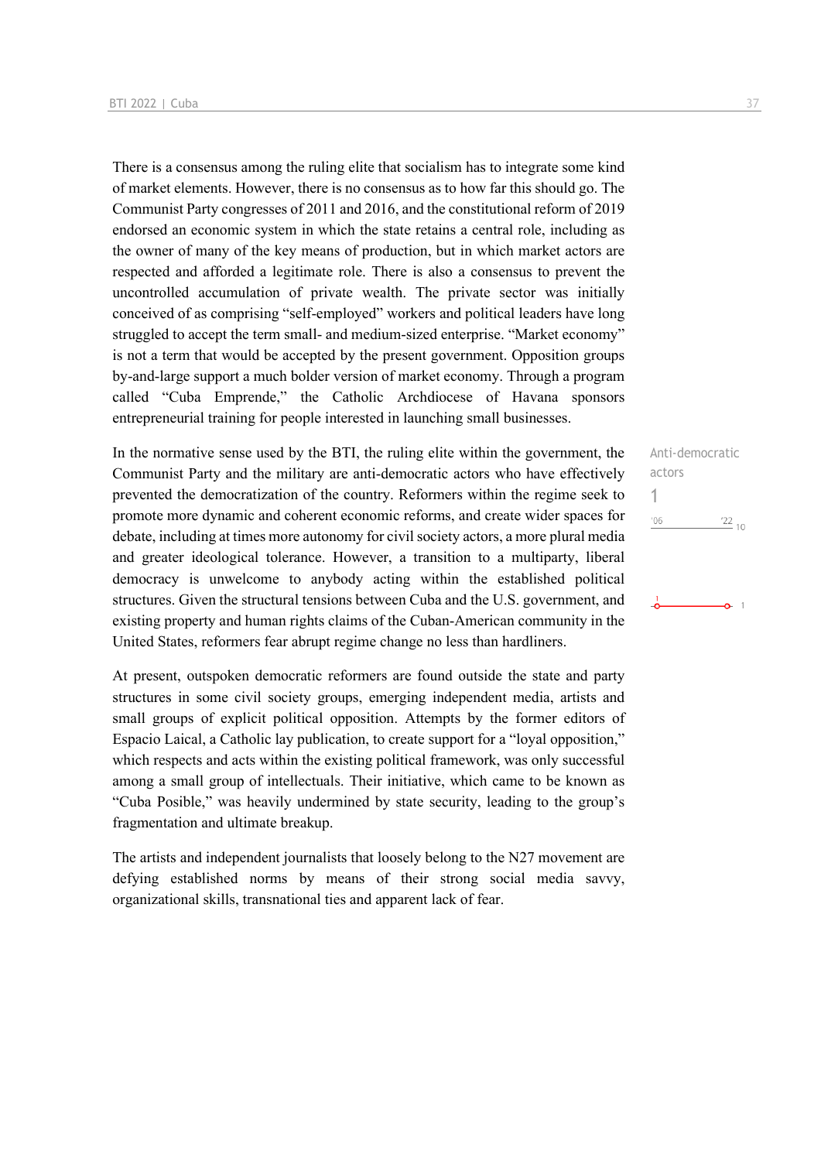There is a consensus among the ruling elite that socialism has to integrate some kind of market elements. However, there is no consensus as to how far this should go. The Communist Party congresses of 2011 and 2016, and the constitutional reform of 2019 endorsed an economic system in which the state retains a central role, including as the owner of many of the key means of production, but in which market actors are respected and afforded a legitimate role. There is also a consensus to prevent the uncontrolled accumulation of private wealth. The private sector was initially conceived of as comprising "self-employed" workers and political leaders have long struggled to accept the term small- and medium-sized enterprise. "Market economy" is not a term that would be accepted by the present government. Opposition groups by-and-large support a much bolder version of market economy. Through a program called "Cuba Emprende," the Catholic Archdiocese of Havana sponsors entrepreneurial training for people interested in launching small businesses.

In the normative sense used by the BTI, the ruling elite within the government, the Communist Party and the military are anti-democratic actors who have effectively prevented the democratization of the country. Reformers within the regime seek to promote more dynamic and coherent economic reforms, and create wider spaces for debate, including at times more autonomy for civil society actors, a more plural media and greater ideological tolerance. However, a transition to a multiparty, liberal democracy is unwelcome to anybody acting within the established political structures. Given the structural tensions between Cuba and the U.S. government, and existing property and human rights claims of the Cuban-American community in the United States, reformers fear abrupt regime change no less than hardliners.

At present, outspoken democratic reformers are found outside the state and party structures in some civil society groups, emerging independent media, artists and small groups of explicit political opposition. Attempts by the former editors of Espacio Laical, a Catholic lay publication, to create support for a "loyal opposition," which respects and acts within the existing political framework, was only successful among a small group of intellectuals. Their initiative, which came to be known as "Cuba Posible," was heavily undermined by state security, leading to the group's fragmentation and ultimate breakup.

The artists and independent journalists that loosely belong to the N27 movement are defying established norms by means of their strong social media savvy, organizational skills, transnational ties and apparent lack of fear.

| Anti-democratic |                 |
|-----------------|-----------------|
| actors          |                 |
|                 |                 |
| '06             | $\frac{22}{10}$ |
|                 |                 |
|                 |                 |
|                 |                 |
|                 |                 |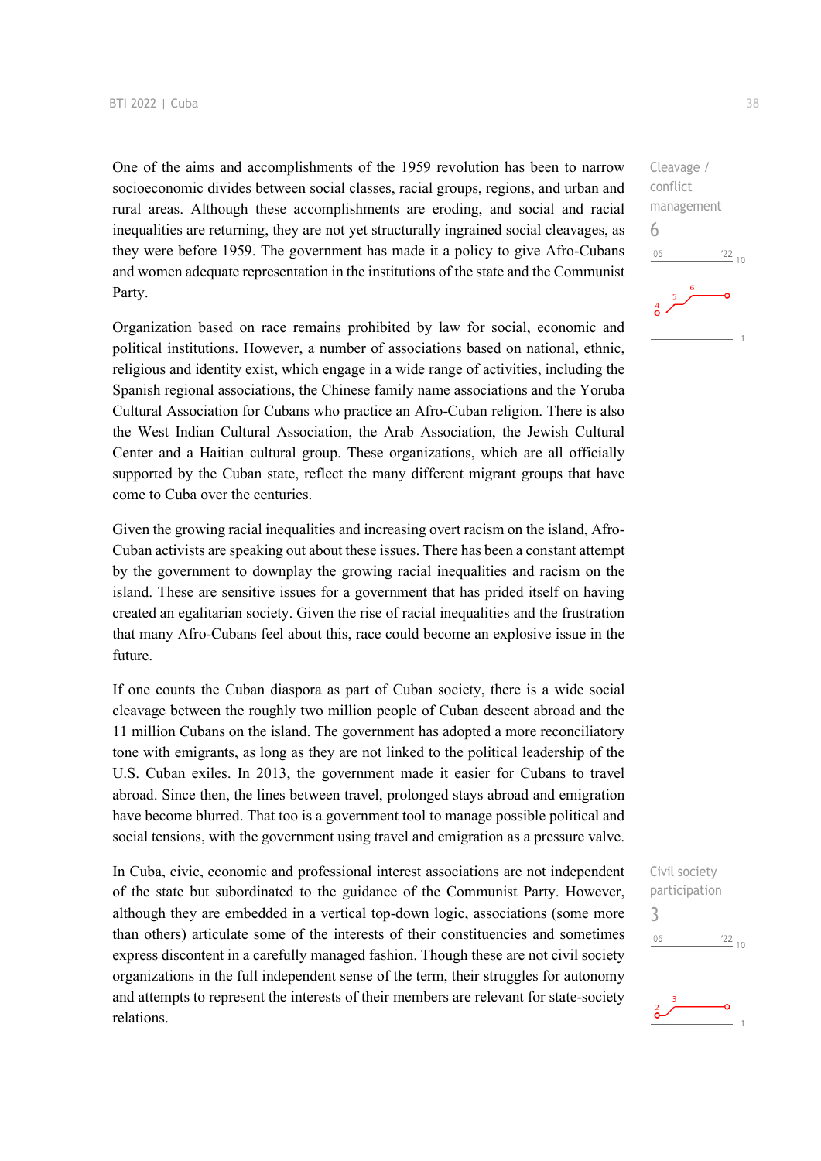One of the aims and accomplishments of the 1959 revolution has been to narrow socioeconomic divides between social classes, racial groups, regions, and urban and rural areas. Although these accomplishments are eroding, and social and racial inequalities are returning, they are not yet structurally ingrained social cleavages, as they were before 1959. The government has made it a policy to give Afro-Cubans and women adequate representation in the institutions of the state and the Communist Party.

Organization based on race remains prohibited by law for social, economic and political institutions. However, a number of associations based on national, ethnic, religious and identity exist, which engage in a wide range of activities, including the Spanish regional associations, the Chinese family name associations and the Yoruba Cultural Association for Cubans who practice an Afro-Cuban religion. There is also the West Indian Cultural Association, the Arab Association, the Jewish Cultural Center and a Haitian cultural group. These organizations, which are all officially supported by the Cuban state, reflect the many different migrant groups that have come to Cuba over the centuries.

Given the growing racial inequalities and increasing overt racism on the island, Afro-Cuban activists are speaking out about these issues. There has been a constant attempt by the government to downplay the growing racial inequalities and racism on the island. These are sensitive issues for a government that has prided itself on having created an egalitarian society. Given the rise of racial inequalities and the frustration that many Afro-Cubans feel about this, race could become an explosive issue in the future.

If one counts the Cuban diaspora as part of Cuban society, there is a wide social cleavage between the roughly two million people of Cuban descent abroad and the 11 million Cubans on the island. The government has adopted a more reconciliatory tone with emigrants, as long as they are not linked to the political leadership of the U.S. Cuban exiles. In 2013, the government made it easier for Cubans to travel abroad. Since then, the lines between travel, prolonged stays abroad and emigration have become blurred. That too is a government tool to manage possible political and social tensions, with the government using travel and emigration as a pressure valve.

In Cuba, civic, economic and professional interest associations are not independent of the state but subordinated to the guidance of the Communist Party. However, although they are embedded in a vertical top-down logic, associations (some more than others) articulate some of the interests of their constituencies and sometimes express discontent in a carefully managed fashion. Though these are not civil society organizations in the full independent sense of the term, their struggles for autonomy and attempts to represent the interests of their members are relevant for state-society relations.

Civil society participation 3 $\frac{22}{10}$  $-06$ 

![](_page_37_Picture_7.jpeg)

 $^{22}_{-10}$ 

Cleavage / conflict management

6

 $n<sub>6</sub>$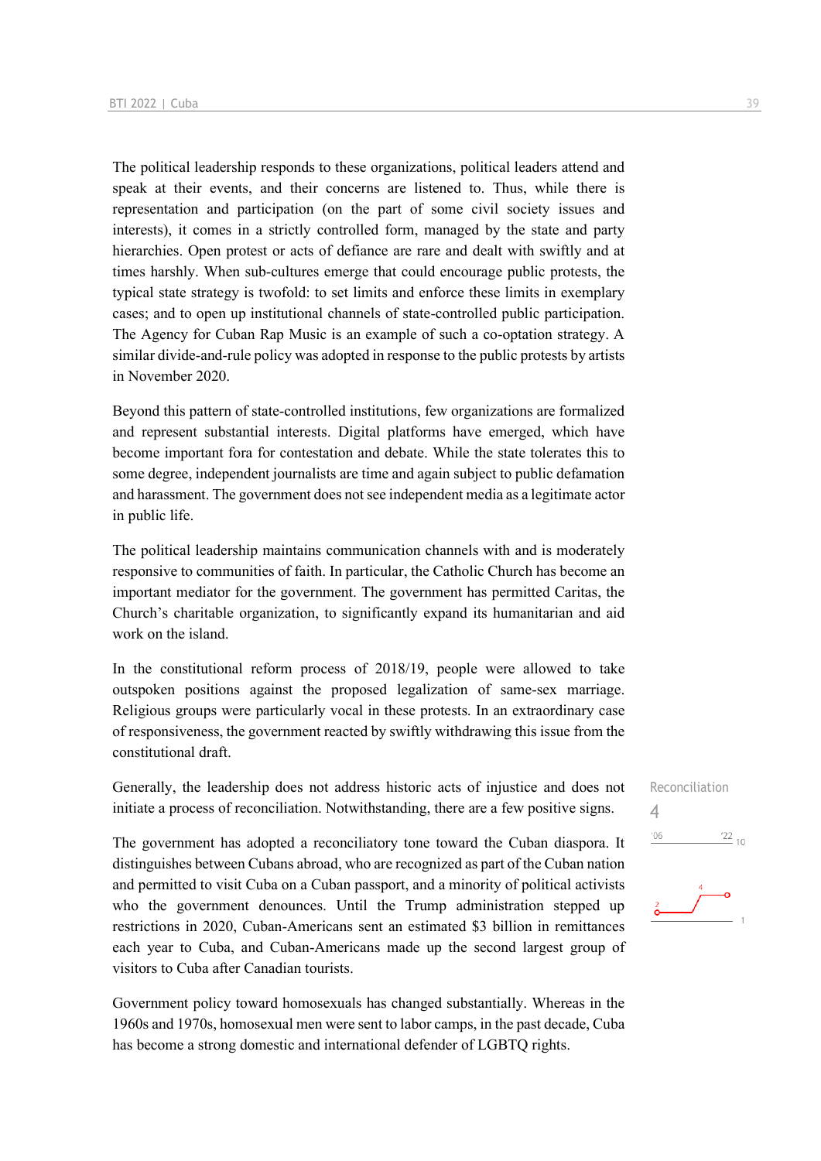The political leadership responds to these organizations, political leaders attend and speak at their events, and their concerns are listened to. Thus, while there is representation and participation (on the part of some civil society issues and interests), it comes in a strictly controlled form, managed by the state and party hierarchies. Open protest or acts of defiance are rare and dealt with swiftly and at times harshly. When sub-cultures emerge that could encourage public protests, the typical state strategy is twofold: to set limits and enforce these limits in exemplary cases; and to open up institutional channels of state-controlled public participation. The Agency for Cuban Rap Music is an example of such a co-optation strategy. A similar divide-and-rule policy was adopted in response to the public protests by artists in November 2020.

Beyond this pattern of state-controlled institutions, few organizations are formalized and represent substantial interests. Digital platforms have emerged, which have become important fora for contestation and debate. While the state tolerates this to some degree, independent journalists are time and again subject to public defamation and harassment. The government does not see independent media as a legitimate actor in public life.

The political leadership maintains communication channels with and is moderately responsive to communities of faith. In particular, the Catholic Church has become an important mediator for the government. The government has permitted Caritas, the Church's charitable organization, to significantly expand its humanitarian and aid work on the island.

In the constitutional reform process of 2018/19, people were allowed to take outspoken positions against the proposed legalization of same-sex marriage. Religious groups were particularly vocal in these protests. In an extraordinary case of responsiveness, the government reacted by swiftly withdrawing this issue from the constitutional draft.

Generally, the leadership does not address historic acts of injustice and does not initiate a process of reconciliation. Notwithstanding, there are a few positive signs.

The government has adopted a reconciliatory tone toward the Cuban diaspora. It distinguishes between Cubans abroad, who are recognized as part of the Cuban nation and permitted to visit Cuba on a Cuban passport, and a minority of political activists who the government denounces. Until the Trump administration stepped up restrictions in 2020, Cuban-Americans sent an estimated \$3 billion in remittances each year to Cuba, and Cuban-Americans made up the second largest group of visitors to Cuba after Canadian tourists.

Government policy toward homosexuals has changed substantially. Whereas in the 1960s and 1970s, homosexual men were sent to labor camps, in the past decade, Cuba has become a strong domestic and international defender of LGBTQ rights.

![](_page_38_Figure_8.jpeg)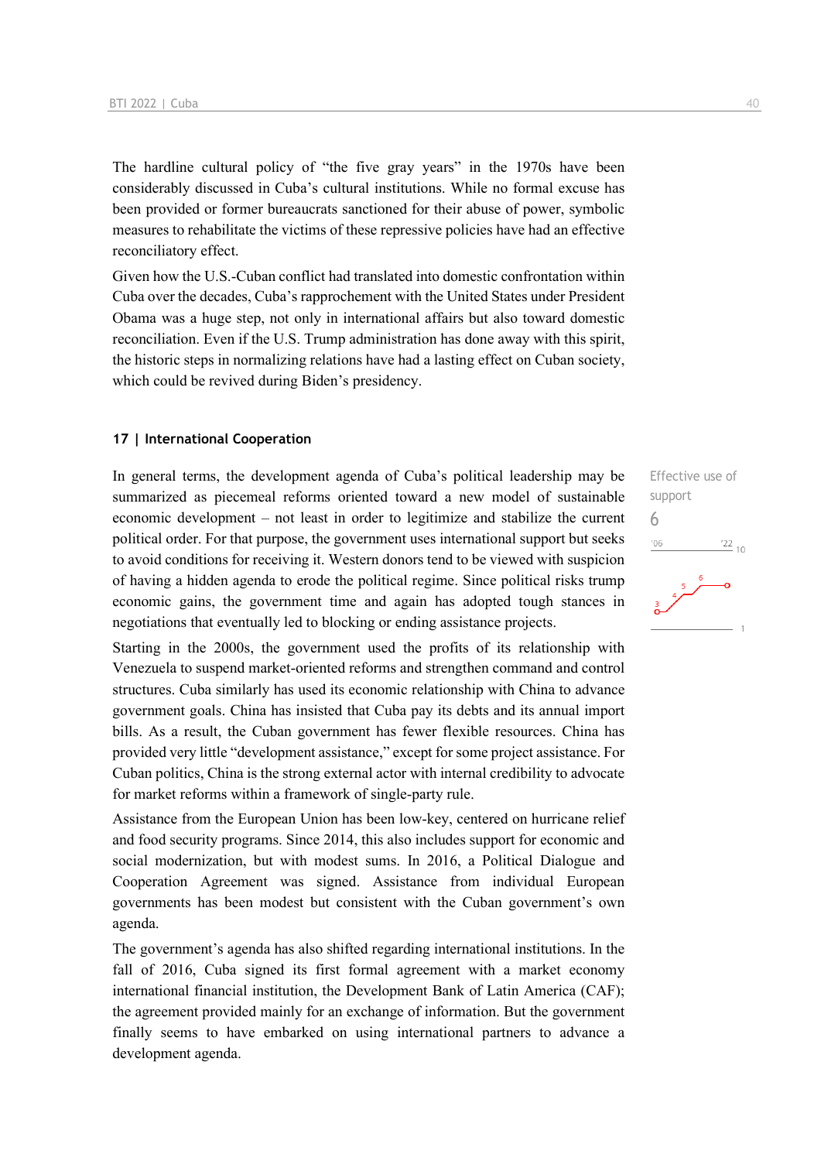The hardline cultural policy of "the five gray years" in the 1970s have been considerably discussed in Cuba's cultural institutions. While no formal excuse has been provided or former bureaucrats sanctioned for their abuse of power, symbolic measures to rehabilitate the victims of these repressive policies have had an effective reconciliatory effect.

Given how the U.S.-Cuban conflict had translated into domestic confrontation within Cuba over the decades, Cuba's rapprochement with the United States under President Obama was a huge step, not only in international affairs but also toward domestic reconciliation. Even if the U.S. Trump administration has done away with this spirit, the historic steps in normalizing relations have had a lasting effect on Cuban society, which could be revived during Biden's presidency.

### **17 | International Cooperation**

In general terms, the development agenda of Cuba's political leadership may be summarized as piecemeal reforms oriented toward a new model of sustainable economic development – not least in order to legitimize and stabilize the current political order. For that purpose, the government uses international support but seeks to avoid conditions for receiving it. Western donors tend to be viewed with suspicion of having a hidden agenda to erode the political regime. Since political risks trump economic gains, the government time and again has adopted tough stances in negotiations that eventually led to blocking or ending assistance projects.

Starting in the 2000s, the government used the profits of its relationship with Venezuela to suspend market-oriented reforms and strengthen command and control structures. Cuba similarly has used its economic relationship with China to advance government goals. China has insisted that Cuba pay its debts and its annual import bills. As a result, the Cuban government has fewer flexible resources. China has provided very little "development assistance," except for some project assistance. For Cuban politics, China is the strong external actor with internal credibility to advocate for market reforms within a framework of single-party rule.

Assistance from the European Union has been low-key, centered on hurricane relief and food security programs. Since 2014, this also includes support for economic and social modernization, but with modest sums. In 2016, a Political Dialogue and Cooperation Agreement was signed. Assistance from individual European governments has been modest but consistent with the Cuban government's own agenda.

The government's agenda has also shifted regarding international institutions. In the fall of 2016, Cuba signed its first formal agreement with a market economy international financial institution, the Development Bank of Latin America (CAF); the agreement provided mainly for an exchange of information. But the government finally seems to have embarked on using international partners to advance a development agenda.

# Effective use of support 6 $n<sub>0</sub>$  $\frac{22}{10}$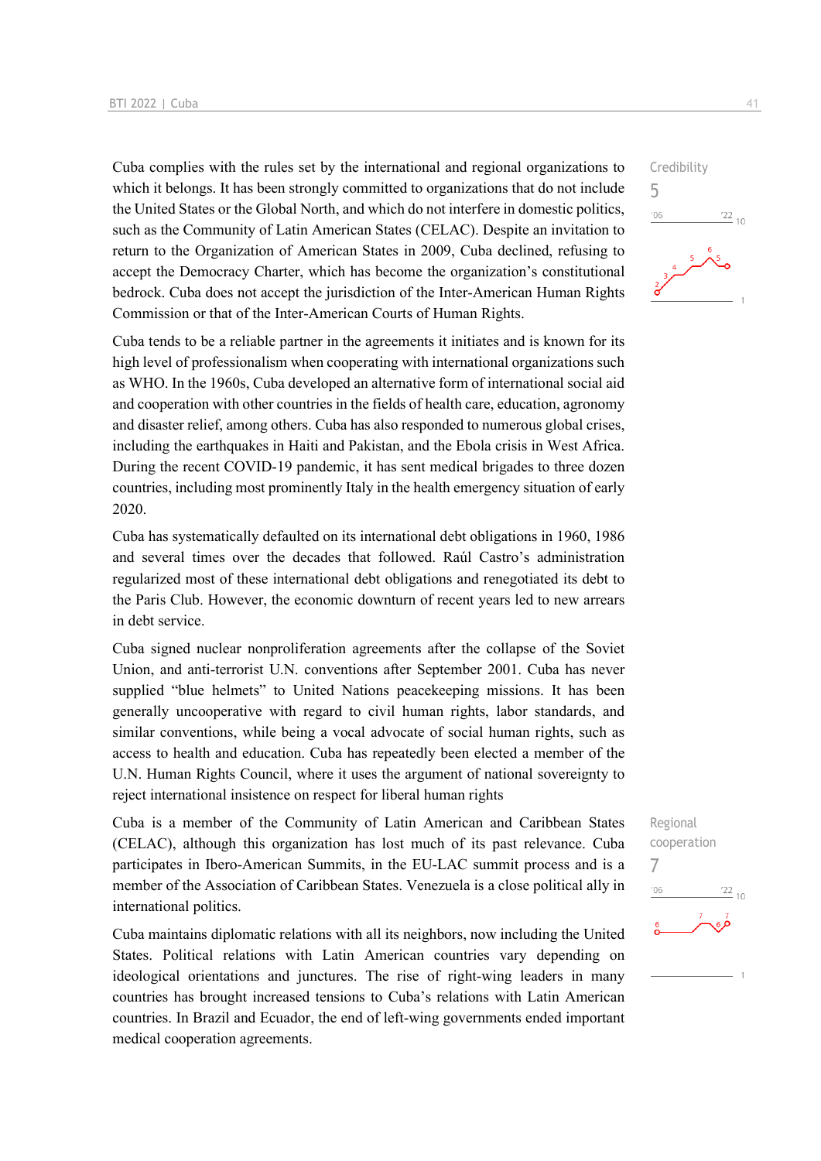Cuba complies with the rules set by the international and regional organizations to which it belongs. It has been strongly committed to organizations that do not include the United States or the Global North, and which do not interfere in domestic politics, such as the Community of Latin American States (CELAC). Despite an invitation to return to the Organization of American States in 2009, Cuba declined, refusing to accept the Democracy Charter, which has become the organization's constitutional bedrock. Cuba does not accept the jurisdiction of the Inter-American Human Rights Commission or that of the Inter-American Courts of Human Rights.

Cuba tends to be a reliable partner in the agreements it initiates and is known for its high level of professionalism when cooperating with international organizations such as WHO. In the 1960s, Cuba developed an alternative form of international social aid and cooperation with other countries in the fields of health care, education, agronomy and disaster relief, among others. Cuba has also responded to numerous global crises, including the earthquakes in Haiti and Pakistan, and the Ebola crisis in West Africa. During the recent COVID-19 pandemic, it has sent medical brigades to three dozen countries, including most prominently Italy in the health emergency situation of early 2020.

Cuba has systematically defaulted on its international debt obligations in 1960, 1986 and several times over the decades that followed. Raúl Castro's administration regularized most of these international debt obligations and renegotiated its debt to the Paris Club. However, the economic downturn of recent years led to new arrears in debt service.

Cuba signed nuclear nonproliferation agreements after the collapse of the Soviet Union, and anti-terrorist U.N. conventions after September 2001. Cuba has never supplied "blue helmets" to United Nations peacekeeping missions. It has been generally uncooperative with regard to civil human rights, labor standards, and similar conventions, while being a vocal advocate of social human rights, such as access to health and education. Cuba has repeatedly been elected a member of the U.N. Human Rights Council, where it uses the argument of national sovereignty to reject international insistence on respect for liberal human rights

Cuba is a member of the Community of Latin American and Caribbean States (CELAC), although this organization has lost much of its past relevance. Cuba participates in Ibero-American Summits, in the EU-LAC summit process and is a member of the Association of Caribbean States. Venezuela is a close political ally in international politics.

Cuba maintains diplomatic relations with all its neighbors, now including the United States. Political relations with Latin American countries vary depending on ideological orientations and junctures. The rise of right-wing leaders in many countries has brought increased tensions to Cuba's relations with Latin American countries. In Brazil and Ecuador, the end of left-wing governments ended important medical cooperation agreements.

![](_page_40_Figure_7.jpeg)

![](_page_40_Figure_8.jpeg)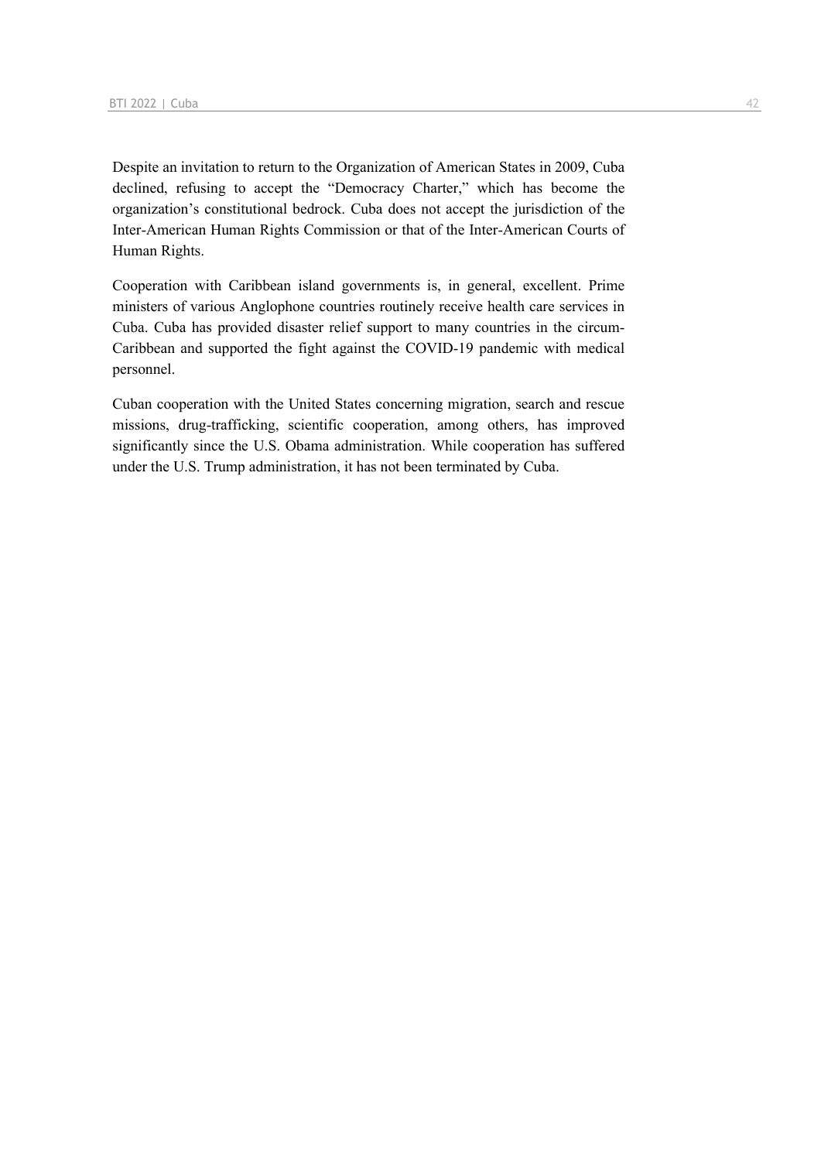Despite an invitation to return to the Organization of American States in 2009, Cuba declined, refusing to accept the "Democracy Charter," which has become the organization's constitutional bedrock. Cuba does not accept the jurisdiction of the Inter-American Human Rights Commission or that of the Inter-American Courts of Human Rights.

Cooperation with Caribbean island governments is, in general, excellent. Prime ministers of various Anglophone countries routinely receive health care services in Cuba. Cuba has provided disaster relief support to many countries in the circum-Caribbean and supported the fight against the COVID-19 pandemic with medical personnel.

Cuban cooperation with the United States concerning migration, search and rescue missions, drug-trafficking, scientific cooperation, among others, has improved significantly since the U.S. Obama administration. While cooperation has suffered under the U.S. Trump administration, it has not been terminated by Cuba.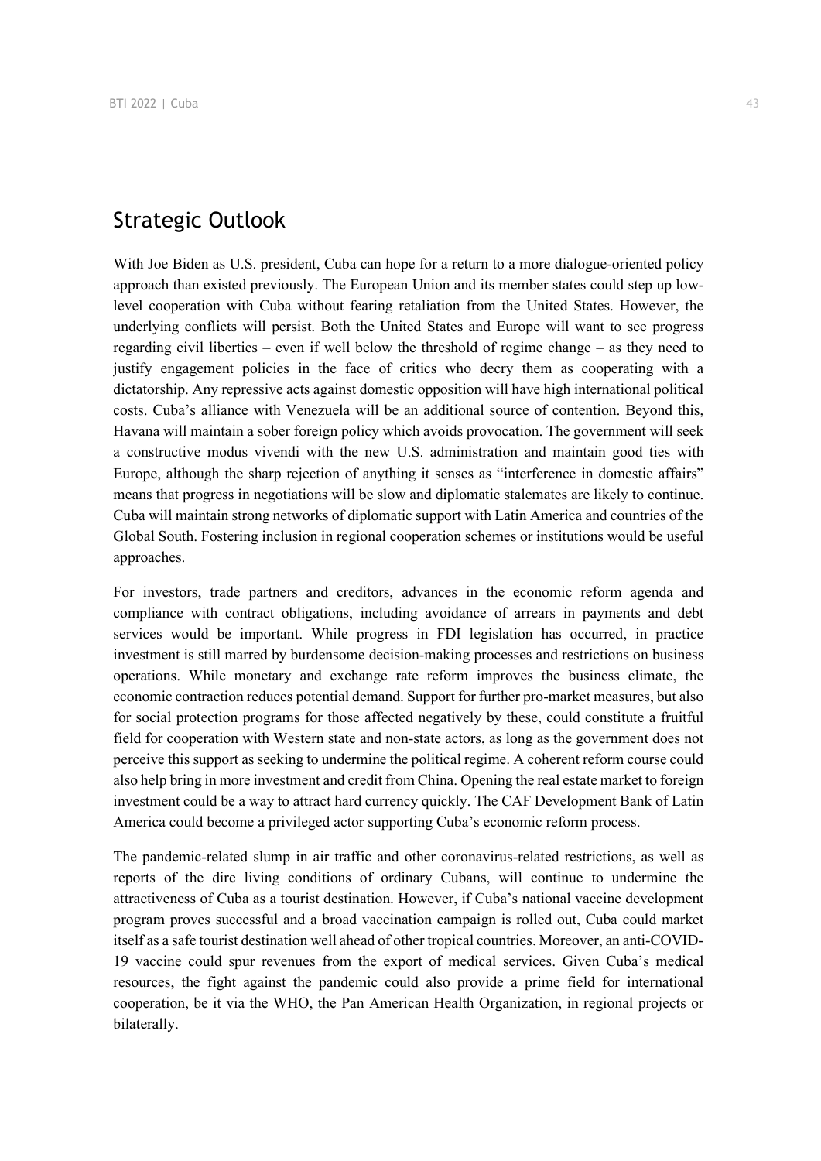# Strategic Outlook

With Joe Biden as U.S. president, Cuba can hope for a return to a more dialogue-oriented policy approach than existed previously. The European Union and its member states could step up lowlevel cooperation with Cuba without fearing retaliation from the United States. However, the underlying conflicts will persist. Both the United States and Europe will want to see progress regarding civil liberties – even if well below the threshold of regime change – as they need to justify engagement policies in the face of critics who decry them as cooperating with a dictatorship. Any repressive acts against domestic opposition will have high international political costs. Cuba's alliance with Venezuela will be an additional source of contention. Beyond this, Havana will maintain a sober foreign policy which avoids provocation. The government will seek a constructive modus vivendi with the new U.S. administration and maintain good ties with Europe, although the sharp rejection of anything it senses as "interference in domestic affairs" means that progress in negotiations will be slow and diplomatic stalemates are likely to continue. Cuba will maintain strong networks of diplomatic support with Latin America and countries of the Global South. Fostering inclusion in regional cooperation schemes or institutions would be useful approaches.

For investors, trade partners and creditors, advances in the economic reform agenda and compliance with contract obligations, including avoidance of arrears in payments and debt services would be important. While progress in FDI legislation has occurred, in practice investment is still marred by burdensome decision-making processes and restrictions on business operations. While monetary and exchange rate reform improves the business climate, the economic contraction reduces potential demand. Support for further pro-market measures, but also for social protection programs for those affected negatively by these, could constitute a fruitful field for cooperation with Western state and non-state actors, as long as the government does not perceive this support as seeking to undermine the political regime. A coherent reform course could also help bring in more investment and credit from China. Opening the real estate market to foreign investment could be a way to attract hard currency quickly. The CAF Development Bank of Latin America could become a privileged actor supporting Cuba's economic reform process.

The pandemic-related slump in air traffic and other coronavirus-related restrictions, as well as reports of the dire living conditions of ordinary Cubans, will continue to undermine the attractiveness of Cuba as a tourist destination. However, if Cuba's national vaccine development program proves successful and a broad vaccination campaign is rolled out, Cuba could market itself as a safe tourist destination well ahead of other tropical countries. Moreover, an anti-COVID-19 vaccine could spur revenues from the export of medical services. Given Cuba's medical resources, the fight against the pandemic could also provide a prime field for international cooperation, be it via the WHO, the Pan American Health Organization, in regional projects or bilaterally.